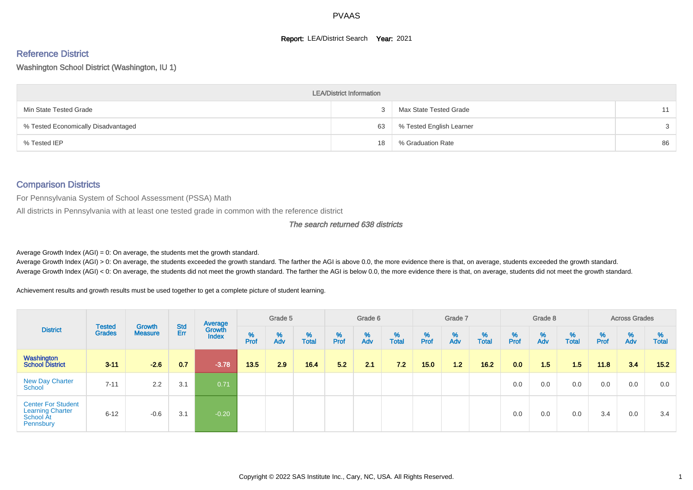#### **Report: LEA/District Search Year: 2021**

#### Reference District

#### Washington School District (Washington, IU 1)

|                                     | <b>LEA/District Information</b> |                          |    |
|-------------------------------------|---------------------------------|--------------------------|----|
| Min State Tested Grade              |                                 | Max State Tested Grade   | 11 |
| % Tested Economically Disadvantaged | 63                              | % Tested English Learner | 3  |
| % Tested IEP                        | 18                              | % Graduation Rate        | 86 |

#### Comparison Districts

For Pennsylvania System of School Assessment (PSSA) Math

All districts in Pennsylvania with at least one tested grade in common with the reference district

#### The search returned 638 districts

Average Growth Index  $(AGI) = 0$ : On average, the students met the growth standard.

Average Growth Index (AGI) > 0: On average, the students exceeded the growth standard. The farther the AGI is above 0.0, the more evidence there is that, on average, students exceeded the growth standard. Average Growth Index (AGI) < 0: On average, the students did not meet the growth standard. The farther the AGI is below 0.0, the more evidence there is that, on average, students did not meet the growth standard.

Achievement results and growth results must be used together to get a complete picture of student learning.

|                                                                                |                                |                                 |            | Average                |           | Grade 5  |                   |           | Grade 6  |                   |           | Grade 7  |                   |           | Grade 8  |                   |           | <b>Across Grades</b> |                   |
|--------------------------------------------------------------------------------|--------------------------------|---------------------------------|------------|------------------------|-----------|----------|-------------------|-----------|----------|-------------------|-----------|----------|-------------------|-----------|----------|-------------------|-----------|----------------------|-------------------|
| <b>District</b>                                                                | <b>Tested</b><br><b>Grades</b> | <b>Growth</b><br><b>Measure</b> | Std<br>Err | Growth<br><b>Index</b> | %<br>Prof | %<br>Adv | %<br><b>Total</b> | %<br>Prof | %<br>Adv | %<br><b>Total</b> | %<br>Prof | %<br>Adv | %<br><b>Total</b> | %<br>Prof | %<br>Adv | %<br><b>Total</b> | %<br>Prof | %<br>Adv             | %<br><b>Total</b> |
| Washington<br><b>School District</b>                                           | $3 - 11$                       | $-2.6$                          | 0.7        | $-3.78$                | 13.5      | 2.9      | 16.4              | 5.2       | 2.1      | 7.2               | 15.0      | 1.2      | 16.2              | 0.0       | 1.5      | 1.5               | 11.8      | 3.4                  | 15.2              |
| <b>New Day Charter</b><br>School                                               | $7 - 11$                       | 2.2                             | 3.1        | 0.71                   |           |          |                   |           |          |                   |           |          |                   | 0.0       | 0.0      | 0.0               | 0.0       | 0.0                  | 0.0               |
| <b>Center For Student</b><br><b>Learning Charter</b><br>School At<br>Pennsbury | $6 - 12$                       | $-0.6$                          | 3.1        | $-0.20$                |           |          |                   |           |          |                   |           |          |                   | 0.0       | 0.0      | 0.0               | 3.4       | 0.0                  | 3.4               |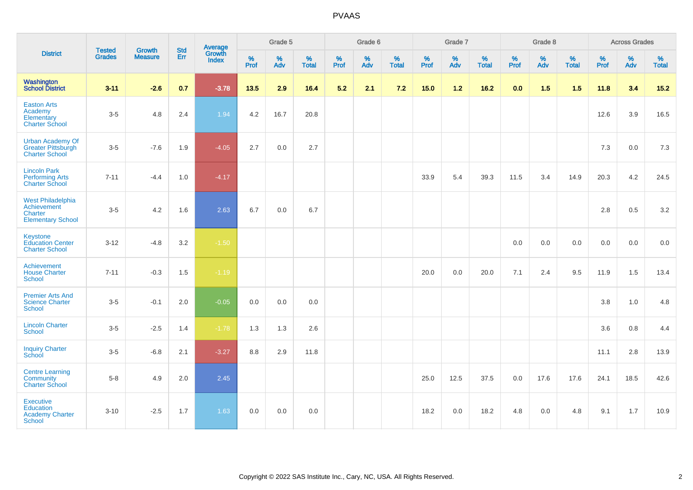| <b>District</b>                                                                       | <b>Tested</b> | <b>Growth</b>  | <b>Std</b> | Average                |              | Grade 5  |                   |              | Grade 6  |                   |              | Grade 7     |                   |              | Grade 8  |                   |              | <b>Across Grades</b> |                   |
|---------------------------------------------------------------------------------------|---------------|----------------|------------|------------------------|--------------|----------|-------------------|--------------|----------|-------------------|--------------|-------------|-------------------|--------------|----------|-------------------|--------------|----------------------|-------------------|
|                                                                                       | <b>Grades</b> | <b>Measure</b> | Err        | Growth<br><b>Index</b> | $\%$<br>Prof | %<br>Adv | %<br><b>Total</b> | $\%$<br>Prof | %<br>Adv | %<br><b>Total</b> | $\%$<br>Prof | $\%$<br>Adv | %<br><b>Total</b> | $\%$<br>Prof | %<br>Adv | %<br><b>Total</b> | $\%$<br>Prof | %<br>Adv             | %<br><b>Total</b> |
| <b>Washington</b><br>School District                                                  | $3 - 11$      | $-2.6$         | 0.7        | $-3.78$                | $13.5$       | 2.9      | 16.4              | 5.2          | 2.1      | 7.2               | 15.0         | 1.2         | 16.2              | 0.0          | $1.5$    | 1.5               | 11.8         | 3.4                  | $15.2$            |
| <b>Easton Arts</b><br>Academy<br>Elementary<br><b>Charter School</b>                  | $3-5$         | 4.8            | 2.4        | 1.94                   | 4.2          | 16.7     | 20.8              |              |          |                   |              |             |                   |              |          |                   | 12.6         | 3.9                  | 16.5              |
| <b>Urban Academy Of</b><br><b>Greater Pittsburgh</b><br><b>Charter School</b>         | $3-5$         | $-7.6$         | 1.9        | $-4.05$                | 2.7          | 0.0      | 2.7               |              |          |                   |              |             |                   |              |          |                   | 7.3          | 0.0                  | 7.3               |
| <b>Lincoln Park</b><br><b>Performing Arts</b><br><b>Charter School</b>                | $7 - 11$      | $-4.4$         | 1.0        | $-4.17$                |              |          |                   |              |          |                   | 33.9         | 5.4         | 39.3              | 11.5         | 3.4      | 14.9              | 20.3         | 4.2                  | 24.5              |
| <b>West Philadelphia</b><br>Achievement<br><b>Charter</b><br><b>Elementary School</b> | $3-5$         | 4.2            | 1.6        | 2.63                   | 6.7          | 0.0      | 6.7               |              |          |                   |              |             |                   |              |          |                   | 2.8          | 0.5                  | $3.2\,$           |
| Keystone<br><b>Education Center</b><br><b>Charter School</b>                          | $3 - 12$      | $-4.8$         | 3.2        | $-1.50$                |              |          |                   |              |          |                   |              |             |                   | 0.0          | 0.0      | 0.0               | 0.0          | 0.0                  | 0.0               |
| Achievement<br><b>House Charter</b><br><b>School</b>                                  | $7 - 11$      | $-0.3$         | 1.5        | $-1.19$                |              |          |                   |              |          |                   | 20.0         | 0.0         | 20.0              | 7.1          | 2.4      | 9.5               | 11.9         | 1.5                  | 13.4              |
| <b>Premier Arts And</b><br><b>Science Charter</b><br><b>School</b>                    | $3-5$         | $-0.1$         | 2.0        | $-0.05$                | 0.0          | 0.0      | 0.0               |              |          |                   |              |             |                   |              |          |                   | 3.8          | 1.0                  | 4.8               |
| <b>Lincoln Charter</b><br><b>School</b>                                               | $3-5$         | $-2.5$         | 1.4        | $-1.78$                | 1.3          | 1.3      | 2.6               |              |          |                   |              |             |                   |              |          |                   | 3.6          | 0.8                  | 4.4               |
| <b>Inquiry Charter</b><br>School                                                      | $3-5$         | $-6.8$         | 2.1        | $-3.27$                | 8.8          | 2.9      | 11.8              |              |          |                   |              |             |                   |              |          |                   | 11.1         | 2.8                  | 13.9              |
| <b>Centre Learning</b><br>Community<br><b>Charter School</b>                          | $5-8$         | 4.9            | 2.0        | 2.45                   |              |          |                   |              |          |                   | 25.0         | 12.5        | 37.5              | 0.0          | 17.6     | 17.6              | 24.1         | 18.5                 | 42.6              |
| <b>Executive</b><br>Education<br><b>Academy Charter</b><br><b>School</b>              | $3 - 10$      | $-2.5$         | 1.7        | 1.63                   | 0.0          | 0.0      | 0.0               |              |          |                   | 18.2         | 0.0         | 18.2              | 4.8          | 0.0      | 4.8               | 9.1          | 1.7                  | 10.9              |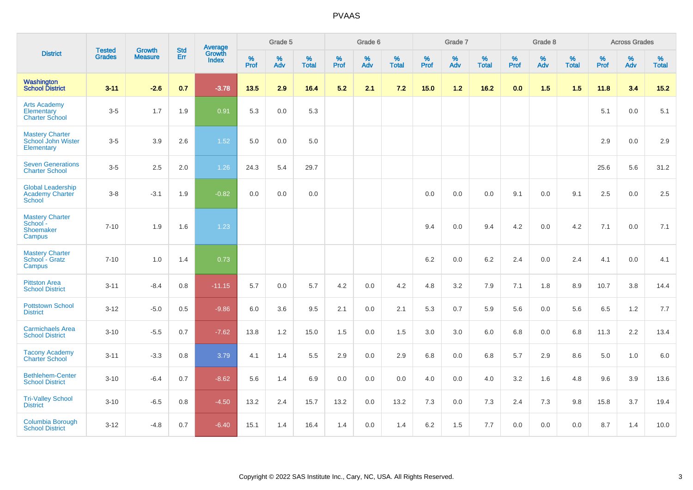|                                                              | <b>Tested</b> | <b>Growth</b>  | <b>Std</b> | Average                |                     | Grade 5  |                   |              | Grade 6  |                   |              | Grade 7  |                   |              | Grade 8  |                   |              | <b>Across Grades</b> |                   |
|--------------------------------------------------------------|---------------|----------------|------------|------------------------|---------------------|----------|-------------------|--------------|----------|-------------------|--------------|----------|-------------------|--------------|----------|-------------------|--------------|----------------------|-------------------|
| <b>District</b>                                              | <b>Grades</b> | <b>Measure</b> | Err        | Growth<br><b>Index</b> | $\%$<br><b>Prof</b> | %<br>Adv | %<br><b>Total</b> | $\%$<br>Prof | %<br>Adv | %<br><b>Total</b> | $\%$<br>Prof | %<br>Adv | %<br><b>Total</b> | $\%$<br>Prof | %<br>Adv | %<br><b>Total</b> | $\%$<br>Prof | %<br>Adv             | %<br><b>Total</b> |
| Washington<br><b>School District</b>                         | $3 - 11$      | $-2.6$         | 0.7        | $-3.78$                | 13.5                | 2.9      | 16.4              | 5.2          | 2.1      | 7.2               | 15.0         | $1.2$    | 16.2              | 0.0          | 1.5      | 1.5               | 11.8         | 3.4                  | $15.2$            |
| <b>Arts Academy</b><br>Elementary<br><b>Charter School</b>   | $3-5$         | 1.7            | 1.9        | 0.91                   | 5.3                 | 0.0      | 5.3               |              |          |                   |              |          |                   |              |          |                   | 5.1          | 0.0                  | 5.1               |
| <b>Mastery Charter</b><br>School John Wister<br>Elementary   | $3-5$         | 3.9            | 2.6        | 1.52                   | 5.0                 | 0.0      | 5.0               |              |          |                   |              |          |                   |              |          |                   | 2.9          | 0.0                  | 2.9               |
| <b>Seven Generations</b><br><b>Charter School</b>            | $3-5$         | 2.5            | 2.0        | 1.26                   | 24.3                | 5.4      | 29.7              |              |          |                   |              |          |                   |              |          |                   | 25.6         | 5.6                  | 31.2              |
| <b>Global Leadership</b><br><b>Academy Charter</b><br>School | $3 - 8$       | $-3.1$         | 1.9        | $-0.82$                | $0.0\,$             | $0.0\,$  | 0.0               |              |          |                   | $0.0\,$      | 0.0      | 0.0               | 9.1          | 0.0      | 9.1               | 2.5          | $0.0\,$              | 2.5               |
| <b>Mastery Charter</b><br>School -<br>Shoemaker<br>Campus    | $7 - 10$      | 1.9            | 1.6        | 1.23                   |                     |          |                   |              |          |                   | 9.4          | 0.0      | 9.4               | 4.2          | 0.0      | 4.2               | 7.1          | 0.0                  | 7.1               |
| <b>Mastery Charter</b><br>School - Gratz<br>Campus           | $7 - 10$      | 1.0            | 1.4        | 0.73                   |                     |          |                   |              |          |                   | 6.2          | 0.0      | 6.2               | 2.4          | 0.0      | 2.4               | 4.1          | 0.0                  | 4.1               |
| <b>Pittston Area</b><br><b>School District</b>               | $3 - 11$      | $-8.4$         | 0.8        | $-11.15$               | 5.7                 | 0.0      | 5.7               | 4.2          | 0.0      | 4.2               | 4.8          | 3.2      | 7.9               | 7.1          | 1.8      | 8.9               | 10.7         | 3.8                  | 14.4              |
| <b>Pottstown School</b><br><b>District</b>                   | $3 - 12$      | $-5.0$         | 0.5        | $-9.86$                | 6.0                 | 3.6      | 9.5               | 2.1          | 0.0      | 2.1               | 5.3          | 0.7      | 5.9               | 5.6          | 0.0      | 5.6               | 6.5          | $1.2$                | 7.7               |
| <b>Carmichaels Area</b><br><b>School District</b>            | $3 - 10$      | $-5.5$         | 0.7        | $-7.62$                | 13.8                | 1.2      | 15.0              | 1.5          | $0.0\,$  | 1.5               | 3.0          | $3.0\,$  | 6.0               | 6.8          | $0.0\,$  | 6.8               | 11.3         | 2.2                  | 13.4              |
| <b>Tacony Academy</b><br><b>Charter School</b>               | $3 - 11$      | $-3.3$         | 0.8        | 3.79                   | 4.1                 | 1.4      | 5.5               | 2.9          | 0.0      | 2.9               | 6.8          | 0.0      | 6.8               | 5.7          | 2.9      | 8.6               | 5.0          | 1.0                  | 6.0               |
| <b>Bethlehem-Center</b><br><b>School District</b>            | $3 - 10$      | $-6.4$         | 0.7        | $-8.62$                | 5.6                 | 1.4      | 6.9               | 0.0          | 0.0      | 0.0               | 4.0          | 0.0      | 4.0               | 3.2          | 1.6      | 4.8               | 9.6          | 3.9                  | 13.6              |
| <b>Tri-Valley School</b><br><b>District</b>                  | $3 - 10$      | $-6.5$         | 0.8        | $-4.50$                | 13.2                | 2.4      | 15.7              | 13.2         | 0.0      | 13.2              | 7.3          | 0.0      | 7.3               | 2.4          | 7.3      | 9.8               | 15.8         | 3.7                  | 19.4              |
| Columbia Borough<br><b>School District</b>                   | $3 - 12$      | $-4.8$         | 0.7        | $-6.40$                | 15.1                | 1.4      | 16.4              | 1.4          | 0.0      | 1.4               | 6.2          | 1.5      | 7.7               | 0.0          | 0.0      | 0.0               | 8.7          | 1.4                  | 10.0              |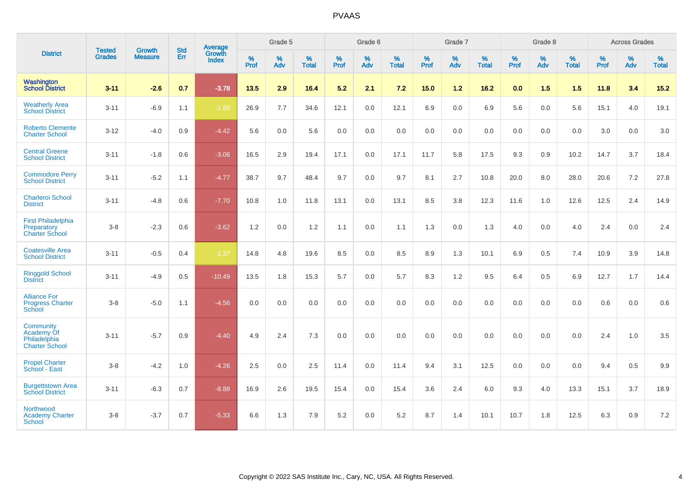| <b>District</b>                                                         | <b>Tested</b> | <b>Growth</b>  | <b>Std</b> | Average                |                     | Grade 5  |                   |                     | Grade 6  |                   |              | Grade 7  |                   |                     | Grade 8  |                   |                     | <b>Across Grades</b> |                   |
|-------------------------------------------------------------------------|---------------|----------------|------------|------------------------|---------------------|----------|-------------------|---------------------|----------|-------------------|--------------|----------|-------------------|---------------------|----------|-------------------|---------------------|----------------------|-------------------|
|                                                                         | <b>Grades</b> | <b>Measure</b> | Err        | Growth<br><b>Index</b> | $\%$<br><b>Prof</b> | %<br>Adv | %<br><b>Total</b> | $\%$<br><b>Prof</b> | %<br>Adv | %<br><b>Total</b> | $\%$<br>Prof | %<br>Adv | %<br><b>Total</b> | $\%$<br><b>Prof</b> | %<br>Adv | %<br><b>Total</b> | $\%$<br><b>Prof</b> | %<br>Adv             | %<br><b>Total</b> |
| <b>Washington</b><br>School District                                    | $3 - 11$      | $-2.6$         | 0.7        | $-3.78$                | 13.5                | 2.9      | 16.4              | 5.2                 | 2.1      | 7.2               | 15.0         | 1.2      | 16.2              | 0.0                 | 1.5      | 1.5               | 11.8                | 3.4                  | $15.2$            |
| <b>Weatherly Area</b><br><b>School District</b>                         | $3 - 11$      | $-6.9$         | 1.1        | $-1.89$                | 26.9                | 7.7      | 34.6              | 12.1                | 0.0      | 12.1              | 6.9          | 0.0      | 6.9               | 5.6                 | 0.0      | 5.6               | 15.1                | 4.0                  | 19.1              |
| <b>Roberto Clemente</b><br><b>Charter School</b>                        | $3 - 12$      | $-4.0$         | 0.9        | $-4.42$                | 5.6                 | 0.0      | 5.6               | 0.0                 | 0.0      | 0.0               | 0.0          | 0.0      | 0.0               | 0.0                 | 0.0      | 0.0               | 3.0                 | 0.0                  | 3.0               |
| <b>Central Greene</b><br><b>School District</b>                         | $3 - 11$      | $-1.8$         | 0.6        | $-3.06$                | 16.5                | 2.9      | 19.4              | 17.1                | 0.0      | 17.1              | 11.7         | 5.8      | 17.5              | 9.3                 | 0.9      | 10.2              | 14.7                | 3.7                  | 18.4              |
| <b>Commodore Perry</b><br><b>School District</b>                        | $3 - 11$      | $-5.2$         | 1.1        | $-4.77$                | 38.7                | 9.7      | 48.4              | 9.7                 | 0.0      | 9.7               | 8.1          | 2.7      | 10.8              | 20.0                | 8.0      | 28.0              | 20.6                | 7.2                  | 27.8              |
| <b>Charleroi School</b><br><b>District</b>                              | $3 - 11$      | $-4.8$         | 0.6        | $-7.70$                | 10.8                | 1.0      | 11.8              | 13.1                | 0.0      | 13.1              | 8.5          | 3.8      | 12.3              | 11.6                | $1.0$    | 12.6              | 12.5                | 2.4                  | 14.9              |
| <b>First Philadelphia</b><br>Preparatory<br><b>Charter School</b>       | $3 - 8$       | $-2.3$         | 0.6        | $-3.62$                | 1.2                 | 0.0      | 1.2               | 1.1                 | 0.0      | 1.1               | 1.3          | 0.0      | 1.3               | 4.0                 | 0.0      | 4.0               | 2.4                 | 0.0                  | 2.4               |
| <b>Coatesville Area</b><br><b>School District</b>                       | $3 - 11$      | $-0.5$         | 0.4        | $-1.37$                | 14.8                | 4.8      | 19.6              | 8.5                 | 0.0      | 8.5               | 8.9          | 1.3      | 10.1              | 6.9                 | 0.5      | 7.4               | 10.9                | 3.9                  | 14.8              |
| <b>Ringgold School</b><br><b>District</b>                               | $3 - 11$      | $-4.9$         | 0.5        | $-10.49$               | 13.5                | 1.8      | 15.3              | 5.7                 | 0.0      | 5.7               | 8.3          | 1.2      | 9.5               | 6.4                 | 0.5      | 6.9               | 12.7                | 1.7                  | 14.4              |
| <b>Alliance For</b><br><b>Progress Charter</b><br>School                | $3 - 8$       | $-5.0$         | 1.1        | $-4.56$                | 0.0                 | 0.0      | 0.0               | 0.0                 | 0.0      | 0.0               | 0.0          | 0.0      | 0.0               | 0.0                 | 0.0      | 0.0               | 0.6                 | 0.0                  | 0.6               |
| Community<br><b>Academy Of</b><br>Philadelphia<br><b>Charter School</b> | $3 - 11$      | $-5.7$         | 0.9        | $-4.40$                | 4.9                 | 2.4      | 7.3               | 0.0                 | 0.0      | 0.0               | 0.0          | 0.0      | 0.0               | 0.0                 | 0.0      | 0.0               | 2.4                 | 1.0                  | 3.5               |
| <b>Propel Charter</b><br>School - East                                  | $3 - 8$       | $-4.2$         | 1.0        | $-4.26$                | 2.5                 | 0.0      | 2.5               | 11.4                | 0.0      | 11.4              | 9.4          | 3.1      | 12.5              | 0.0                 | 0.0      | 0.0               | 9.4                 | 0.5                  | 9.9               |
| <b>Burgettstown Area</b><br><b>School District</b>                      | $3 - 11$      | $-6.3$         | 0.7        | $-8.88$                | 16.9                | 2.6      | 19.5              | 15.4                | 0.0      | 15.4              | 3.6          | 2.4      | 6.0               | 9.3                 | 4.0      | 13.3              | 15.1                | 3.7                  | 18.9              |
| Northwood<br><b>Academy Charter</b><br>School                           | $3 - 8$       | $-3.7$         | 0.7        | $-5.33$                | 6.6                 | 1.3      | 7.9               | 5.2                 | 0.0      | 5.2               | 8.7          | 1.4      | 10.1              | 10.7                | 1.8      | 12.5              | 6.3                 | 0.9                  | 7.2               |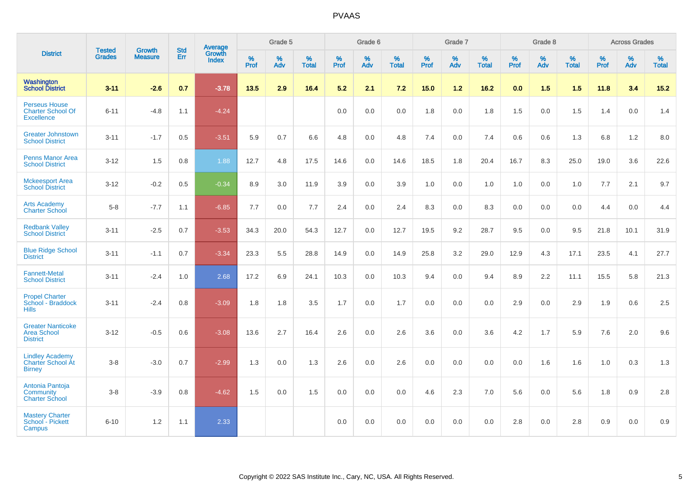| <b>District</b>                                                       | <b>Tested</b> |                                 | <b>Std</b> | Average                |           | Grade 5  |                   |           | Grade 6  |                   |           | Grade 7  |                   |           | Grade 8  |                   |           | <b>Across Grades</b> |                   |
|-----------------------------------------------------------------------|---------------|---------------------------------|------------|------------------------|-----------|----------|-------------------|-----------|----------|-------------------|-----------|----------|-------------------|-----------|----------|-------------------|-----------|----------------------|-------------------|
|                                                                       | <b>Grades</b> | <b>Growth</b><br><b>Measure</b> | Err        | Growth<br><b>Index</b> | %<br>Prof | %<br>Adv | %<br><b>Total</b> | %<br>Prof | %<br>Adv | %<br><b>Total</b> | %<br>Prof | %<br>Adv | %<br><b>Total</b> | %<br>Prof | %<br>Adv | %<br><b>Total</b> | %<br>Prof | %<br>Adv             | %<br><b>Total</b> |
| Washington<br><b>School District</b>                                  | $3 - 11$      | $-2.6$                          | 0.7        | $-3.78$                | 13.5      | 2.9      | 16.4              | 5.2       | 2.1      | 7.2               | 15.0      | 1.2      | 16.2              | 0.0       | 1.5      | 1.5               | 11.8      | 3.4                  | 15.2              |
| <b>Perseus House</b><br><b>Charter School Of</b><br><b>Excellence</b> | $6 - 11$      | $-4.8$                          | 1.1        | $-4.24$                |           |          |                   | 0.0       | 0.0      | 0.0               | 1.8       | 0.0      | 1.8               | 1.5       | 0.0      | 1.5               | 1.4       | 0.0                  | 1.4               |
| <b>Greater Johnstown</b><br><b>School District</b>                    | $3 - 11$      | $-1.7$                          | 0.5        | $-3.51$                | 5.9       | 0.7      | 6.6               | 4.8       | 0.0      | 4.8               | 7.4       | 0.0      | 7.4               | 0.6       | 0.6      | 1.3               | 6.8       | 1.2                  | 8.0               |
| <b>Penns Manor Area</b><br><b>School District</b>                     | $3 - 12$      | 1.5                             | 0.8        | 1.88                   | 12.7      | 4.8      | 17.5              | 14.6      | 0.0      | 14.6              | 18.5      | 1.8      | 20.4              | 16.7      | 8.3      | 25.0              | 19.0      | 3.6                  | 22.6              |
| <b>Mckeesport Area</b><br><b>School District</b>                      | $3 - 12$      | $-0.2$                          | 0.5        | $-0.34$                | 8.9       | 3.0      | 11.9              | 3.9       | 0.0      | 3.9               | 1.0       | 0.0      | 1.0               | 1.0       | 0.0      | 1.0               | 7.7       | 2.1                  | 9.7               |
| <b>Arts Academy</b><br><b>Charter School</b>                          | $5-8$         | $-7.7$                          | 1.1        | $-6.85$                | 7.7       | 0.0      | 7.7               | 2.4       | 0.0      | 2.4               | 8.3       | $0.0\,$  | 8.3               | 0.0       | $0.0\,$  | 0.0               | 4.4       | $0.0\,$              | 4.4               |
| <b>Redbank Valley</b><br><b>School District</b>                       | $3 - 11$      | $-2.5$                          | 0.7        | $-3.53$                | 34.3      | 20.0     | 54.3              | 12.7      | 0.0      | 12.7              | 19.5      | 9.2      | 28.7              | 9.5       | 0.0      | 9.5               | 21.8      | 10.1                 | 31.9              |
| <b>Blue Ridge School</b><br><b>District</b>                           | $3 - 11$      | $-1.1$                          | 0.7        | $-3.34$                | 23.3      | 5.5      | 28.8              | 14.9      | 0.0      | 14.9              | 25.8      | 3.2      | 29.0              | 12.9      | 4.3      | 17.1              | 23.5      | 4.1                  | 27.7              |
| <b>Fannett-Metal</b><br><b>School District</b>                        | $3 - 11$      | $-2.4$                          | 1.0        | 2.68                   | 17.2      | 6.9      | 24.1              | 10.3      | 0.0      | 10.3              | 9.4       | 0.0      | 9.4               | 8.9       | 2.2      | 11.1              | 15.5      | 5.8                  | 21.3              |
| <b>Propel Charter</b><br>School - Braddock<br><b>Hills</b>            | $3 - 11$      | $-2.4$                          | 0.8        | $-3.09$                | 1.8       | 1.8      | 3.5               | 1.7       | 0.0      | 1.7               | 0.0       | 0.0      | 0.0               | 2.9       | 0.0      | 2.9               | 1.9       | 0.6                  | 2.5               |
| <b>Greater Nanticoke</b><br><b>Area School</b><br><b>District</b>     | $3 - 12$      | $-0.5$                          | 0.6        | $-3.08$                | 13.6      | 2.7      | 16.4              | 2.6       | 0.0      | 2.6               | 3.6       | 0.0      | 3.6               | 4.2       | 1.7      | 5.9               | 7.6       | 2.0                  | 9.6               |
| <b>Lindley Academy</b><br><b>Charter School At</b><br><b>Birney</b>   | $3-8$         | $-3.0$                          | 0.7        | $-2.99$                | 1.3       | 0.0      | 1.3               | 2.6       | 0.0      | 2.6               | 0.0       | 0.0      | 0.0               | 0.0       | 1.6      | 1.6               | 1.0       | 0.3                  | 1.3               |
| Antonia Pantoja<br>Community<br><b>Charter School</b>                 | $3 - 8$       | $-3.9$                          | 0.8        | $-4.62$                | 1.5       | 0.0      | 1.5               | 0.0       | 0.0      | 0.0               | 4.6       | 2.3      | 7.0               | 5.6       | 0.0      | 5.6               | 1.8       | 0.9                  | 2.8               |
| <b>Mastery Charter</b><br>School - Pickett<br>Campus                  | $6 - 10$      | 1.2                             | 1.1        | 2.33                   |           |          |                   | 0.0       | 0.0      | 0.0               | 0.0       | 0.0      | 0.0               | 2.8       | 0.0      | 2.8               | 0.9       | 0.0                  | 0.9               |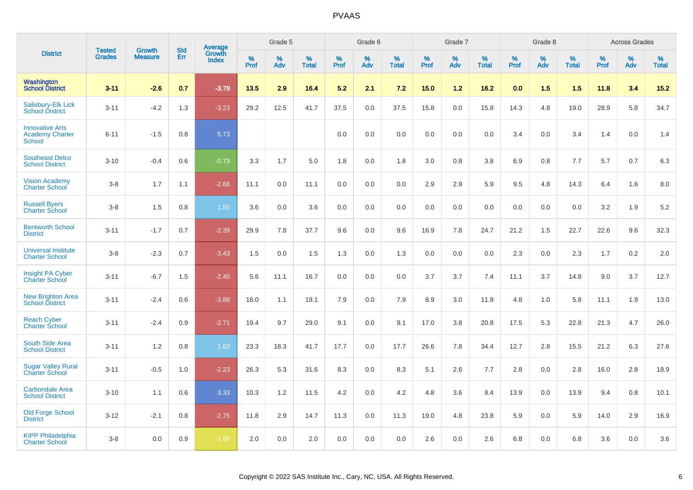|                                                                   |                                |                                 | <b>Std</b> | Average                |                     | Grade 5  |                   |                  | Grade 6  |                   |                  | Grade 7  |                   |                  | Grade 8  |                   |                  | <b>Across Grades</b> |                   |
|-------------------------------------------------------------------|--------------------------------|---------------------------------|------------|------------------------|---------------------|----------|-------------------|------------------|----------|-------------------|------------------|----------|-------------------|------------------|----------|-------------------|------------------|----------------------|-------------------|
| <b>District</b>                                                   | <b>Tested</b><br><b>Grades</b> | <b>Growth</b><br><b>Measure</b> | Err        | Growth<br><b>Index</b> | $\%$<br><b>Prof</b> | %<br>Adv | %<br><b>Total</b> | %<br><b>Prof</b> | %<br>Adv | %<br><b>Total</b> | %<br><b>Prof</b> | %<br>Adv | %<br><b>Total</b> | %<br><b>Prof</b> | %<br>Adv | %<br><b>Total</b> | %<br><b>Prof</b> | %<br>Adv             | %<br><b>Total</b> |
| Washington<br><b>School District</b>                              | $3 - 11$                       | $-2.6$                          | 0.7        | $-3.78$                | 13.5                | 2.9      | 16.4              | 5.2              | 2.1      | 7.2               | 15.0             | 1.2      | 16.2              | 0.0              | 1.5      | 1.5               | 11.8             | 3.4                  | 15.2              |
| <b>Salisbury-Elk Lick</b><br><b>School District</b>               | $3 - 11$                       | $-4.2$                          | 1.3        | $-3.23$                | 29.2                | 12.5     | 41.7              | 37.5             | 0.0      | 37.5              | 15.8             | 0.0      | 15.8              | 14.3             | 4.8      | 19.0              | 28.9             | 5.8                  | 34.7              |
| <b>Innovative Arts</b><br><b>Academy Charter</b><br><b>School</b> | $6 - 11$                       | $-1.5$                          | 0.8        | 5.73                   |                     |          |                   | 0.0              | 0.0      | 0.0               | 0.0              | 0.0      | 0.0               | 3.4              | 0.0      | 3.4               | 1.4              | 0.0                  | 1.4               |
| <b>Southeast Delco</b><br><b>School District</b>                  | $3 - 10$                       | $-0.4$                          | 0.6        | $-0.73$                | 3.3                 | 1.7      | 5.0               | 1.8              | 0.0      | 1.8               | 3.0              | 0.8      | 3.8               | 6.9              | 0.8      | 7.7               | 5.7              | 0.7                  | 6.3               |
| <b>Vision Academy</b><br><b>Charter School</b>                    | $3-8$                          | 1.7                             | 1.1        | $-2.66$                | 11.1                | 0.0      | 11.1              | 0.0              | 0.0      | 0.0               | 2.9              | 2.9      | 5.9               | 9.5              | 4.8      | 14.3              | 6.4              | 1.6                  | 8.0               |
| <b>Russell Byers</b><br><b>Charter School</b>                     | $3-8$                          | 1.5                             | 0.8        | 1.85                   | 3.6                 | 0.0      | 3.6               | 0.0              | 0.0      | 0.0               | 0.0              | 0.0      | 0.0               | 0.0              | 0.0      | 0.0               | 3.2              | 1.9                  | 5.2               |
| <b>Bentworth School</b><br><b>District</b>                        | $3 - 11$                       | $-1.7$                          | 0.7        | $-2.39$                | 29.9                | 7.8      | 37.7              | 9.6              | 0.0      | 9.6               | 16.9             | 7.8      | 24.7              | 21.2             | 1.5      | 22.7              | 22.6             | 9.6                  | 32.3              |
| <b>Universal Institute</b><br><b>Charter School</b>               | $3-8$                          | $-2.3$                          | 0.7        | $-3.43$                | 1.5                 | 0.0      | 1.5               | 1.3              | 0.0      | 1.3               | 0.0              | 0.0      | 0.0               | 2.3              | 0.0      | 2.3               | 1.7              | 0.2                  | 2.0               |
| Insight PA Cyber<br><b>Charter School</b>                         | $3 - 11$                       | $-6.7$                          | 1.5        | $-2.45$                | 5.6                 | 11.1     | 16.7              | 0.0              | 0.0      | 0.0               | 3.7              | 3.7      | 7.4               | 11.1             | 3.7      | 14.8              | 9.0              | 3.7                  | 12.7              |
| <b>New Brighton Area</b><br><b>School District</b>                | $3 - 11$                       | $-2.4$                          | 0.6        | $-3.88$                | 18.0                | 1.1      | 19.1              | 7.9              | 0.0      | 7.9               | 8.9              | 3.0      | 11.9              | 4.8              | 1.0      | 5.8               | 11.1             | 1.9                  | 13.0              |
| <b>Reach Cyber</b><br><b>Charter School</b>                       | $3 - 11$                       | $-2.4$                          | 0.9        | $-2.71$                | 19.4                | 9.7      | 29.0              | 9.1              | 0.0      | 9.1               | 17.0             | 3.8      | 20.8              | 17.5             | 5.3      | 22.8              | 21.3             | 4.7                  | 26.0              |
| South Side Area<br><b>School District</b>                         | $3 - 11$                       | 1.2                             | 0.8        | 1.62                   | 23.3                | 18.3     | 41.7              | 17.7             | 0.0      | 17.7              | 26.6             | 7.8      | 34.4              | 12.7             | 2.8      | 15.5              | 21.2             | 6.3                  | 27.6              |
| <b>Sugar Valley Rural</b><br><b>Charter School</b>                | $3 - 11$                       | $-0.5$                          | 1.0        | $-2.23$                | 26.3                | 5.3      | 31.6              | 8.3              | 0.0      | 8.3               | 5.1              | 2.6      | 7.7               | 2.8              | 0.0      | 2.8               | 16.0             | 2.8                  | 18.9              |
| <b>Carbondale Area</b><br><b>School District</b>                  | $3 - 10$                       | 1.1                             | 0.6        | 3.33                   | 10.3                | 1.2      | 11.5              | 4.2              | 0.0      | 4.2               | 4.8              | 3.6      | 8.4               | 13.9             | 0.0      | 13.9              | 9.4              | 0.8                  | 10.1              |
| <b>Old Forge School</b><br><b>District</b>                        | $3 - 12$                       | $-2.1$                          | 0.8        | $-2.75$                | 11.8                | 2.9      | 14.7              | 11.3             | 0.0      | 11.3              | 19.0             | 4.8      | 23.8              | 5.9              | 0.0      | 5.9               | 14.0             | 2.9                  | 16.9              |
| <b>KIPP Philadelphia</b><br><b>Charter School</b>                 | $3 - 8$                        | 0.0                             | 0.9        | $-1.89$                | 2.0                 | 0.0      | 2.0               | 0.0              | 0.0      | 0.0               | 2.6              | 0.0      | 2.6               | 6.8              | 0.0      | 6.8               | 3.6              | 0.0                  | 3.6               |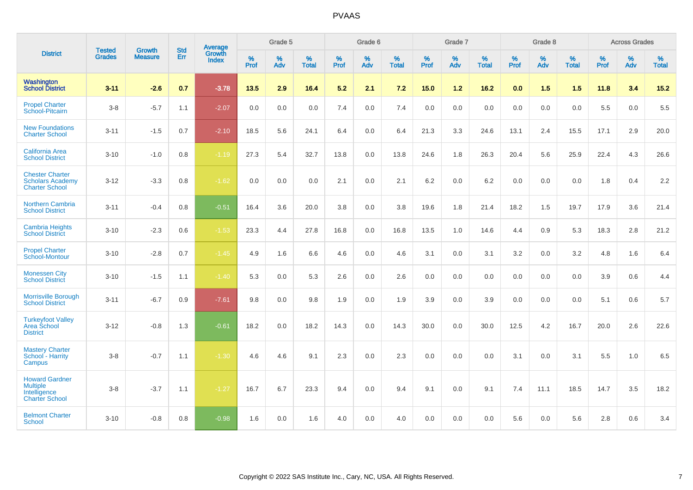| <b>District</b>                                                                   |                                |                                 | <b>Std</b> | Average                |              | Grade 5  |                   |                     | Grade 6  |                   |              | Grade 7  |                   |                     | Grade 8  |                   |                     | <b>Across Grades</b> |                   |
|-----------------------------------------------------------------------------------|--------------------------------|---------------------------------|------------|------------------------|--------------|----------|-------------------|---------------------|----------|-------------------|--------------|----------|-------------------|---------------------|----------|-------------------|---------------------|----------------------|-------------------|
|                                                                                   | <b>Tested</b><br><b>Grades</b> | <b>Growth</b><br><b>Measure</b> | Err        | Growth<br><b>Index</b> | $\%$<br>Prof | %<br>Adv | %<br><b>Total</b> | $\%$<br><b>Prof</b> | %<br>Adv | %<br><b>Total</b> | $\%$<br>Prof | %<br>Adv | %<br><b>Total</b> | $\%$<br><b>Prof</b> | %<br>Adv | %<br><b>Total</b> | $\%$<br><b>Prof</b> | $\%$<br>Adv          | %<br><b>Total</b> |
| <b>Washington</b><br>School District                                              | $3 - 11$                       | $-2.6$                          | 0.7        | $-3.78$                | 13.5         | 2.9      | 16.4              | 5.2                 | 2.1      | 7.2               | 15.0         | $1.2$    | 16.2              | 0.0                 | 1.5      | 1.5               | 11.8                | 3.4                  | 15.2              |
| <b>Propel Charter</b><br>School-Pitcairn                                          | $3 - 8$                        | $-5.7$                          | 1.1        | $-2.07$                | 0.0          | 0.0      | 0.0               | 7.4                 | 0.0      | 7.4               | 0.0          | 0.0      | 0.0               | 0.0                 | 0.0      | 0.0               | 5.5                 | 0.0                  | 5.5               |
| <b>New Foundations</b><br><b>Charter School</b>                                   | $3 - 11$                       | $-1.5$                          | 0.7        | $-2.10$                | 18.5         | 5.6      | 24.1              | 6.4                 | 0.0      | 6.4               | 21.3         | 3.3      | 24.6              | 13.1                | 2.4      | 15.5              | 17.1                | 2.9                  | 20.0              |
| <b>California Area</b><br><b>School District</b>                                  | $3 - 10$                       | $-1.0$                          | 0.8        | $-1.19$                | 27.3         | 5.4      | 32.7              | 13.8                | 0.0      | 13.8              | 24.6         | 1.8      | 26.3              | 20.4                | 5.6      | 25.9              | 22.4                | 4.3                  | 26.6              |
| <b>Chester Charter</b><br><b>Scholars Academy</b><br><b>Charter School</b>        | $3 - 12$                       | $-3.3$                          | 0.8        | $-1.62$                | 0.0          | 0.0      | 0.0               | 2.1                 | 0.0      | 2.1               | 6.2          | 0.0      | 6.2               | 0.0                 | 0.0      | 0.0               | 1.8                 | 0.4                  | 2.2               |
| <b>Northern Cambria</b><br><b>School District</b>                                 | $3 - 11$                       | $-0.4$                          | 0.8        | $-0.51$                | 16.4         | 3.6      | 20.0              | 3.8                 | 0.0      | 3.8               | 19.6         | 1.8      | 21.4              | 18.2                | 1.5      | 19.7              | 17.9                | 3.6                  | 21.4              |
| <b>Cambria Heights</b><br><b>School District</b>                                  | $3 - 10$                       | $-2.3$                          | 0.6        | $-1.53$                | 23.3         | 4.4      | 27.8              | 16.8                | 0.0      | 16.8              | 13.5         | 1.0      | 14.6              | 4.4                 | 0.9      | 5.3               | 18.3                | 2.8                  | 21.2              |
| <b>Propel Charter</b><br><b>School-Montour</b>                                    | $3 - 10$                       | $-2.8$                          | 0.7        | $-1.45$                | 4.9          | 1.6      | 6.6               | 4.6                 | 0.0      | 4.6               | 3.1          | 0.0      | 3.1               | 3.2                 | 0.0      | 3.2               | 4.8                 | 1.6                  | 6.4               |
| <b>Monessen City</b><br><b>School District</b>                                    | $3 - 10$                       | $-1.5$                          | 1.1        | $-1.40$                | 5.3          | 0.0      | 5.3               | 2.6                 | 0.0      | 2.6               | 0.0          | 0.0      | 0.0               | 0.0                 | 0.0      | 0.0               | 3.9                 | 0.6                  | 4.4               |
| Morrisville Borough<br><b>School District</b>                                     | $3 - 11$                       | $-6.7$                          | 0.9        | $-7.61$                | 9.8          | 0.0      | 9.8               | 1.9                 | 0.0      | 1.9               | 3.9          | 0.0      | 3.9               | 0.0                 | 0.0      | 0.0               | 5.1                 | 0.6                  | 5.7               |
| <b>Turkeyfoot Valley</b><br>Area School<br><b>District</b>                        | $3 - 12$                       | $-0.8$                          | 1.3        | $-0.61$                | 18.2         | 0.0      | 18.2              | 14.3                | 0.0      | 14.3              | 30.0         | 0.0      | 30.0              | 12.5                | 4.2      | 16.7              | 20.0                | 2.6                  | 22.6              |
| <b>Mastery Charter</b><br>School - Harrity<br>Campus                              | $3-8$                          | $-0.7$                          | 1.1        | $-1.30$                | 4.6          | 4.6      | 9.1               | 2.3                 | 0.0      | 2.3               | 0.0          | 0.0      | 0.0               | 3.1                 | 0.0      | 3.1               | 5.5                 | 1.0                  | 6.5               |
| <b>Howard Gardner</b><br><b>Multiple</b><br>Intelligence<br><b>Charter School</b> | $3 - 8$                        | $-3.7$                          | 1.1        | $-1.27$                | 16.7         | 6.7      | 23.3              | 9.4                 | 0.0      | 9.4               | 9.1          | 0.0      | 9.1               | 7.4                 | 11.1     | 18.5              | 14.7                | 3.5                  | 18.2              |
| <b>Belmont Charter</b><br>School                                                  | $3 - 10$                       | $-0.8$                          | 0.8        | $-0.98$                | 1.6          | 0.0      | 1.6               | 4.0                 | 0.0      | 4.0               | 0.0          | 0.0      | 0.0               | 5.6                 | 0.0      | 5.6               | 2.8                 | 0.6                  | 3.4               |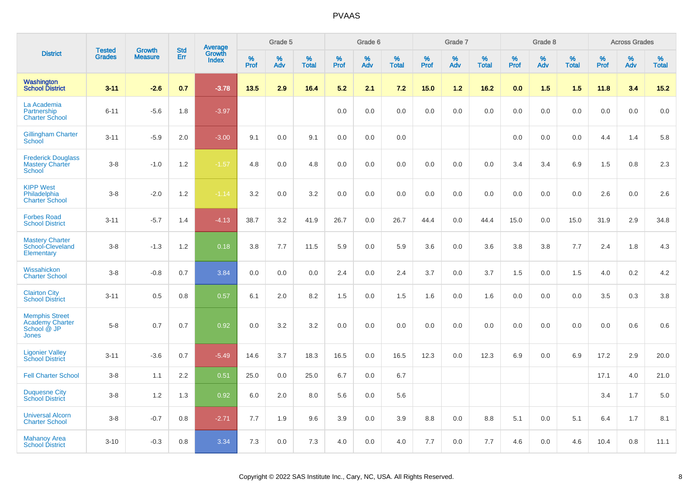|                                                                         |                                |                                 | <b>Std</b> | Average                |              | Grade 5     |                   |              | Grade 6  |                   |              | Grade 7  |                   |                  | Grade 8  |                   |              | <b>Across Grades</b> |                   |
|-------------------------------------------------------------------------|--------------------------------|---------------------------------|------------|------------------------|--------------|-------------|-------------------|--------------|----------|-------------------|--------------|----------|-------------------|------------------|----------|-------------------|--------------|----------------------|-------------------|
| <b>District</b>                                                         | <b>Tested</b><br><b>Grades</b> | <b>Growth</b><br><b>Measure</b> | Err        | Growth<br><b>Index</b> | $\%$<br>Prof | $\%$<br>Adv | %<br><b>Total</b> | $\%$<br>Prof | %<br>Adv | %<br><b>Total</b> | $\%$<br>Prof | %<br>Adv | %<br><b>Total</b> | %<br><b>Prof</b> | %<br>Adv | %<br><b>Total</b> | $\%$<br>Prof | $\%$<br>Adv          | %<br><b>Total</b> |
| <b>Washington</b><br><b>School District</b>                             | $3 - 11$                       | $-2.6$                          | 0.7        | $-3.78$                | 13.5         | 2.9         | 16.4              | 5.2          | 2.1      | 7.2               | 15.0         | $1.2$    | 16.2              | 0.0              | 1.5      | 1.5               | 11.8         | 3.4                  | 15.2              |
| La Academia<br>Partnership<br><b>Charter School</b>                     | $6 - 11$                       | $-5.6$                          | 1.8        | $-3.97$                |              |             |                   | 0.0          | 0.0      | 0.0               | 0.0          | 0.0      | 0.0               | 0.0              | 0.0      | 0.0               | 0.0          | 0.0                  | 0.0               |
| <b>Gillingham Charter</b><br>School                                     | $3 - 11$                       | $-5.9$                          | 2.0        | $-3.00$                | 9.1          | 0.0         | 9.1               | 0.0          | 0.0      | 0.0               |              |          |                   | 0.0              | 0.0      | 0.0               | 4.4          | 1.4                  | 5.8               |
| <b>Frederick Douglass</b><br><b>Mastery Charter</b><br><b>School</b>    | $3-8$                          | $-1.0$                          | 1.2        | $-1.57$                | 4.8          | 0.0         | 4.8               | 0.0          | 0.0      | 0.0               | 0.0          | 0.0      | 0.0               | 3.4              | 3.4      | 6.9               | 1.5          | 0.8                  | 2.3               |
| <b>KIPP West</b><br>Philadelphia<br><b>Charter School</b>               | $3 - 8$                        | $-2.0$                          | 1.2        | $-1.14$                | 3.2          | 0.0         | 3.2               | 0.0          | 0.0      | 0.0               | 0.0          | 0.0      | 0.0               | 0.0              | 0.0      | 0.0               | 2.6          | 0.0                  | 2.6               |
| <b>Forbes Road</b><br><b>School District</b>                            | $3 - 11$                       | $-5.7$                          | 1.4        | $-4.13$                | 38.7         | 3.2         | 41.9              | 26.7         | 0.0      | 26.7              | 44.4         | 0.0      | 44.4              | 15.0             | 0.0      | 15.0              | 31.9         | 2.9                  | 34.8              |
| <b>Mastery Charter</b><br>School-Cleveland<br>Elementary                | $3 - 8$                        | $-1.3$                          | 1.2        | 0.18                   | 3.8          | 7.7         | 11.5              | 5.9          | 0.0      | 5.9               | 3.6          | 0.0      | 3.6               | 3.8              | 3.8      | 7.7               | 2.4          | 1.8                  | 4.3               |
| Wissahickon<br><b>Charter School</b>                                    | $3 - 8$                        | $-0.8$                          | 0.7        | 3.84                   | 0.0          | 0.0         | 0.0               | 2.4          | 0.0      | 2.4               | 3.7          | 0.0      | 3.7               | 1.5              | 0.0      | 1.5               | 4.0          | 0.2                  | 4.2               |
| <b>Clairton City</b><br><b>School District</b>                          | $3 - 11$                       | 0.5                             | 0.8        | 0.57                   | 6.1          | 2.0         | 8.2               | 1.5          | 0.0      | 1.5               | 1.6          | 0.0      | 1.6               | 0.0              | 0.0      | 0.0               | 3.5          | 0.3                  | 3.8               |
| <b>Memphis Street</b><br><b>Academy Charter</b><br>School @ JP<br>Jones | $5-8$                          | 0.7                             | 0.7        | 0.92                   | 0.0          | 3.2         | 3.2               | 0.0          | 0.0      | 0.0               | 0.0          | 0.0      | 0.0               | 0.0              | 0.0      | 0.0               | 0.0          | 0.6                  | 0.6               |
| <b>Ligonier Valley</b><br><b>School District</b>                        | $3 - 11$                       | $-3.6$                          | 0.7        | $-5.49$                | 14.6         | 3.7         | 18.3              | 16.5         | 0.0      | 16.5              | 12.3         | 0.0      | 12.3              | 6.9              | 0.0      | 6.9               | 17.2         | 2.9                  | 20.0              |
| <b>Fell Charter School</b>                                              | $3-8$                          | 1.1                             | 2.2        | 0.51                   | 25.0         | 0.0         | 25.0              | 6.7          | 0.0      | 6.7               |              |          |                   |                  |          |                   | 17.1         | 4.0                  | 21.0              |
| <b>Duquesne City</b><br><b>School District</b>                          | $3-8$                          | 1.2                             | 1.3        | 0.92                   | 6.0          | 2.0         | 8.0               | 5.6          | 0.0      | 5.6               |              |          |                   |                  |          |                   | 3.4          | 1.7                  | 5.0               |
| <b>Universal Alcorn</b><br><b>Charter School</b>                        | $3 - 8$                        | $-0.7$                          | 0.8        | $-2.71$                | 7.7          | 1.9         | 9.6               | 3.9          | 0.0      | 3.9               | 8.8          | 0.0      | 8.8               | 5.1              | 0.0      | 5.1               | 6.4          | 1.7                  | 8.1               |
| <b>Mahanoy Area</b><br><b>School District</b>                           | $3 - 10$                       | $-0.3$                          | 0.8        | 3.34                   | 7.3          | 0.0         | 7.3               | 4.0          | 0.0      | 4.0               | 7.7          | 0.0      | 7.7               | 4.6              | 0.0      | 4.6               | 10.4         | 0.8                  | 11.1              |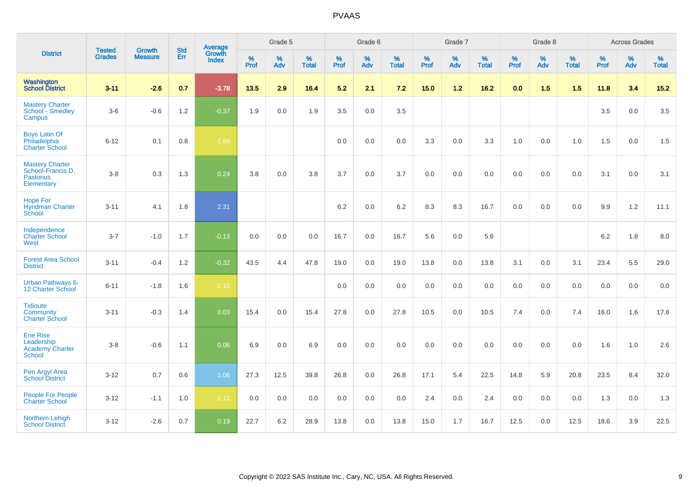| <b>District</b>                                                               | <b>Tested</b> | <b>Growth</b>  | <b>Std</b> | Average                       |                  | Grade 5  |                   |           | Grade 6  |                   |           | Grade 7  |                   |           | Grade 8  |                   |           | <b>Across Grades</b> |                   |
|-------------------------------------------------------------------------------|---------------|----------------|------------|-------------------------------|------------------|----------|-------------------|-----------|----------|-------------------|-----------|----------|-------------------|-----------|----------|-------------------|-----------|----------------------|-------------------|
|                                                                               | <b>Grades</b> | <b>Measure</b> | Err        | <b>Growth</b><br><b>Index</b> | %<br><b>Prof</b> | %<br>Adv | %<br><b>Total</b> | %<br>Prof | %<br>Adv | %<br><b>Total</b> | %<br>Prof | %<br>Adv | %<br><b>Total</b> | %<br>Prof | %<br>Adv | %<br><b>Total</b> | %<br>Prof | %<br>Adv             | %<br><b>Total</b> |
| Washington<br><b>School District</b>                                          | $3 - 11$      | $-2.6$         | 0.7        | $-3.78$                       | 13.5             | 2.9      | 16.4              | 5.2       | 2.1      | 7.2               | 15.0      | $1.2$    | 16.2              | 0.0       | 1.5      | 1.5               | 11.8      | 3.4                  | 15.2              |
| <b>Mastery Charter</b><br>School - Smedley<br>Campus                          | $3-6$         | $-0.6$         | 1.2        | $-0.37$                       | 1.9              | 0.0      | 1.9               | 3.5       | 0.0      | 3.5               |           |          |                   |           |          |                   | 3.5       | $0.0\,$              | $3.5\,$           |
| <b>Boys Latin Of</b><br>Philadelphia<br><b>Charter School</b>                 | $6 - 12$      | 0.1            | 0.8        | $-1.69$                       |                  |          |                   | 0.0       | 0.0      | 0.0               | 3.3       | 0.0      | 3.3               | 1.0       | 0.0      | 1.0               | 1.5       | 0.0                  | 1.5               |
| <b>Mastery Charter</b><br>School-Francis D.<br><b>Pastorius</b><br>Elementary | $3-8$         | 0.3            | 1.3        | 0.24                          | 3.8              | 0.0      | 3.8               | 3.7       | 0.0      | 3.7               | 0.0       | 0.0      | 0.0               | 0.0       | 0.0      | 0.0               | 3.1       | $0.0\,$              | 3.1               |
| <b>Hope For</b><br><b>Hyndman Charter</b><br>School                           | $3 - 11$      | 4.1            | 1.8        | 2.31                          |                  |          |                   | 6.2       | 0.0      | 6.2               | 8.3       | 8.3      | 16.7              | 0.0       | 0.0      | 0.0               | 9.9       | 1.2                  | 11.1              |
| Independence<br><b>Charter School</b><br>West                                 | $3 - 7$       | $-1.0$         | 1.7        | $-0.13$                       | 0.0              | 0.0      | 0.0               | 16.7      | 0.0      | 16.7              | 5.6       | 0.0      | 5.6               |           |          |                   | $6.2\,$   | 1.8                  | 8.0               |
| <b>Forest Area School</b><br><b>District</b>                                  | $3 - 11$      | $-0.4$         | 1.2        | $-0.32$                       | 43.5             | 4.4      | 47.8              | 19.0      | 0.0      | 19.0              | 13.8      | 0.0      | 13.8              | 3.1       | 0.0      | 3.1               | 23.4      | 5.5                  | 29.0              |
| <b>Urban Pathways 6-</b><br>12 Charter School                                 | $6 - 11$      | $-1.8$         | 1.6        | $-1.10$                       |                  |          |                   | 0.0       | 0.0      | 0.0               | 0.0       | 0.0      | 0.0               | 0.0       | 0.0      | 0.0               | 0.0       | 0.0                  | 0.0               |
| <b>Tidioute</b><br>Community<br><b>Charter School</b>                         | $3 - 11$      | $-0.3$         | 1.4        | 0.03                          | 15.4             | 0.0      | 15.4              | 27.8      | 0.0      | 27.8              | 10.5      | 0.0      | 10.5              | 7.4       | 0.0      | 7.4               | 16.0      | 1.6                  | 17.6              |
| <b>Erie Rise</b><br>Leadership<br><b>Academy Charter</b><br>School            | $3-8$         | $-0.6$         | 1.1        | 0.06                          | 6.9              | 0.0      | 6.9               | 0.0       | 0.0      | 0.0               | 0.0       | 0.0      | 0.0               | 0.0       | 0.0      | 0.0               | 1.6       | 1.0                  | 2.6               |
| Pen Argyl Area<br><b>School District</b>                                      | $3 - 12$      | 0.7            | 0.6        | 1.06                          | 27.3             | 12.5     | 39.8              | 26.8      | 0.0      | 26.8              | 17.1      | 5.4      | 22.5              | 14.8      | 5.9      | 20.8              | 23.5      | 8.4                  | 32.0              |
| <b>People For People</b><br><b>Charter School</b>                             | $3 - 12$      | $-1.1$         | 1.0        | $-1.12$                       | 0.0              | 0.0      | 0.0               | 0.0       | 0.0      | 0.0               | 2.4       | 0.0      | 2.4               | 0.0       | 0.0      | 0.0               | 1.3       | 0.0                  | 1.3               |
| <b>Northern Lehigh</b><br><b>School District</b>                              | $3 - 12$      | $-2.6$         | 0.7        | 0.19                          | 22.7             | 6.2      | 28.9              | 13.8      | 0.0      | 13.8              | 15.0      | 1.7      | 16.7              | 12.5      | 0.0      | 12.5              | 18.6      | 3.9                  | 22.5              |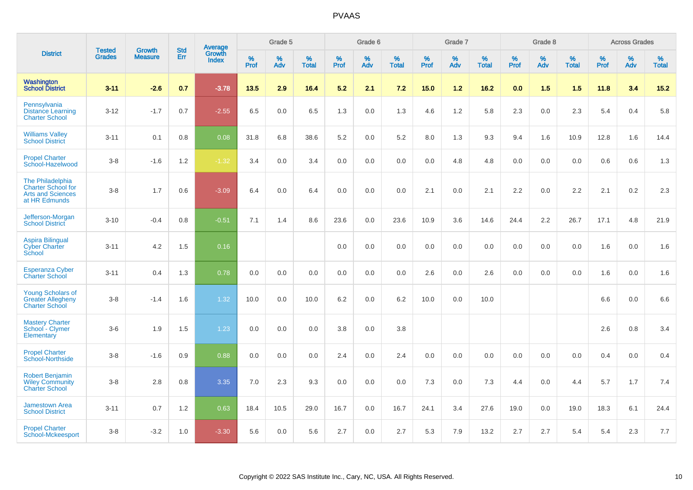| <b>District</b>                                                                            | <b>Tested</b> | <b>Growth</b>  | <b>Std</b> | Average         |           | Grade 5  |                      |           | Grade 6  |                   |           | Grade 7  |                   |           | Grade 8  |                   |           | <b>Across Grades</b> |                   |
|--------------------------------------------------------------------------------------------|---------------|----------------|------------|-----------------|-----------|----------|----------------------|-----------|----------|-------------------|-----------|----------|-------------------|-----------|----------|-------------------|-----------|----------------------|-------------------|
|                                                                                            | <b>Grades</b> | <b>Measure</b> | Err        | Growth<br>Index | %<br>Prof | %<br>Adv | $\%$<br><b>Total</b> | %<br>Prof | %<br>Adv | %<br><b>Total</b> | %<br>Prof | %<br>Adv | %<br><b>Total</b> | %<br>Prof | %<br>Adv | %<br><b>Total</b> | %<br>Prof | %<br>Adv             | %<br><b>Total</b> |
| <b>Washington</b><br><b>School District</b>                                                | $3 - 11$      | $-2.6$         | 0.7        | $-3.78$         | 13.5      | 2.9      | 16.4                 | 5.2       | 2.1      | 7.2               | 15.0      | $1.2$    | 16.2              | 0.0       | 1.5      | 1.5               | 11.8      | 3.4                  | 15.2              |
| Pennsylvania<br><b>Distance Learning</b><br><b>Charter School</b>                          | $3 - 12$      | $-1.7$         | 0.7        | $-2.55$         | 6.5       | 0.0      | 6.5                  | 1.3       | 0.0      | 1.3               | 4.6       | 1.2      | 5.8               | 2.3       | 0.0      | 2.3               | 5.4       | 0.4                  | 5.8               |
| <b>Williams Valley</b><br><b>School District</b>                                           | $3 - 11$      | 0.1            | 0.8        | 0.08            | 31.8      | 6.8      | 38.6                 | 5.2       | 0.0      | 5.2               | 8.0       | 1.3      | 9.3               | 9.4       | 1.6      | 10.9              | 12.8      | 1.6                  | 14.4              |
| <b>Propel Charter</b><br>School-Hazelwood                                                  | $3 - 8$       | $-1.6$         | 1.2        | $-1.32$         | 3.4       | 0.0      | 3.4                  | 0.0       | 0.0      | 0.0               | 0.0       | 4.8      | 4.8               | 0.0       | 0.0      | 0.0               | 0.6       | 0.6                  | 1.3               |
| The Philadelphia<br><b>Charter School for</b><br><b>Arts and Sciences</b><br>at HR Edmunds | $3-8$         | 1.7            | 0.6        | $-3.09$         | 6.4       | 0.0      | 6.4                  | 0.0       | 0.0      | 0.0               | 2.1       | 0.0      | 2.1               | 2.2       | 0.0      | 2.2               | 2.1       | 0.2                  | 2.3               |
| Jefferson-Morgan<br><b>School District</b>                                                 | $3 - 10$      | $-0.4$         | 0.8        | $-0.51$         | 7.1       | 1.4      | 8.6                  | 23.6      | 0.0      | 23.6              | 10.9      | 3.6      | 14.6              | 24.4      | 2.2      | 26.7              | 17.1      | 4.8                  | 21.9              |
| <b>Aspira Bilingual</b><br><b>Cyber Charter</b><br>School                                  | $3 - 11$      | 4.2            | 1.5        | 0.16            |           |          |                      | 0.0       | 0.0      | 0.0               | 0.0       | 0.0      | 0.0               | 0.0       | 0.0      | 0.0               | 1.6       | 0.0                  | 1.6               |
| <b>Esperanza Cyber</b><br><b>Charter School</b>                                            | $3 - 11$      | 0.4            | 1.3        | 0.78            | 0.0       | 0.0      | 0.0                  | $0.0\,$   | 0.0      | 0.0               | 2.6       | 0.0      | 2.6               | 0.0       | 0.0      | 0.0               | 1.6       | 0.0                  | 1.6               |
| <b>Young Scholars of</b><br><b>Greater Allegheny</b><br><b>Charter School</b>              | $3 - 8$       | $-1.4$         | 1.6        | 1.32            | 10.0      | 0.0      | 10.0                 | 6.2       | 0.0      | 6.2               | 10.0      | 0.0      | 10.0              |           |          |                   | 6.6       | 0.0                  | 6.6               |
| <b>Mastery Charter</b><br>School - Clymer<br>Elementary                                    | $3-6$         | 1.9            | 1.5        | 1.23            | 0.0       | 0.0      | 0.0                  | 3.8       | 0.0      | 3.8               |           |          |                   |           |          |                   | 2.6       | 0.8                  | 3.4               |
| <b>Propel Charter</b><br>School-Northside                                                  | $3-8$         | $-1.6$         | 0.9        | 0.88            | 0.0       | 0.0      | 0.0                  | 2.4       | 0.0      | 2.4               | 0.0       | 0.0      | 0.0               | 0.0       | 0.0      | 0.0               | 0.4       | 0.0                  | 0.4               |
| <b>Robert Benjamin</b><br><b>Wiley Community</b><br><b>Charter School</b>                  | $3-8$         | 2.8            | 0.8        | 3.35            | 7.0       | 2.3      | 9.3                  | 0.0       | 0.0      | 0.0               | 7.3       | 0.0      | 7.3               | 4.4       | 0.0      | 4.4               | 5.7       | 1.7                  | 7.4               |
| <b>Jamestown Area</b><br><b>School District</b>                                            | $3 - 11$      | 0.7            | $1.2$      | 0.63            | 18.4      | 10.5     | 29.0                 | 16.7      | 0.0      | 16.7              | 24.1      | 3.4      | 27.6              | 19.0      | 0.0      | 19.0              | 18.3      | 6.1                  | 24.4              |
| <b>Propel Charter</b><br>School-Mckeesport                                                 | $3 - 8$       | $-3.2$         | 1.0        | $-3.30$         | 5.6       | 0.0      | 5.6                  | 2.7       | 0.0      | 2.7               | 5.3       | 7.9      | 13.2              | 2.7       | 2.7      | 5.4               | 5.4       | 2.3                  | 7.7               |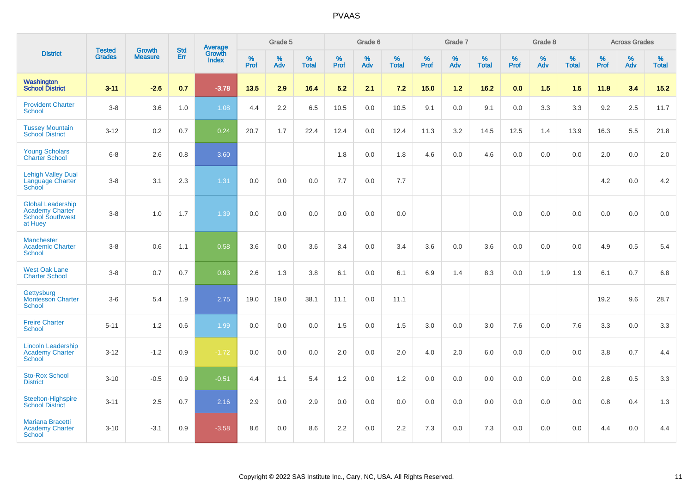|                                                                                          | <b>Tested</b> | <b>Growth</b>  | <b>Std</b> | Average                |                  | Grade 5  |                   |           | Grade 6  |                   |           | Grade 7  |                   |           | Grade 8  |                   |                  | <b>Across Grades</b> |                   |
|------------------------------------------------------------------------------------------|---------------|----------------|------------|------------------------|------------------|----------|-------------------|-----------|----------|-------------------|-----------|----------|-------------------|-----------|----------|-------------------|------------------|----------------------|-------------------|
| <b>District</b>                                                                          | <b>Grades</b> | <b>Measure</b> | Err        | Growth<br><b>Index</b> | %<br><b>Prof</b> | %<br>Adv | %<br><b>Total</b> | %<br>Prof | %<br>Adv | %<br><b>Total</b> | %<br>Prof | %<br>Adv | %<br><b>Total</b> | %<br>Prof | %<br>Adv | %<br><b>Total</b> | %<br><b>Prof</b> | %<br>Adv             | %<br><b>Total</b> |
| Washington<br><b>School District</b>                                                     | $3 - 11$      | $-2.6$         | 0.7        | $-3.78$                | 13.5             | 2.9      | 16.4              | 5.2       | 2.1      | 7.2               | 15.0      | 1.2      | 16.2              | 0.0       | 1.5      | 1.5               | 11.8             | 3.4                  | 15.2              |
| <b>Provident Charter</b><br><b>School</b>                                                | $3-8$         | 3.6            | 1.0        | 1.08                   | 4.4              | 2.2      | 6.5               | 10.5      | 0.0      | 10.5              | 9.1       | 0.0      | 9.1               | 0.0       | 3.3      | 3.3               | 9.2              | 2.5                  | 11.7              |
| <b>Tussey Mountain</b><br><b>School District</b>                                         | $3 - 12$      | 0.2            | 0.7        | 0.24                   | 20.7             | 1.7      | 22.4              | 12.4      | 0.0      | 12.4              | 11.3      | 3.2      | 14.5              | 12.5      | 1.4      | 13.9              | 16.3             | 5.5                  | 21.8              |
| <b>Young Scholars</b><br><b>Charter School</b>                                           | $6-8$         | 2.6            | 0.8        | 3.60                   |                  |          |                   | 1.8       | 0.0      | 1.8               | 4.6       | 0.0      | 4.6               | 0.0       | 0.0      | 0.0               | 2.0              | 0.0                  | $2.0\,$           |
| <b>Lehigh Valley Dual</b><br>Language Charter<br>School                                  | $3-8$         | 3.1            | 2.3        | 1.31                   | 0.0              | 0.0      | 0.0               | 7.7       | 0.0      | 7.7               |           |          |                   |           |          |                   | 4.2              | 0.0                  | 4.2               |
| <b>Global Leadership</b><br><b>Academy Charter</b><br><b>School Southwest</b><br>at Huey | $3-8$         | 1.0            | 1.7        | 1.39                   | 0.0              | 0.0      | 0.0               | 0.0       | 0.0      | 0.0               |           |          |                   | 0.0       | 0.0      | 0.0               | 0.0              | 0.0                  | 0.0               |
| <b>Manchester</b><br><b>Academic Charter</b><br>School                                   | $3-8$         | 0.6            | 1.1        | 0.58                   | 3.6              | 0.0      | 3.6               | 3.4       | 0.0      | 3.4               | 3.6       | 0.0      | 3.6               | 0.0       | 0.0      | 0.0               | 4.9              | 0.5                  | 5.4               |
| <b>West Oak Lane</b><br><b>Charter School</b>                                            | $3-8$         | 0.7            | 0.7        | 0.93                   | 2.6              | 1.3      | 3.8               | 6.1       | 0.0      | 6.1               | 6.9       | 1.4      | 8.3               | 0.0       | 1.9      | 1.9               | 6.1              | 0.7                  | 6.8               |
| Gettysburg<br><b>Montessori Charter</b><br><b>School</b>                                 | $3-6$         | 5.4            | 1.9        | 2.75                   | 19.0             | 19.0     | 38.1              | 11.1      | 0.0      | 11.1              |           |          |                   |           |          |                   | 19.2             | 9.6                  | 28.7              |
| <b>Freire Charter</b><br>School                                                          | $5 - 11$      | 1.2            | 0.6        | 1.99                   | 0.0              | 0.0      | 0.0               | 1.5       | 0.0      | 1.5               | 3.0       | 0.0      | 3.0               | 7.6       | 0.0      | 7.6               | 3.3              | 0.0                  | 3.3               |
| <b>Lincoln Leadership</b><br><b>Academy Charter</b><br><b>School</b>                     | $3 - 12$      | $-1.2$         | 0.9        | $-1.72$                | 0.0              | 0.0      | 0.0               | 2.0       | 0.0      | 2.0               | 4.0       | 2.0      | 6.0               | 0.0       | 0.0      | 0.0               | 3.8              | 0.7                  | 4.4               |
| <b>Sto-Rox School</b><br><b>District</b>                                                 | $3 - 10$      | $-0.5$         | 0.9        | $-0.51$                | 4.4              | 1.1      | 5.4               | 1.2       | 0.0      | 1.2               | 0.0       | 0.0      | 0.0               | 0.0       | 0.0      | 0.0               | 2.8              | 0.5                  | 3.3               |
| <b>Steelton-Highspire</b><br><b>School District</b>                                      | $3 - 11$      | 2.5            | 0.7        | 2.16                   | 2.9              | 0.0      | 2.9               | 0.0       | 0.0      | 0.0               | 0.0       | 0.0      | 0.0               | 0.0       | 0.0      | 0.0               | 0.8              | 0.4                  | 1.3               |
| <b>Mariana Bracetti</b><br><b>Academy Charter</b><br><b>School</b>                       | $3 - 10$      | $-3.1$         | 0.9        | $-3.58$                | 8.6              | 0.0      | 8.6               | 2.2       | 0.0      | 2.2               | 7.3       | 0.0      | 7.3               | 0.0       | 0.0      | 0.0               | 4.4              | 0.0                  | 4.4               |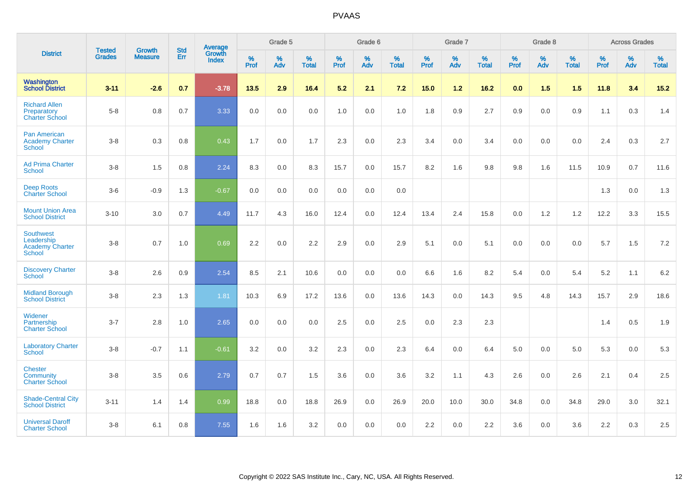|                                                              | <b>Tested</b> |                                 | <b>Std</b> | Average                |           | Grade 5  |                   |           | Grade 6  |                   |           | Grade 7  |                   |           | Grade 8  |                   |           | <b>Across Grades</b> |                   |
|--------------------------------------------------------------|---------------|---------------------------------|------------|------------------------|-----------|----------|-------------------|-----------|----------|-------------------|-----------|----------|-------------------|-----------|----------|-------------------|-----------|----------------------|-------------------|
| <b>District</b>                                              | <b>Grades</b> | <b>Growth</b><br><b>Measure</b> | Err        | Growth<br><b>Index</b> | %<br>Prof | %<br>Adv | %<br><b>Total</b> | %<br>Prof | %<br>Adv | %<br><b>Total</b> | %<br>Prof | %<br>Adv | %<br><b>Total</b> | %<br>Prof | %<br>Adv | %<br><b>Total</b> | %<br>Prof | %<br>Adv             | %<br><b>Total</b> |
| Washington<br><b>School District</b>                         | $3 - 11$      | $-2.6$                          | 0.7        | $-3.78$                | 13.5      | 2.9      | 16.4              | 5.2       | 2.1      | 7.2               | 15.0      | 1.2      | 16.2              | 0.0       | 1.5      | 1.5               | 11.8      | 3.4                  | $15.2$            |
| <b>Richard Allen</b><br>Preparatory<br><b>Charter School</b> | $5 - 8$       | 0.8                             | 0.7        | 3.33                   | 0.0       | 0.0      | 0.0               | 1.0       | 0.0      | 1.0               | 1.8       | 0.9      | 2.7               | 0.9       | 0.0      | 0.9               | 1.1       | 0.3                  | 1.4               |
| <b>Pan American</b><br><b>Academy Charter</b><br>School      | $3 - 8$       | 0.3                             | 0.8        | 0.43                   | 1.7       | 0.0      | 1.7               | 2.3       | 0.0      | 2.3               | 3.4       | 0.0      | 3.4               | 0.0       | 0.0      | 0.0               | 2.4       | 0.3                  | 2.7               |
| <b>Ad Prima Charter</b><br><b>School</b>                     | $3 - 8$       | 1.5                             | 0.8        | 2.24                   | 8.3       | 0.0      | 8.3               | 15.7      | 0.0      | 15.7              | 8.2       | 1.6      | 9.8               | 9.8       | 1.6      | 11.5              | 10.9      | 0.7                  | 11.6              |
| <b>Deep Roots</b><br><b>Charter School</b>                   | $3-6$         | $-0.9$                          | 1.3        | $-0.67$                | 0.0       | 0.0      | 0.0               | 0.0       | 0.0      | 0.0               |           |          |                   |           |          |                   | 1.3       | 0.0                  | 1.3               |
| <b>Mount Union Area</b><br><b>School District</b>            | $3 - 10$      | 3.0                             | 0.7        | 4.49                   | 11.7      | 4.3      | 16.0              | 12.4      | 0.0      | 12.4              | 13.4      | 2.4      | 15.8              | 0.0       | 1.2      | 1.2               | 12.2      | 3.3                  | 15.5              |
| Southwest<br>Leadership<br>Academy Charter<br>School         | $3 - 8$       | 0.7                             | 1.0        | 0.69                   | 2.2       | 0.0      | 2.2               | 2.9       | 0.0      | 2.9               | 5.1       | 0.0      | 5.1               | 0.0       | 0.0      | 0.0               | 5.7       | 1.5                  | 7.2               |
| <b>Discovery Charter</b><br>School                           | $3 - 8$       | 2.6                             | 0.9        | 2.54                   | 8.5       | 2.1      | 10.6              | 0.0       | 0.0      | 0.0               | 6.6       | 1.6      | 8.2               | 5.4       | 0.0      | 5.4               | 5.2       | 1.1                  | 6.2               |
| <b>Midland Borough</b><br><b>School District</b>             | $3 - 8$       | 2.3                             | 1.3        | 1.81                   | 10.3      | 6.9      | 17.2              | 13.6      | 0.0      | 13.6              | 14.3      | 0.0      | 14.3              | 9.5       | 4.8      | 14.3              | 15.7      | 2.9                  | 18.6              |
| Widener<br>Partnership<br><b>Charter School</b>              | $3 - 7$       | 2.8                             | 1.0        | 2.65                   | 0.0       | 0.0      | 0.0               | 2.5       | 0.0      | 2.5               | 0.0       | 2.3      | 2.3               |           |          |                   | 1.4       | 0.5                  | 1.9               |
| <b>Laboratory Charter</b><br>School                          | $3 - 8$       | $-0.7$                          | 1.1        | $-0.61$                | 3.2       | 0.0      | 3.2               | 2.3       | 0.0      | 2.3               | 6.4       | 0.0      | 6.4               | 5.0       | 0.0      | 5.0               | 5.3       | 0.0                  | 5.3               |
| <b>Chester</b><br>Community<br><b>Charter School</b>         | $3 - 8$       | 3.5                             | 0.6        | 2.79                   | 0.7       | 0.7      | 1.5               | 3.6       | 0.0      | 3.6               | 3.2       | 1.1      | 4.3               | 2.6       | 0.0      | 2.6               | 2.1       | 0.4                  | 2.5               |
| <b>Shade-Central City</b><br><b>School District</b>          | $3 - 11$      | 1.4                             | 1.4        | 0.99                   | 18.8      | 0.0      | 18.8              | 26.9      | 0.0      | 26.9              | 20.0      | 10.0     | 30.0              | 34.8      | 0.0      | 34.8              | 29.0      | 3.0                  | 32.1              |
| <b>Universal Daroff</b><br><b>Charter School</b>             | $3 - 8$       | 6.1                             | 0.8        | 7.55                   | 1.6       | 1.6      | 3.2               | 0.0       | 0.0      | 0.0               | 2.2       | 0.0      | 2.2               | 3.6       | 0.0      | 3.6               | 2.2       | 0.3                  | $2.5\,$           |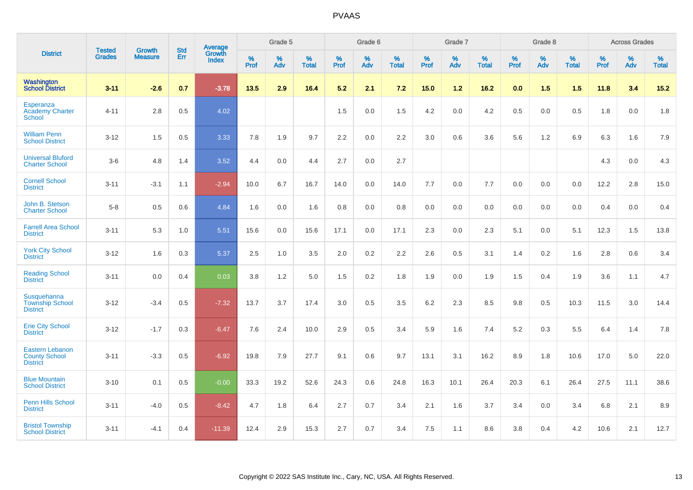|                                                                   | <b>Tested</b> | <b>Growth</b>  | <b>Std</b> | Average                |              | Grade 5  |                   |           | Grade 6  |                   |           | Grade 7  |                   |           | Grade 8  |                   |           | <b>Across Grades</b> |                   |
|-------------------------------------------------------------------|---------------|----------------|------------|------------------------|--------------|----------|-------------------|-----------|----------|-------------------|-----------|----------|-------------------|-----------|----------|-------------------|-----------|----------------------|-------------------|
| <b>District</b>                                                   | <b>Grades</b> | <b>Measure</b> | Err        | Growth<br><b>Index</b> | $\%$<br>Prof | %<br>Adv | %<br><b>Total</b> | %<br>Prof | %<br>Adv | %<br><b>Total</b> | %<br>Prof | %<br>Adv | %<br><b>Total</b> | %<br>Prof | %<br>Adv | %<br><b>Total</b> | %<br>Prof | %<br>Adv             | %<br><b>Total</b> |
| Washington<br><b>School District</b>                              | $3 - 11$      | $-2.6$         | 0.7        | $-3.78$                | 13.5         | 2.9      | 16.4              | 5.2       | 2.1      | 7.2               | 15.0      | $1.2$    | 16.2              | 0.0       | 1.5      | 1.5               | 11.8      | 3.4                  | $15.2$            |
| Esperanza<br><b>Academy Charter</b><br>School                     | $4 - 11$      | 2.8            | 0.5        | 4.02                   |              |          |                   | 1.5       | 0.0      | 1.5               | 4.2       | 0.0      | 4.2               | 0.5       | 0.0      | 0.5               | 1.8       | $0.0\,$              | 1.8               |
| <b>William Penn</b><br><b>School District</b>                     | $3 - 12$      | 1.5            | 0.5        | 3.33                   | 7.8          | 1.9      | 9.7               | 2.2       | 0.0      | 2.2               | 3.0       | 0.6      | 3.6               | 5.6       | 1.2      | 6.9               | 6.3       | 1.6                  | 7.9               |
| <b>Universal Bluford</b><br><b>Charter School</b>                 | $3-6$         | 4.8            | 1.4        | 3.52                   | 4.4          | 0.0      | 4.4               | 2.7       | 0.0      | 2.7               |           |          |                   |           |          |                   | 4.3       | 0.0                  | 4.3               |
| <b>Cornell School</b><br><b>District</b>                          | $3 - 11$      | $-3.1$         | 1.1        | $-2.94$                | 10.0         | 6.7      | 16.7              | 14.0      | 0.0      | 14.0              | 7.7       | 0.0      | 7.7               | 0.0       | 0.0      | 0.0               | 12.2      | 2.8                  | 15.0              |
| John B. Stetson<br><b>Charter School</b>                          | $5 - 8$       | 0.5            | 0.6        | 4.84                   | 1.6          | 0.0      | 1.6               | 0.8       | 0.0      | 0.8               | 0.0       | 0.0      | 0.0               | 0.0       | 0.0      | 0.0               | 0.4       | 0.0                  | 0.4               |
| <b>Farrell Area School</b><br><b>District</b>                     | $3 - 11$      | 5.3            | 1.0        | 5.51                   | 15.6         | 0.0      | 15.6              | 17.1      | 0.0      | 17.1              | 2.3       | 0.0      | 2.3               | 5.1       | 0.0      | 5.1               | 12.3      | 1.5                  | 13.8              |
| <b>York City School</b><br><b>District</b>                        | $3 - 12$      | 1.6            | 0.3        | 5.37                   | 2.5          | 1.0      | 3.5               | 2.0       | 0.2      | 2.2               | 2.6       | 0.5      | 3.1               | 1.4       | $0.2\,$  | 1.6               | 2.8       | 0.6                  | 3.4               |
| <b>Reading School</b><br><b>District</b>                          | $3 - 11$      | 0.0            | 0.4        | 0.03                   | 3.8          | 1.2      | 5.0               | 1.5       | 0.2      | 1.8               | 1.9       | 0.0      | 1.9               | 1.5       | 0.4      | 1.9               | 3.6       | 1.1                  | 4.7               |
| Susquehanna<br><b>Township School</b><br><b>District</b>          | $3 - 12$      | $-3.4$         | 0.5        | $-7.32$                | 13.7         | 3.7      | 17.4              | 3.0       | 0.5      | 3.5               | 6.2       | 2.3      | 8.5               | 9.8       | 0.5      | 10.3              | 11.5      | 3.0                  | 14.4              |
| <b>Erie City School</b><br><b>District</b>                        | $3 - 12$      | $-1.7$         | 0.3        | $-6.47$                | 7.6          | 2.4      | 10.0              | 2.9       | 0.5      | 3.4               | 5.9       | 1.6      | 7.4               | 5.2       | 0.3      | 5.5               | 6.4       | 1.4                  | 7.8               |
| <b>Eastern Lebanon</b><br><b>County School</b><br><b>District</b> | $3 - 11$      | $-3.3$         | 0.5        | $-6.92$                | 19.8         | 7.9      | 27.7              | 9.1       | $0.6\,$  | 9.7               | 13.1      | 3.1      | 16.2              | 8.9       | 1.8      | 10.6              | 17.0      | $5.0\,$              | 22.0              |
| <b>Blue Mountain</b><br><b>School District</b>                    | $3 - 10$      | 0.1            | 0.5        | $-0.00$                | 33.3         | 19.2     | 52.6              | 24.3      | 0.6      | 24.8              | 16.3      | 10.1     | 26.4              | 20.3      | 6.1      | 26.4              | 27.5      | 11.1                 | 38.6              |
| Penn Hills School<br><b>District</b>                              | $3 - 11$      | $-4.0$         | 0.5        | $-8.42$                | 4.7          | 1.8      | 6.4               | 2.7       | 0.7      | 3.4               | 2.1       | 1.6      | 3.7               | 3.4       | 0.0      | 3.4               | 6.8       | 2.1                  | 8.9               |
| <b>Bristol Township</b><br><b>School District</b>                 | $3 - 11$      | $-4.1$         | 0.4        | $-11.39$               | 12.4         | 2.9      | 15.3              | 2.7       | 0.7      | 3.4               | 7.5       | 1.1      | 8.6               | 3.8       | 0.4      | 4.2               | 10.6      | 2.1                  | 12.7              |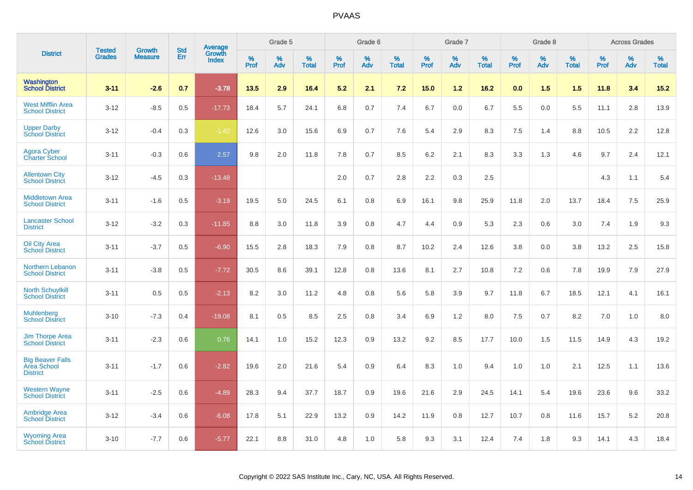|                                                           | <b>Tested</b> | <b>Growth</b>  | <b>Std</b> | Average<br>Growth |                     | Grade 5  |                      |              | Grade 6  |                      |              | Grade 7  |                      |                     | Grade 8  |                      |                     | <b>Across Grades</b> |                      |
|-----------------------------------------------------------|---------------|----------------|------------|-------------------|---------------------|----------|----------------------|--------------|----------|----------------------|--------------|----------|----------------------|---------------------|----------|----------------------|---------------------|----------------------|----------------------|
| <b>District</b>                                           | <b>Grades</b> | <b>Measure</b> | Err        | <b>Index</b>      | $\%$<br><b>Prof</b> | %<br>Adv | $\%$<br><b>Total</b> | $\%$<br>Prof | %<br>Adv | $\%$<br><b>Total</b> | $\%$<br>Prof | %<br>Adv | $\%$<br><b>Total</b> | $\%$<br><b>Prof</b> | %<br>Adv | $\%$<br><b>Total</b> | $\%$<br><b>Prof</b> | $\%$<br>Adv          | $\%$<br><b>Total</b> |
| <b>Washington</b><br><b>School District</b>               | $3 - 11$      | $-2.6$         | 0.7        | $-3.78$           | 13.5                | 2.9      | 16.4                 | 5.2          | 2.1      | 7.2                  | 15.0         | 1.2      | 16.2                 | 0.0                 | 1.5      | 1.5                  | 11.8                | 3.4                  | 15.2                 |
| <b>West Mifflin Area</b><br><b>School District</b>        | $3 - 12$      | $-8.5$         | 0.5        | $-17.73$          | 18.4                | 5.7      | 24.1                 | 6.8          | 0.7      | 7.4                  | 6.7          | 0.0      | 6.7                  | 5.5                 | 0.0      | 5.5                  | 11.1                | 2.8                  | 13.9                 |
| <b>Upper Darby</b><br><b>School District</b>              | $3 - 12$      | $-0.4$         | 0.3        | $-1.42$           | 12.6                | 3.0      | 15.6                 | 6.9          | 0.7      | 7.6                  | 5.4          | 2.9      | 8.3                  | 7.5                 | 1.4      | 8.8                  | 10.5                | 2.2                  | 12.8                 |
| <b>Agora Cyber</b><br><b>Charter School</b>               | $3 - 11$      | $-0.3$         | 0.6        | 2.57              | 9.8                 | 2.0      | 11.8                 | 7.8          | 0.7      | 8.5                  | $6.2\,$      | 2.1      | 8.3                  | 3.3                 | 1.3      | 4.6                  | 9.7                 | 2.4                  | 12.1                 |
| <b>Allentown City</b><br><b>School District</b>           | $3 - 12$      | $-4.5$         | 0.3        | $-13.48$          |                     |          |                      | 2.0          | 0.7      | 2.8                  | 2.2          | 0.3      | 2.5                  |                     |          |                      | 4.3                 | 1.1                  | 5.4                  |
| <b>Middletown Area</b><br><b>School District</b>          | $3 - 11$      | $-1.6$         | 0.5        | $-3.19$           | 19.5                | 5.0      | 24.5                 | 6.1          | 0.8      | 6.9                  | 16.1         | 9.8      | 25.9                 | 11.8                | 2.0      | 13.7                 | 18.4                | 7.5                  | 25.9                 |
| <b>Lancaster School</b><br><b>District</b>                | $3 - 12$      | $-3.2$         | 0.3        | $-11.85$          | 8.8                 | 3.0      | 11.8                 | 3.9          | 0.8      | 4.7                  | 4.4          | 0.9      | 5.3                  | 2.3                 | 0.6      | 3.0                  | 7.4                 | 1.9                  | 9.3                  |
| <b>Oil City Area</b><br><b>School District</b>            | $3 - 11$      | $-3.7$         | 0.5        | $-6.90$           | 15.5                | 2.8      | 18.3                 | 7.9          | 0.8      | 8.7                  | 10.2         | 2.4      | 12.6                 | 3.8                 | 0.0      | 3.8                  | 13.2                | 2.5                  | 15.8                 |
| <b>Northern Lebanon</b><br><b>School District</b>         | $3 - 11$      | $-3.8$         | 0.5        | $-7.72$           | 30.5                | 8.6      | 39.1                 | 12.8         | 0.8      | 13.6                 | 8.1          | 2.7      | 10.8                 | 7.2                 | 0.6      | 7.8                  | 19.9                | 7.9                  | 27.9                 |
| <b>North Schuylkill</b><br><b>School District</b>         | $3 - 11$      | 0.5            | 0.5        | $-2.13$           | 8.2                 | 3.0      | 11.2                 | 4.8          | 0.8      | 5.6                  | 5.8          | 3.9      | 9.7                  | 11.8                | 6.7      | 18.5                 | 12.1                | 4.1                  | 16.1                 |
| <b>Muhlenberg</b><br><b>School District</b>               | $3 - 10$      | $-7.3$         | 0.4        | $-19.08$          | 8.1                 | 0.5      | 8.5                  | 2.5          | 0.8      | 3.4                  | 6.9          | 1.2      | 8.0                  | 7.5                 | 0.7      | 8.2                  | 7.0                 | 1.0                  | 8.0                  |
| <b>Jim Thorpe Area</b><br><b>School District</b>          | $3 - 11$      | $-2.3$         | 0.6        | 0.76              | 14.1                | 1.0      | 15.2                 | 12.3         | 0.9      | 13.2                 | 9.2          | 8.5      | 17.7                 | 10.0                | 1.5      | 11.5                 | 14.9                | 4.3                  | 19.2                 |
| <b>Big Beaver Falls</b><br>Area School<br><b>District</b> | $3 - 11$      | $-1.7$         | 0.6        | $-2.82$           | 19.6                | 2.0      | 21.6                 | 5.4          | 0.9      | 6.4                  | 8.3          | $1.0$    | 9.4                  | 1.0                 | 1.0      | 2.1                  | 12.5                | 1.1                  | 13.6                 |
| <b>Western Wayne</b><br><b>School District</b>            | $3 - 11$      | $-2.5$         | 0.6        | $-4.89$           | 28.3                | 9.4      | 37.7                 | 18.7         | 0.9      | 19.6                 | 21.6         | 2.9      | 24.5                 | 14.1                | 5.4      | 19.6                 | 23.6                | 9.6                  | 33.2                 |
| <b>Ambridge Area</b><br><b>School District</b>            | $3 - 12$      | $-3.4$         | 0.6        | $-6.08$           | 17.8                | 5.1      | 22.9                 | 13.2         | 0.9      | 14.2                 | 11.9         | 0.8      | 12.7                 | 10.7                | 0.8      | 11.6                 | 15.7                | 5.2                  | 20.8                 |
| <b>Wyoming Area</b><br><b>School District</b>             | $3 - 10$      | $-7.7$         | 0.6        | $-5.77$           | 22.1                | 8.8      | 31.0                 | 4.8          | 1.0      | 5.8                  | 9.3          | 3.1      | 12.4                 | 7.4                 | 1.8      | 9.3                  | 14.1                | 4.3                  | 18.4                 |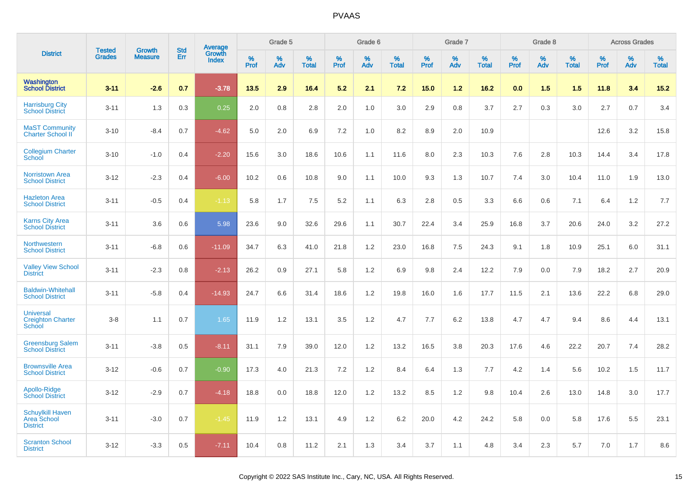|                                                           | <b>Tested</b> |                                 | <b>Std</b> |                                   |              | Grade 5  |                      |                     | Grade 6  |                      |              | Grade 7  |                      |              | Grade 8  |                      |              | <b>Across Grades</b> |                      |
|-----------------------------------------------------------|---------------|---------------------------------|------------|-----------------------------------|--------------|----------|----------------------|---------------------|----------|----------------------|--------------|----------|----------------------|--------------|----------|----------------------|--------------|----------------------|----------------------|
| <b>District</b>                                           | <b>Grades</b> | <b>Growth</b><br><b>Measure</b> | <b>Err</b> | Average<br>Growth<br><b>Index</b> | $\%$<br>Prof | %<br>Adv | $\%$<br><b>Total</b> | $\%$<br><b>Prof</b> | %<br>Adv | $\%$<br><b>Total</b> | $\%$<br>Prof | %<br>Adv | $\%$<br><b>Total</b> | $\%$<br>Prof | %<br>Adv | $\%$<br><b>Total</b> | $\%$<br>Prof | $\%$<br>Adv          | $\%$<br><b>Total</b> |
| <b>Washington</b><br><b>School District</b>               | $3 - 11$      | $-2.6$                          | 0.7        | $-3.78$                           | 13.5         | 2.9      | 16.4                 | 5.2                 | 2.1      | 7.2                  | 15.0         | $1.2$    | 16.2                 | 0.0          | 1.5      | 1.5                  | 11.8         | 3.4                  | $15.2$               |
| <b>Harrisburg City</b><br><b>School District</b>          | $3 - 11$      | 1.3                             | 0.3        | 0.25                              | 2.0          | 0.8      | 2.8                  | 2.0                 | 1.0      | 3.0                  | 2.9          | 0.8      | 3.7                  | 2.7          | 0.3      | 3.0                  | 2.7          | 0.7                  | 3.4                  |
| <b>MaST Community</b><br>Charter School II                | $3 - 10$      | $-8.4$                          | 0.7        | $-4.62$                           | 5.0          | 2.0      | 6.9                  | 7.2                 | 1.0      | 8.2                  | 8.9          | 2.0      | 10.9                 |              |          |                      | 12.6         | 3.2                  | 15.8                 |
| <b>Collegium Charter</b><br>School                        | $3 - 10$      | $-1.0$                          | 0.4        | $-2.20$                           | 15.6         | 3.0      | 18.6                 | 10.6                | 1.1      | 11.6                 | 8.0          | 2.3      | 10.3                 | 7.6          | 2.8      | 10.3                 | 14.4         | 3.4                  | 17.8                 |
| <b>Norristown Area</b><br><b>School District</b>          | $3 - 12$      | $-2.3$                          | 0.4        | $-6.00$                           | 10.2         | 0.6      | 10.8                 | 9.0                 | 1.1      | 10.0                 | 9.3          | 1.3      | 10.7                 | 7.4          | 3.0      | 10.4                 | 11.0         | 1.9                  | 13.0                 |
| <b>Hazleton Area</b><br><b>School District</b>            | $3 - 11$      | $-0.5$                          | 0.4        | $-1.13$                           | 5.8          | 1.7      | 7.5                  | 5.2                 | 1.1      | 6.3                  | 2.8          | 0.5      | 3.3                  | 6.6          | 0.6      | 7.1                  | 6.4          | 1.2                  | 7.7                  |
| <b>Karns City Area</b><br><b>School District</b>          | $3 - 11$      | 3.6                             | 0.6        | 5.98                              | 23.6         | 9.0      | 32.6                 | 29.6                | 1.1      | 30.7                 | 22.4         | 3.4      | 25.9                 | 16.8         | 3.7      | 20.6                 | 24.0         | 3.2                  | 27.2                 |
| Northwestern<br><b>School District</b>                    | $3 - 11$      | $-6.8$                          | 0.6        | $-11.09$                          | 34.7         | 6.3      | 41.0                 | 21.8                | 1.2      | 23.0                 | 16.8         | 7.5      | 24.3                 | 9.1          | 1.8      | 10.9                 | 25.1         | 6.0                  | 31.1                 |
| <b>Valley View School</b><br><b>District</b>              | $3 - 11$      | $-2.3$                          | 0.8        | $-2.13$                           | 26.2         | 0.9      | 27.1                 | 5.8                 | $1.2$    | 6.9                  | 9.8          | 2.4      | 12.2                 | 7.9          | 0.0      | 7.9                  | 18.2         | 2.7                  | 20.9                 |
| <b>Baldwin-Whitehall</b><br><b>School District</b>        | $3 - 11$      | $-5.8$                          | 0.4        | $-14.93$                          | 24.7         | 6.6      | 31.4                 | 18.6                | 1.2      | 19.8                 | 16.0         | 1.6      | 17.7                 | 11.5         | 2.1      | 13.6                 | 22.2         | 6.8                  | 29.0                 |
| <b>Universal</b><br><b>Creighton Charter</b><br>School    | $3 - 8$       | 1.1                             | 0.7        | 1.65                              | 11.9         | 1.2      | 13.1                 | 3.5                 | $1.2$    | 4.7                  | 7.7          | 6.2      | 13.8                 | 4.7          | 4.7      | 9.4                  | 8.6          | 4.4                  | 13.1                 |
| <b>Greensburg Salem</b><br><b>School District</b>         | $3 - 11$      | $-3.8$                          | 0.5        | $-8.11$                           | 31.1         | 7.9      | 39.0                 | 12.0                | 1.2      | 13.2                 | 16.5         | 3.8      | 20.3                 | 17.6         | 4.6      | 22.2                 | 20.7         | 7.4                  | 28.2                 |
| <b>Brownsville Area</b><br><b>School District</b>         | $3 - 12$      | $-0.6$                          | 0.7        | $-0.90$                           | 17.3         | 4.0      | 21.3                 | 7.2                 | 1.2      | 8.4                  | 6.4          | 1.3      | 7.7                  | 4.2          | 1.4      | 5.6                  | 10.2         | 1.5                  | 11.7                 |
| Apollo-Ridge<br><b>School District</b>                    | $3 - 12$      | $-2.9$                          | 0.7        | $-4.18$                           | 18.8         | 0.0      | 18.8                 | 12.0                | 1.2      | 13.2                 | 8.5          | 1.2      | 9.8                  | 10.4         | 2.6      | 13.0                 | 14.8         | 3.0                  | 17.7                 |
| <b>Schuylkill Haven</b><br>Area School<br><b>District</b> | $3 - 11$      | $-3.0$                          | 0.7        | $-1.45$                           | 11.9         | 1.2      | 13.1                 | 4.9                 | 1.2      | 6.2                  | 20.0         | 4.2      | 24.2                 | 5.8          | 0.0      | 5.8                  | 17.6         | 5.5                  | 23.1                 |
| <b>Scranton School</b><br><b>District</b>                 | $3 - 12$      | $-3.3$                          | 0.5        | $-7.11$                           | 10.4         | 0.8      | 11.2                 | 2.1                 | 1.3      | 3.4                  | 3.7          | 1.1      | 4.8                  | 3.4          | 2.3      | 5.7                  | 7.0          | 1.7                  | 8.6                  |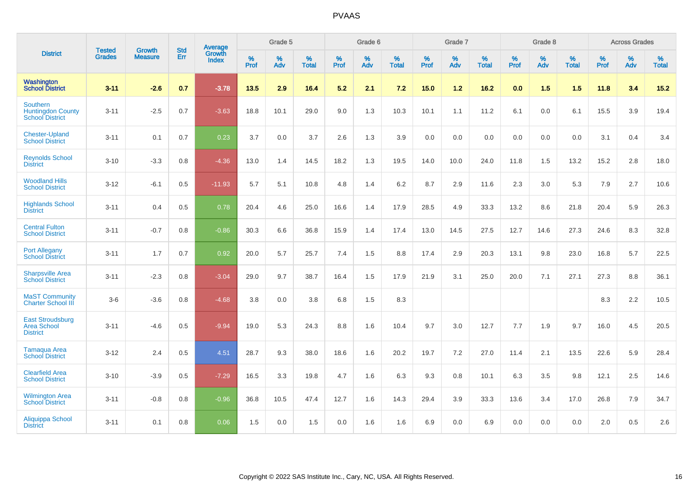|                                                                       | <b>Tested</b> | <b>Growth</b>  | <b>Std</b> | Average                |                  | Grade 5  |                   |                  | Grade 6  |                   |           | Grade 7  |                   |           | Grade 8  |                   |           | <b>Across Grades</b> |                   |
|-----------------------------------------------------------------------|---------------|----------------|------------|------------------------|------------------|----------|-------------------|------------------|----------|-------------------|-----------|----------|-------------------|-----------|----------|-------------------|-----------|----------------------|-------------------|
| <b>District</b>                                                       | <b>Grades</b> | <b>Measure</b> | Err        | Growth<br><b>Index</b> | %<br><b>Prof</b> | %<br>Adv | %<br><b>Total</b> | %<br><b>Prof</b> | %<br>Adv | %<br><b>Total</b> | %<br>Prof | %<br>Adv | %<br><b>Total</b> | %<br>Prof | %<br>Adv | %<br><b>Total</b> | %<br>Prof | %<br>Adv             | %<br><b>Total</b> |
| Washington<br><b>School District</b>                                  | $3 - 11$      | $-2.6$         | 0.7        | $-3.78$                | 13.5             | 2.9      | 16.4              | 5.2              | 2.1      | 7.2               | 15.0      | $1.2$    | 16.2              | 0.0       | 1.5      | 1.5               | 11.8      | 3.4                  | $15.2$            |
| <b>Southern</b><br><b>Huntingdon County</b><br><b>School District</b> | $3 - 11$      | $-2.5$         | 0.7        | $-3.63$                | 18.8             | 10.1     | 29.0              | 9.0              | 1.3      | 10.3              | 10.1      | 1.1      | 11.2              | 6.1       | 0.0      | 6.1               | 15.5      | 3.9                  | 19.4              |
| <b>Chester-Upland</b><br><b>School District</b>                       | $3 - 11$      | 0.1            | 0.7        | 0.23                   | 3.7              | 0.0      | 3.7               | 2.6              | 1.3      | 3.9               | 0.0       | 0.0      | 0.0               | 0.0       | 0.0      | 0.0               | 3.1       | 0.4                  | 3.4               |
| <b>Reynolds School</b><br><b>District</b>                             | $3 - 10$      | $-3.3$         | 0.8        | $-4.36$                | 13.0             | 1.4      | 14.5              | 18.2             | 1.3      | 19.5              | 14.0      | 10.0     | 24.0              | 11.8      | 1.5      | 13.2              | 15.2      | 2.8                  | 18.0              |
| <b>Woodland Hills</b><br><b>School District</b>                       | $3 - 12$      | $-6.1$         | 0.5        | $-11.93$               | 5.7              | 5.1      | 10.8              | 4.8              | 1.4      | 6.2               | 8.7       | 2.9      | 11.6              | 2.3       | 3.0      | 5.3               | 7.9       | 2.7                  | 10.6              |
| <b>Highlands School</b><br><b>District</b>                            | $3 - 11$      | 0.4            | 0.5        | 0.78                   | 20.4             | 4.6      | 25.0              | 16.6             | 1.4      | 17.9              | 28.5      | 4.9      | 33.3              | 13.2      | 8.6      | 21.8              | 20.4      | 5.9                  | 26.3              |
| <b>Central Fulton</b><br><b>School District</b>                       | $3 - 11$      | $-0.7$         | 0.8        | $-0.86$                | 30.3             | 6.6      | 36.8              | 15.9             | 1.4      | 17.4              | 13.0      | 14.5     | 27.5              | 12.7      | 14.6     | 27.3              | 24.6      | 8.3                  | 32.8              |
| <b>Port Allegany</b><br><b>School District</b>                        | $3 - 11$      | 1.7            | 0.7        | 0.92                   | 20.0             | 5.7      | 25.7              | 7.4              | 1.5      | 8.8               | 17.4      | 2.9      | 20.3              | 13.1      | 9.8      | 23.0              | 16.8      | 5.7                  | 22.5              |
| <b>Sharpsville Area</b><br><b>School District</b>                     | $3 - 11$      | $-2.3$         | 0.8        | $-3.04$                | 29.0             | 9.7      | 38.7              | 16.4             | 1.5      | 17.9              | 21.9      | 3.1      | 25.0              | 20.0      | 7.1      | 27.1              | 27.3      | 8.8                  | 36.1              |
| <b>MaST Community</b><br><b>Charter School III</b>                    | $3-6$         | $-3.6$         | 0.8        | $-4.68$                | 3.8              | 0.0      | 3.8               | 6.8              | 1.5      | 8.3               |           |          |                   |           |          |                   | 8.3       | 2.2                  | 10.5              |
| <b>East Stroudsburg</b><br><b>Area School</b><br><b>District</b>      | $3 - 11$      | $-4.6$         | 0.5        | $-9.94$                | 19.0             | 5.3      | 24.3              | 8.8              | 1.6      | 10.4              | 9.7       | 3.0      | 12.7              | 7.7       | 1.9      | 9.7               | 16.0      | 4.5                  | 20.5              |
| <b>Tamaqua Area</b><br><b>School District</b>                         | $3 - 12$      | 2.4            | 0.5        | 4.51                   | 28.7             | 9.3      | 38.0              | 18.6             | 1.6      | 20.2              | 19.7      | 7.2      | 27.0              | 11.4      | 2.1      | 13.5              | 22.6      | 5.9                  | 28.4              |
| <b>Clearfield Area</b><br><b>School District</b>                      | $3 - 10$      | $-3.9$         | 0.5        | $-7.29$                | 16.5             | 3.3      | 19.8              | 4.7              | 1.6      | 6.3               | 9.3       | 0.8      | 10.1              | 6.3       | 3.5      | 9.8               | 12.1      | 2.5                  | 14.6              |
| <b>Wilmington Area</b><br><b>School District</b>                      | $3 - 11$      | $-0.8$         | 0.8        | $-0.96$                | 36.8             | 10.5     | 47.4              | 12.7             | 1.6      | 14.3              | 29.4      | 3.9      | 33.3              | 13.6      | 3.4      | 17.0              | 26.8      | 7.9                  | 34.7              |
| Aliquippa School<br><b>District</b>                                   | $3 - 11$      | 0.1            | 0.8        | 0.06                   | 1.5              | 0.0      | 1.5               | 0.0              | 1.6      | 1.6               | 6.9       | 0.0      | 6.9               | 0.0       | 0.0      | 0.0               | 2.0       | 0.5                  | 2.6               |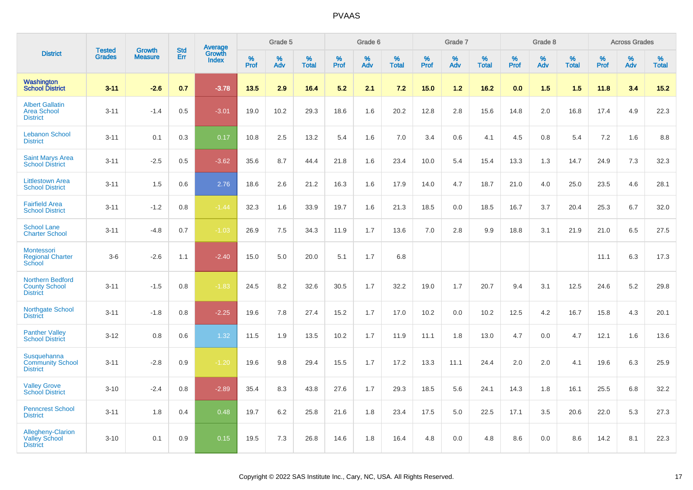|                                                                    |                                | <b>Growth</b>  | <b>Std</b> | <b>Average</b><br>Growth |           | Grade 5  |                   |           | Grade 6  |                   |           | Grade 7  |                   |           | Grade 8  |                   |           | <b>Across Grades</b> |                   |
|--------------------------------------------------------------------|--------------------------------|----------------|------------|--------------------------|-----------|----------|-------------------|-----------|----------|-------------------|-----------|----------|-------------------|-----------|----------|-------------------|-----------|----------------------|-------------------|
| <b>District</b>                                                    | <b>Tested</b><br><b>Grades</b> | <b>Measure</b> | <b>Err</b> | <b>Index</b>             | %<br>Prof | %<br>Adv | %<br><b>Total</b> | %<br>Prof | %<br>Adv | %<br><b>Total</b> | %<br>Prof | %<br>Adv | %<br><b>Total</b> | %<br>Prof | %<br>Adv | %<br><b>Total</b> | %<br>Prof | %<br>Adv             | %<br><b>Total</b> |
| Washington<br><b>School District</b>                               | $3 - 11$                       | $-2.6$         | 0.7        | $-3.78$                  | 13.5      | 2.9      | 16.4              | 5.2       | 2.1      | 7.2               | 15.0      | $1.2$    | 16.2              | 0.0       | 1.5      | 1.5               | 11.8      | 3.4                  | 15.2              |
| <b>Albert Gallatin</b><br><b>Area School</b><br><b>District</b>    | $3 - 11$                       | $-1.4$         | 0.5        | $-3.01$                  | 19.0      | 10.2     | 29.3              | 18.6      | 1.6      | 20.2              | 12.8      | 2.8      | 15.6              | 14.8      | 2.0      | 16.8              | 17.4      | 4.9                  | 22.3              |
| <b>Lebanon School</b><br><b>District</b>                           | $3 - 11$                       | 0.1            | 0.3        | 0.17                     | 10.8      | 2.5      | 13.2              | 5.4       | 1.6      | 7.0               | 3.4       | 0.6      | 4.1               | 4.5       | 0.8      | 5.4               | 7.2       | 1.6                  | 8.8               |
| <b>Saint Marys Area</b><br><b>School District</b>                  | $3 - 11$                       | $-2.5$         | 0.5        | $-3.62$                  | 35.6      | 8.7      | 44.4              | 21.8      | 1.6      | 23.4              | 10.0      | 5.4      | 15.4              | 13.3      | 1.3      | 14.7              | 24.9      | 7.3                  | 32.3              |
| <b>Littlestown Area</b><br><b>School District</b>                  | $3 - 11$                       | 1.5            | 0.6        | 2.76                     | 18.6      | 2.6      | 21.2              | 16.3      | 1.6      | 17.9              | 14.0      | 4.7      | 18.7              | 21.0      | 4.0      | 25.0              | 23.5      | 4.6                  | 28.1              |
| <b>Fairfield Area</b><br><b>School District</b>                    | $3 - 11$                       | $-1.2$         | 0.8        | $-1.44$                  | 32.3      | 1.6      | 33.9              | 19.7      | 1.6      | 21.3              | 18.5      | 0.0      | 18.5              | 16.7      | 3.7      | 20.4              | 25.3      | 6.7                  | 32.0              |
| <b>School Lane</b><br><b>Charter School</b>                        | $3 - 11$                       | $-4.8$         | 0.7        | $-1.03$                  | 26.9      | 7.5      | 34.3              | 11.9      | 1.7      | 13.6              | 7.0       | 2.8      | 9.9               | 18.8      | 3.1      | 21.9              | 21.0      | 6.5                  | 27.5              |
| Montessori<br><b>Regional Charter</b><br>School                    | $3-6$                          | $-2.6$         | 1.1        | $-2.40$                  | 15.0      | 5.0      | 20.0              | 5.1       | 1.7      | 6.8               |           |          |                   |           |          |                   | 11.1      | 6.3                  | 17.3              |
| <b>Northern Bedford</b><br><b>County School</b><br><b>District</b> | $3 - 11$                       | $-1.5$         | 0.8        | $-1.83$                  | 24.5      | 8.2      | 32.6              | 30.5      | 1.7      | 32.2              | 19.0      | 1.7      | 20.7              | 9.4       | 3.1      | 12.5              | 24.6      | 5.2                  | 29.8              |
| Northgate School<br><b>District</b>                                | $3 - 11$                       | $-1.8$         | 0.8        | $-2.25$                  | 19.6      | 7.8      | 27.4              | 15.2      | 1.7      | 17.0              | 10.2      | 0.0      | 10.2              | 12.5      | 4.2      | 16.7              | 15.8      | 4.3                  | 20.1              |
| <b>Panther Valley</b><br><b>School District</b>                    | $3 - 12$                       | 0.8            | 0.6        | 1.32                     | 11.5      | 1.9      | 13.5              | 10.2      | 1.7      | 11.9              | 11.1      | 1.8      | 13.0              | 4.7       | 0.0      | 4.7               | 12.1      | 1.6                  | 13.6              |
| Susquehanna<br><b>Community School</b><br><b>District</b>          | $3 - 11$                       | $-2.8$         | 0.9        | $-1.20$                  | 19.6      | 9.8      | 29.4              | 15.5      | 1.7      | 17.2              | 13.3      | 11.1     | 24.4              | 2.0       | 2.0      | 4.1               | 19.6      | 6.3                  | 25.9              |
| <b>Valley Grove</b><br><b>School District</b>                      | $3 - 10$                       | $-2.4$         | 0.8        | $-2.89$                  | 35.4      | 8.3      | 43.8              | 27.6      | 1.7      | 29.3              | 18.5      | 5.6      | 24.1              | 14.3      | 1.8      | 16.1              | 25.5      | 6.8                  | 32.2              |
| <b>Penncrest School</b><br><b>District</b>                         | $3 - 11$                       | 1.8            | 0.4        | 0.48                     | 19.7      | 6.2      | 25.8              | 21.6      | 1.8      | 23.4              | 17.5      | 5.0      | 22.5              | 17.1      | 3.5      | 20.6              | 22.0      | 5.3                  | 27.3              |
| Allegheny-Clarion<br><b>Valley School</b><br><b>District</b>       | $3 - 10$                       | 0.1            | 0.9        | 0.15                     | 19.5      | 7.3      | 26.8              | 14.6      | 1.8      | 16.4              | 4.8       | 0.0      | 4.8               | 8.6       | 0.0      | 8.6               | 14.2      | 8.1                  | 22.3              |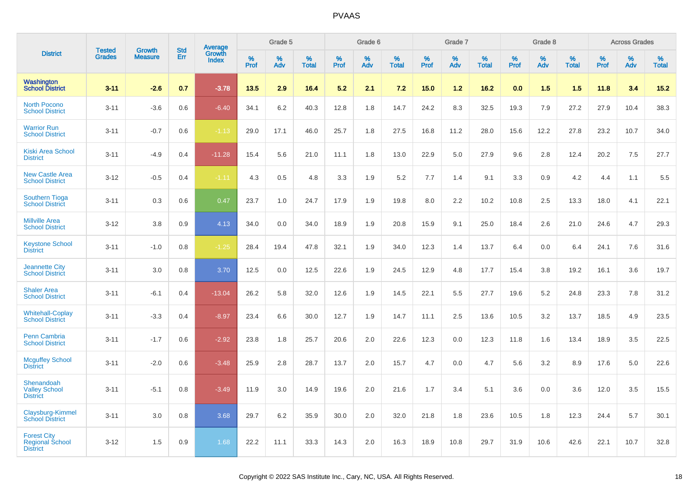|                                                                 | <b>Tested</b> | <b>Growth</b>  | <b>Std</b> |                                   |                     | Grade 5  |                   |              | Grade 6  |                   |              | Grade 7  |                   |              | Grade 8  |                   |              | <b>Across Grades</b> |                   |
|-----------------------------------------------------------------|---------------|----------------|------------|-----------------------------------|---------------------|----------|-------------------|--------------|----------|-------------------|--------------|----------|-------------------|--------------|----------|-------------------|--------------|----------------------|-------------------|
| <b>District</b>                                                 | <b>Grades</b> | <b>Measure</b> | Err        | Average<br>Growth<br><b>Index</b> | $\%$<br><b>Prof</b> | %<br>Adv | %<br><b>Total</b> | $\%$<br>Prof | %<br>Adv | %<br><b>Total</b> | $\%$<br>Prof | %<br>Adv | %<br><b>Total</b> | $\%$<br>Prof | %<br>Adv | %<br><b>Total</b> | $\%$<br>Prof | %<br>Adv             | %<br><b>Total</b> |
| Washington<br><b>School District</b>                            | $3 - 11$      | $-2.6$         | 0.7        | $-3.78$                           | 13.5                | 2.9      | 16.4              | 5.2          | 2.1      | 7.2               | 15.0         | 1.2      | 16.2              | 0.0          | 1.5      | 1.5               | 11.8         | 3.4                  | 15.2              |
| <b>North Pocono</b><br><b>School District</b>                   | $3 - 11$      | $-3.6$         | 0.6        | $-6.40$                           | 34.1                | 6.2      | 40.3              | 12.8         | 1.8      | 14.7              | 24.2         | 8.3      | 32.5              | 19.3         | 7.9      | 27.2              | 27.9         | 10.4                 | 38.3              |
| <b>Warrior Run</b><br><b>School District</b>                    | $3 - 11$      | $-0.7$         | 0.6        | $-1.13$                           | 29.0                | 17.1     | 46.0              | 25.7         | 1.8      | 27.5              | 16.8         | 11.2     | 28.0              | 15.6         | 12.2     | 27.8              | 23.2         | 10.7                 | 34.0              |
| <b>Kiski Area School</b><br><b>District</b>                     | $3 - 11$      | $-4.9$         | 0.4        | $-11.28$                          | 15.4                | 5.6      | 21.0              | 11.1         | 1.8      | 13.0              | 22.9         | 5.0      | 27.9              | 9.6          | 2.8      | 12.4              | 20.2         | 7.5                  | 27.7              |
| <b>New Castle Area</b><br><b>School District</b>                | $3 - 12$      | $-0.5$         | 0.4        | $-1.11$                           | 4.3                 | 0.5      | 4.8               | 3.3          | 1.9      | 5.2               | 7.7          | 1.4      | 9.1               | 3.3          | 0.9      | 4.2               | 4.4          | 1.1                  | 5.5               |
| <b>Southern Tioga</b><br><b>School District</b>                 | $3 - 11$      | 0.3            | 0.6        | 0.47                              | 23.7                | 1.0      | 24.7              | 17.9         | 1.9      | 19.8              | 8.0          | 2.2      | 10.2              | 10.8         | 2.5      | 13.3              | 18.0         | 4.1                  | 22.1              |
| <b>Millville Area</b><br><b>School District</b>                 | $3 - 12$      | 3.8            | 0.9        | 4.13                              | 34.0                | 0.0      | 34.0              | 18.9         | 1.9      | 20.8              | 15.9         | 9.1      | 25.0              | 18.4         | 2.6      | 21.0              | 24.6         | 4.7                  | 29.3              |
| <b>Keystone School</b><br><b>District</b>                       | $3 - 11$      | $-1.0$         | 0.8        | $-1.25$                           | 28.4                | 19.4     | 47.8              | 32.1         | 1.9      | 34.0              | 12.3         | 1.4      | 13.7              | 6.4          | 0.0      | 6.4               | 24.1         | 7.6                  | 31.6              |
| <b>Jeannette City</b><br><b>School District</b>                 | $3 - 11$      | 3.0            | 0.8        | 3.70                              | 12.5                | 0.0      | 12.5              | 22.6         | 1.9      | 24.5              | 12.9         | 4.8      | 17.7              | 15.4         | 3.8      | 19.2              | 16.1         | 3.6                  | 19.7              |
| <b>Shaler Area</b><br><b>School District</b>                    | $3 - 11$      | $-6.1$         | 0.4        | $-13.04$                          | 26.2                | 5.8      | 32.0              | 12.6         | 1.9      | 14.5              | 22.1         | 5.5      | 27.7              | 19.6         | 5.2      | 24.8              | 23.3         | 7.8                  | 31.2              |
| <b>Whitehall-Coplay</b><br><b>School District</b>               | $3 - 11$      | $-3.3$         | 0.4        | $-8.97$                           | 23.4                | 6.6      | 30.0              | 12.7         | 1.9      | 14.7              | 11.1         | 2.5      | 13.6              | 10.5         | 3.2      | 13.7              | 18.5         | 4.9                  | 23.5              |
| <b>Penn Cambria</b><br><b>School District</b>                   | $3 - 11$      | $-1.7$         | 0.6        | $-2.92$                           | 23.8                | 1.8      | 25.7              | 20.6         | 2.0      | 22.6              | 12.3         | 0.0      | 12.3              | 11.8         | 1.6      | 13.4              | 18.9         | 3.5                  | 22.5              |
| <b>Mcguffey School</b><br><b>District</b>                       | $3 - 11$      | $-2.0$         | 0.6        | $-3.48$                           | 25.9                | 2.8      | 28.7              | 13.7         | 2.0      | 15.7              | 4.7          | 0.0      | 4.7               | 5.6          | 3.2      | 8.9               | 17.6         | $5.0\,$              | 22.6              |
| Shenandoah<br><b>Valley School</b><br><b>District</b>           | $3 - 11$      | $-5.1$         | 0.8        | $-3.49$                           | 11.9                | 3.0      | 14.9              | 19.6         | 2.0      | 21.6              | 1.7          | 3.4      | 5.1               | 3.6          | 0.0      | 3.6               | 12.0         | 3.5                  | 15.5              |
| Claysburg-Kimmel<br><b>School District</b>                      | $3 - 11$      | 3.0            | 0.8        | 3.68                              | 29.7                | 6.2      | 35.9              | 30.0         | 2.0      | 32.0              | 21.8         | 1.8      | 23.6              | 10.5         | 1.8      | 12.3              | 24.4         | 5.7                  | 30.1              |
| <b>Forest City</b><br><b>Regional School</b><br><b>District</b> | $3 - 12$      | 1.5            | 0.9        | 1.68                              | 22.2                | 11.1     | 33.3              | 14.3         | 2.0      | 16.3              | 18.9         | 10.8     | 29.7              | 31.9         | 10.6     | 42.6              | 22.1         | 10.7                 | 32.8              |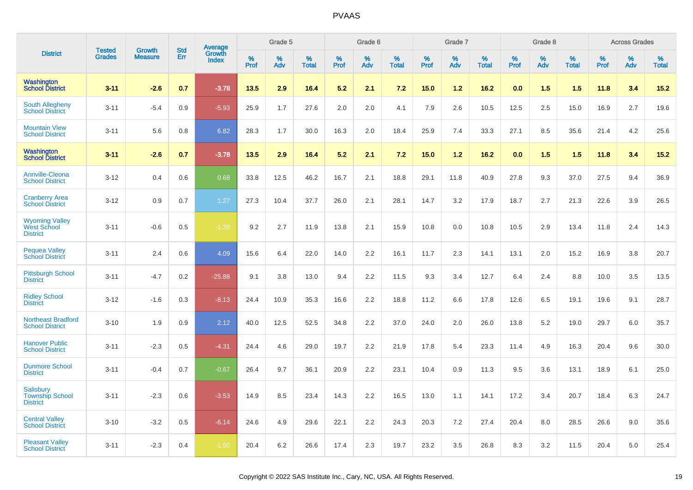|                                                                | <b>Tested</b> |                                 | <b>Std</b> | Average                |                     | Grade 5     |                   |              | Grade 6  |                      |              | Grade 7  |                      |              | Grade 8  |                      |              | <b>Across Grades</b> |                      |
|----------------------------------------------------------------|---------------|---------------------------------|------------|------------------------|---------------------|-------------|-------------------|--------------|----------|----------------------|--------------|----------|----------------------|--------------|----------|----------------------|--------------|----------------------|----------------------|
| <b>District</b>                                                | <b>Grades</b> | <b>Growth</b><br><b>Measure</b> | Err        | Growth<br><b>Index</b> | $\%$<br><b>Prof</b> | $\%$<br>Adv | %<br><b>Total</b> | $\%$<br>Prof | %<br>Adv | $\%$<br><b>Total</b> | $\%$<br>Prof | %<br>Adv | $\%$<br><b>Total</b> | $\%$<br>Prof | %<br>Adv | $\%$<br><b>Total</b> | $\%$<br>Prof | %<br>Adv             | $\%$<br><b>Total</b> |
| Washington<br><b>School District</b>                           | $3 - 11$      | $-2.6$                          | 0.7        | $-3.78$                | 13.5                | 2.9         | 16.4              | 5.2          | 2.1      | 7.2                  | 15.0         | $1.2$    | 16.2                 | 0.0          | 1.5      | 1.5                  | 11.8         | 3.4                  | $15.2$               |
| South Allegheny<br><b>School District</b>                      | $3 - 11$      | $-5.4$                          | 0.9        | $-5.93$                | 25.9                | 1.7         | 27.6              | 2.0          | 2.0      | 4.1                  | 7.9          | 2.6      | 10.5                 | 12.5         | 2.5      | 15.0                 | 16.9         | 2.7                  | 19.6                 |
| <b>Mountain View</b><br><b>School District</b>                 | $3 - 11$      | 5.6                             | 0.8        | 6.82                   | 28.3                | 1.7         | 30.0              | 16.3         | 2.0      | 18.4                 | 25.9         | 7.4      | 33.3                 | 27.1         | 8.5      | 35.6                 | 21.4         | 4.2                  | 25.6                 |
| Washington<br><b>School District</b>                           | $3 - 11$      | $-26$                           | 0.7        | $-3.78$                | 13.5                | 2.9         | 16.4              | 5.2          | 2.1      | 7.2                  | 15.0         | 1.2      | 16.2                 | 0.0          | 1.5      | 1.5                  | 11.8         | 3.4                  | 15.2                 |
| <b>Annville-Cleona</b><br><b>School District</b>               | $3 - 12$      | 0.4                             | 0.6        | 0.68                   | 33.8                | 12.5        | 46.2              | 16.7         | 2.1      | 18.8                 | 29.1         | 11.8     | 40.9                 | 27.8         | 9.3      | 37.0                 | 27.5         | 9.4                  | 36.9                 |
| <b>Cranberry Area</b><br><b>School District</b>                | $3 - 12$      | 0.9                             | 0.7        | 1.27                   | 27.3                | 10.4        | 37.7              | 26.0         | 2.1      | 28.1                 | 14.7         | 3.2      | 17.9                 | 18.7         | 2.7      | 21.3                 | 22.6         | 3.9                  | 26.5                 |
| <b>Wyoming Valley</b><br><b>West School</b><br><b>District</b> | $3 - 11$      | $-0.6$                          | 0.5        | $-1.38$                | 9.2                 | 2.7         | 11.9              | 13.8         | 2.1      | 15.9                 | 10.8         | 0.0      | 10.8                 | 10.5         | 2.9      | 13.4                 | 11.8         | 2.4                  | 14.3                 |
| <b>Pequea Valley</b><br><b>School District</b>                 | $3 - 11$      | 2.4                             | 0.6        | 4.09                   | 15.6                | 6.4         | 22.0              | 14.0         | 2.2      | 16.1                 | 11.7         | 2.3      | 14.1                 | 13.1         | 2.0      | 15.2                 | 16.9         | 3.8                  | 20.7                 |
| <b>Pittsburgh School</b><br><b>District</b>                    | $3 - 11$      | $-4.7$                          | 0.2        | $-25.88$               | 9.1                 | 3.8         | 13.0              | 9.4          | 2.2      | 11.5                 | 9.3          | 3.4      | 12.7                 | 6.4          | 2.4      | 8.8                  | 10.0         | 3.5                  | 13.5                 |
| <b>Ridley School</b><br><b>District</b>                        | $3 - 12$      | $-1.6$                          | 0.3        | $-8.13$                | 24.4                | 10.9        | 35.3              | 16.6         | 2.2      | 18.8                 | 11.2         | 6.6      | 17.8                 | 12.6         | 6.5      | 19.1                 | 19.6         | 9.1                  | 28.7                 |
| <b>Northeast Bradford</b><br><b>School District</b>            | $3 - 10$      | 1.9                             | 0.9        | 2.12                   | 40.0                | 12.5        | 52.5              | 34.8         | 2.2      | 37.0                 | 24.0         | 2.0      | 26.0                 | 13.8         | 5.2      | 19.0                 | 29.7         | 6.0                  | 35.7                 |
| <b>Hanover Public</b><br><b>School District</b>                | $3 - 11$      | $-2.3$                          | 0.5        | $-4.31$                | 24.4                | 4.6         | 29.0              | 19.7         | 2.2      | 21.9                 | 17.8         | 5.4      | 23.3                 | 11.4         | 4.9      | 16.3                 | 20.4         | 9.6                  | 30.0                 |
| <b>Dunmore School</b><br><b>District</b>                       | $3 - 11$      | $-0.4$                          | 0.7        | $-0.67$                | 26.4                | 9.7         | 36.1              | 20.9         | 2.2      | 23.1                 | 10.4         | 0.9      | 11.3                 | 9.5          | 3.6      | 13.1                 | 18.9         | 6.1                  | 25.0                 |
| Salisbury<br><b>Township School</b><br><b>District</b>         | $3 - 11$      | $-2.3$                          | 0.6        | $-3.53$                | 14.9                | 8.5         | 23.4              | 14.3         | 2.2      | 16.5                 | 13.0         | 1.1      | 14.1                 | 17.2         | 3.4      | 20.7                 | 18.4         | 6.3                  | 24.7                 |
| <b>Central Valley</b><br><b>School District</b>                | $3 - 10$      | $-3.2$                          | 0.5        | $-6.14$                | 24.6                | 4.9         | 29.6              | 22.1         | 2.2      | 24.3                 | 20.3         | 7.2      | 27.4                 | 20.4         | 8.0      | 28.5                 | 26.6         | 9.0                  | 35.6                 |
| <b>Pleasant Valley</b><br><b>School District</b>               | $3 - 11$      | $-2.3$                          | 0.4        | $-1.50$                | 20.4                | 6.2         | 26.6              | 17.4         | 2.3      | 19.7                 | 23.2         | 3.5      | 26.8                 | 8.3          | 3.2      | 11.5                 | 20.4         | 5.0                  | 25.4                 |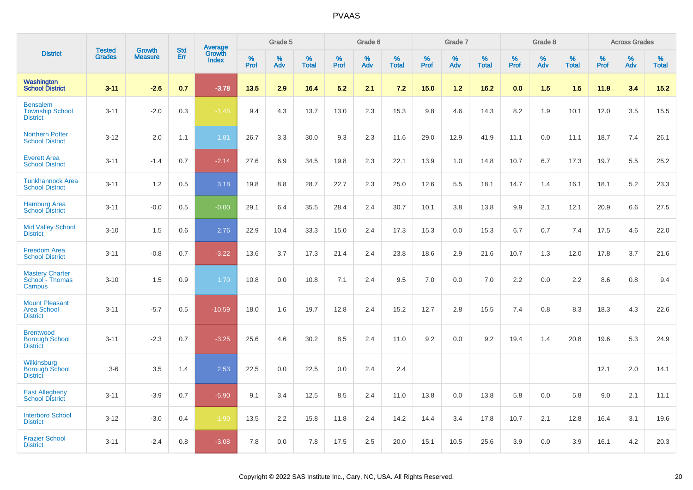|                                                                |                                |                                 | <b>Std</b> |                                          |                     | Grade 5  |                   |           | Grade 6  |                   |                  | Grade 7  |                   |           | Grade 8  |                   |              | <b>Across Grades</b> |                   |
|----------------------------------------------------------------|--------------------------------|---------------------------------|------------|------------------------------------------|---------------------|----------|-------------------|-----------|----------|-------------------|------------------|----------|-------------------|-----------|----------|-------------------|--------------|----------------------|-------------------|
| <b>District</b>                                                | <b>Tested</b><br><b>Grades</b> | <b>Growth</b><br><b>Measure</b> | Err        | <b>Average</b><br>Growth<br><b>Index</b> | $\%$<br><b>Prof</b> | %<br>Adv | %<br><b>Total</b> | %<br>Prof | %<br>Adv | %<br><b>Total</b> | %<br><b>Prof</b> | %<br>Adv | %<br><b>Total</b> | %<br>Prof | %<br>Adv | %<br><b>Total</b> | $\%$<br>Prof | %<br>Adv             | %<br><b>Total</b> |
| Washington<br><b>School District</b>                           | $3 - 11$                       | $-2.6$                          | 0.7        | $-3.78$                                  | 13.5                | 2.9      | 16.4              | 5.2       | 2.1      | 7.2               | 15.0             | $1.2$    | $16.2$            | 0.0       | 1.5      | 1.5               | 11.8         | 3.4                  | 15.2              |
| <b>Bensalem</b><br><b>Township School</b><br><b>District</b>   | $3 - 11$                       | $-2.0$                          | 0.3        | $-1.45$                                  | 9.4                 | 4.3      | 13.7              | 13.0      | 2.3      | 15.3              | 9.8              | 4.6      | 14.3              | 8.2       | 1.9      | 10.1              | 12.0         | 3.5                  | 15.5              |
| <b>Northern Potter</b><br><b>School District</b>               | $3 - 12$                       | 2.0                             | 1.1        | 1.81                                     | 26.7                | 3.3      | 30.0              | 9.3       | 2.3      | 11.6              | 29.0             | 12.9     | 41.9              | 11.1      | 0.0      | 11.1              | 18.7         | 7.4                  | 26.1              |
| <b>Everett Area</b><br><b>School District</b>                  | $3 - 11$                       | $-1.4$                          | 0.7        | $-2.14$                                  | 27.6                | 6.9      | 34.5              | 19.8      | 2.3      | 22.1              | 13.9             | 1.0      | 14.8              | 10.7      | 6.7      | 17.3              | 19.7         | 5.5                  | 25.2              |
| <b>Tunkhannock Area</b><br><b>School District</b>              | $3 - 11$                       | 1.2                             | 0.5        | 3.18                                     | 19.8                | 8.8      | 28.7              | 22.7      | 2.3      | 25.0              | 12.6             | 5.5      | 18.1              | 14.7      | 1.4      | 16.1              | 18.1         | 5.2                  | 23.3              |
| <b>Hamburg Area</b><br><b>School District</b>                  | $3 - 11$                       | $-0.0$                          | 0.5        | $-0.00$                                  | 29.1                | 6.4      | 35.5              | 28.4      | 2.4      | 30.7              | 10.1             | 3.8      | 13.8              | 9.9       | 2.1      | 12.1              | 20.9         | 6.6                  | 27.5              |
| <b>Mid Valley School</b><br><b>District</b>                    | $3 - 10$                       | 1.5                             | 0.6        | 2.76                                     | 22.9                | 10.4     | 33.3              | 15.0      | 2.4      | 17.3              | 15.3             | 0.0      | 15.3              | 6.7       | 0.7      | 7.4               | 17.5         | 4.6                  | 22.0              |
| <b>Freedom Area</b><br><b>School District</b>                  | $3 - 11$                       | $-0.8$                          | 0.7        | $-3.22$                                  | 13.6                | 3.7      | 17.3              | 21.4      | 2.4      | 23.8              | 18.6             | 2.9      | 21.6              | 10.7      | 1.3      | 12.0              | 17.8         | 3.7                  | 21.6              |
| <b>Mastery Charter</b><br>School - Thomas<br>Campus            | $3 - 10$                       | 1.5                             | 0.9        | 1.70                                     | 10.8                | 0.0      | 10.8              | 7.1       | 2.4      | 9.5               | 7.0              | 0.0      | 7.0               | 2.2       | 0.0      | 2.2               | 8.6          | 0.8                  | 9.4               |
| <b>Mount Pleasant</b><br><b>Area School</b><br><b>District</b> | $3 - 11$                       | $-5.7$                          | 0.5        | $-10.59$                                 | 18.0                | 1.6      | 19.7              | 12.8      | 2.4      | 15.2              | 12.7             | 2.8      | 15.5              | 7.4       | 0.8      | 8.3               | 18.3         | 4.3                  | 22.6              |
| <b>Brentwood</b><br><b>Borough School</b><br><b>District</b>   | $3 - 11$                       | $-2.3$                          | 0.7        | $-3.25$                                  | 25.6                | 4.6      | 30.2              | 8.5       | 2.4      | 11.0              | 9.2              | 0.0      | 9.2               | 19.4      | 1.4      | 20.8              | 19.6         | 5.3                  | 24.9              |
| Wilkinsburg<br><b>Borough School</b><br><b>District</b>        | $3-6$                          | 3.5                             | 1.4        | 2.53                                     | 22.5                | 0.0      | 22.5              | 0.0       | 2.4      | 2.4               |                  |          |                   |           |          |                   | 12.1         | 2.0                  | 14.1              |
| <b>East Allegheny</b><br><b>School District</b>                | $3 - 11$                       | $-3.9$                          | 0.7        | $-5.90$                                  | 9.1                 | 3.4      | 12.5              | 8.5       | 2.4      | 11.0              | 13.8             | 0.0      | 13.8              | 5.8       | 0.0      | 5.8               | 9.0          | 2.1                  | 11.1              |
| <b>Interboro School</b><br><b>District</b>                     | $3 - 12$                       | $-3.0$                          | 0.4        | $-1.90$                                  | 13.5                | 2.2      | 15.8              | 11.8      | 2.4      | 14.2              | 14.4             | 3.4      | 17.8              | 10.7      | 2.1      | 12.8              | 16.4         | 3.1                  | 19.6              |
| <b>Frazier School</b><br><b>District</b>                       | $3 - 11$                       | $-2.4$                          | 0.8        | $-3.08$                                  | 7.8                 | 0.0      | 7.8               | 17.5      | 2.5      | 20.0              | 15.1             | 10.5     | 25.6              | 3.9       | 0.0      | 3.9               | 16.1         | 4.2                  | 20.3              |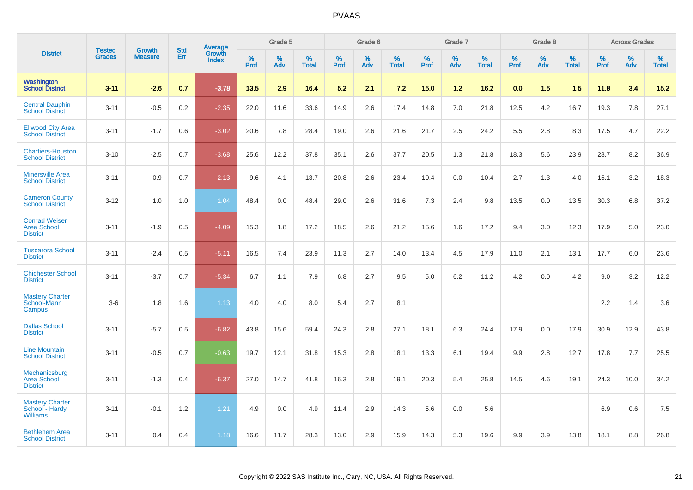|                                                               |                                |                                 | <b>Std</b> | Average                |              | Grade 5  |                   |           | Grade 6  |                   |           | Grade 7  |                   |              | Grade 8  |                   |              | <b>Across Grades</b> |                   |
|---------------------------------------------------------------|--------------------------------|---------------------------------|------------|------------------------|--------------|----------|-------------------|-----------|----------|-------------------|-----------|----------|-------------------|--------------|----------|-------------------|--------------|----------------------|-------------------|
| <b>District</b>                                               | <b>Tested</b><br><b>Grades</b> | <b>Growth</b><br><b>Measure</b> | Err        | Growth<br><b>Index</b> | $\%$<br>Prof | %<br>Adv | %<br><b>Total</b> | %<br>Prof | %<br>Adv | %<br><b>Total</b> | %<br>Prof | %<br>Adv | %<br><b>Total</b> | $\%$<br>Prof | %<br>Adv | %<br><b>Total</b> | $\%$<br>Prof | %<br>Adv             | %<br><b>Total</b> |
| Washington<br><b>School District</b>                          | $3 - 11$                       | $-2.6$                          | 0.7        | $-3.78$                | 13.5         | 2.9      | 16.4              | 5.2       | 2.1      | 7.2               | 15.0      | 1.2      | 16.2              | 0.0          | 1.5      | 1.5               | 11.8         | 3.4                  | 15.2              |
| <b>Central Dauphin</b><br><b>School District</b>              | $3 - 11$                       | $-0.5$                          | 0.2        | $-2.35$                | 22.0         | 11.6     | 33.6              | 14.9      | 2.6      | 17.4              | 14.8      | 7.0      | 21.8              | 12.5         | 4.2      | 16.7              | 19.3         | 7.8                  | 27.1              |
| <b>Ellwood City Area</b><br><b>School District</b>            | $3 - 11$                       | $-1.7$                          | 0.6        | $-3.02$                | 20.6         | 7.8      | 28.4              | 19.0      | 2.6      | 21.6              | 21.7      | 2.5      | 24.2              | 5.5          | 2.8      | 8.3               | 17.5         | 4.7                  | 22.2              |
| <b>Chartiers-Houston</b><br><b>School District</b>            | $3 - 10$                       | $-2.5$                          | 0.7        | $-3.68$                | 25.6         | 12.2     | 37.8              | 35.1      | 2.6      | 37.7              | 20.5      | 1.3      | 21.8              | 18.3         | 5.6      | 23.9              | 28.7         | 8.2                  | 36.9              |
| <b>Minersville Area</b><br><b>School District</b>             | $3 - 11$                       | $-0.9$                          | 0.7        | $-2.13$                | 9.6          | 4.1      | 13.7              | 20.8      | 2.6      | 23.4              | 10.4      | 0.0      | 10.4              | 2.7          | 1.3      | 4.0               | 15.1         | 3.2                  | 18.3              |
| <b>Cameron County</b><br><b>School District</b>               | $3 - 12$                       | 1.0                             | 1.0        | 1.04                   | 48.4         | 0.0      | 48.4              | 29.0      | 2.6      | 31.6              | 7.3       | 2.4      | 9.8               | 13.5         | 0.0      | 13.5              | 30.3         | 6.8                  | 37.2              |
| <b>Conrad Weiser</b><br><b>Area School</b><br><b>District</b> | $3 - 11$                       | $-1.9$                          | 0.5        | $-4.09$                | 15.3         | 1.8      | 17.2              | 18.5      | 2.6      | 21.2              | 15.6      | 1.6      | 17.2              | 9.4          | 3.0      | 12.3              | 17.9         | 5.0                  | 23.0              |
| <b>Tuscarora School</b><br><b>District</b>                    | $3 - 11$                       | $-2.4$                          | 0.5        | $-5.11$                | 16.5         | 7.4      | 23.9              | 11.3      | 2.7      | 14.0              | 13.4      | 4.5      | 17.9              | 11.0         | 2.1      | 13.1              | 17.7         | 6.0                  | 23.6              |
| <b>Chichester School</b><br><b>District</b>                   | $3 - 11$                       | $-3.7$                          | 0.7        | $-5.34$                | 6.7          | 1.1      | 7.9               | 6.8       | 2.7      | 9.5               | 5.0       | 6.2      | 11.2              | 4.2          | 0.0      | 4.2               | 9.0          | 3.2                  | 12.2              |
| <b>Mastery Charter</b><br>School-Mann<br>Campus               | $3-6$                          | 1.8                             | 1.6        | 1.13                   | 4.0          | 4.0      | 8.0               | 5.4       | 2.7      | 8.1               |           |          |                   |              |          |                   | 2.2          | 1.4                  | 3.6               |
| <b>Dallas School</b><br><b>District</b>                       | $3 - 11$                       | $-5.7$                          | 0.5        | $-6.82$                | 43.8         | 15.6     | 59.4              | 24.3      | 2.8      | 27.1              | 18.1      | 6.3      | 24.4              | 17.9         | 0.0      | 17.9              | 30.9         | 12.9                 | 43.8              |
| <b>Line Mountain</b><br><b>School District</b>                | $3 - 11$                       | $-0.5$                          | 0.7        | $-0.63$                | 19.7         | 12.1     | 31.8              | 15.3      | 2.8      | 18.1              | 13.3      | 6.1      | 19.4              | 9.9          | 2.8      | 12.7              | 17.8         | 7.7                  | 25.5              |
| Mechanicsburg<br><b>Area School</b><br><b>District</b>        | $3 - 11$                       | $-1.3$                          | 0.4        | $-6.37$                | 27.0         | 14.7     | 41.8              | 16.3      | 2.8      | 19.1              | 20.3      | 5.4      | 25.8              | 14.5         | 4.6      | 19.1              | 24.3         | 10.0                 | 34.2              |
| <b>Mastery Charter</b><br>School - Hardy<br><b>Williams</b>   | $3 - 11$                       | $-0.1$                          | 1.2        | 1.21                   | 4.9          | 0.0      | 4.9               | 11.4      | 2.9      | 14.3              | 5.6       | 0.0      | 5.6               |              |          |                   | 6.9          | 0.6                  | 7.5               |
| <b>Bethlehem Area</b><br><b>School District</b>               | $3 - 11$                       | 0.4                             | 0.4        | 1.18                   | 16.6         | 11.7     | 28.3              | 13.0      | 2.9      | 15.9              | 14.3      | 5.3      | 19.6              | 9.9          | 3.9      | 13.8              | 18.1         | 8.8                  | 26.8              |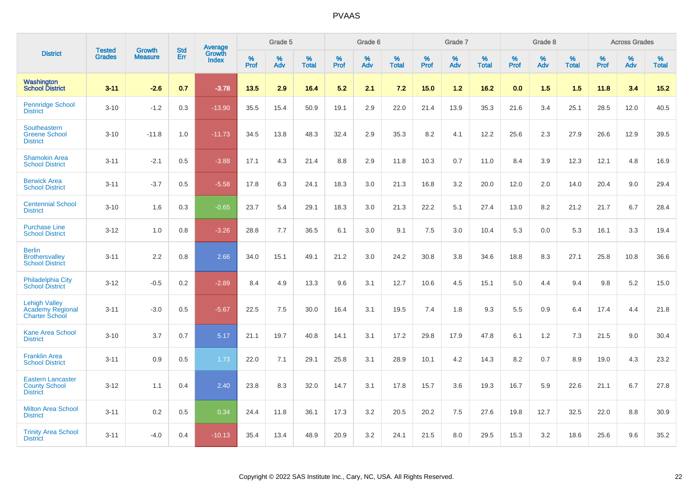|                                                                          |                                | <b>Growth</b>  | <b>Std</b> | Average                |           | Grade 5  |                   |           | Grade 6  |                   |           | Grade 7  |                   |           | Grade 8  |                   |           | <b>Across Grades</b> |                   |
|--------------------------------------------------------------------------|--------------------------------|----------------|------------|------------------------|-----------|----------|-------------------|-----------|----------|-------------------|-----------|----------|-------------------|-----------|----------|-------------------|-----------|----------------------|-------------------|
| <b>District</b>                                                          | <b>Tested</b><br><b>Grades</b> | <b>Measure</b> | <b>Err</b> | Growth<br><b>Index</b> | %<br>Prof | %<br>Adv | %<br><b>Total</b> | %<br>Prof | %<br>Adv | %<br><b>Total</b> | %<br>Prof | %<br>Adv | %<br><b>Total</b> | %<br>Prof | %<br>Adv | %<br><b>Total</b> | %<br>Prof | %<br>Adv             | %<br><b>Total</b> |
| <b>Washington</b><br><b>School District</b>                              | $3 - 11$                       | $-2.6$         | 0.7        | $-3.78$                | 13.5      | 2.9      | 16.4              | 5.2       | 2.1      | 7.2               | 15.0      | 1.2      | 16.2              | 0.0       | 1.5      | 1.5               | 11.8      | 3.4                  | 15.2              |
| <b>Pennridge School</b><br><b>District</b>                               | $3 - 10$                       | $-1.2$         | 0.3        | $-13.90$               | 35.5      | 15.4     | 50.9              | 19.1      | 2.9      | 22.0              | 21.4      | 13.9     | 35.3              | 21.6      | 3.4      | 25.1              | 28.5      | 12.0                 | 40.5              |
| Southeastern<br><b>Greene School</b><br><b>District</b>                  | $3 - 10$                       | $-11.8$        | 1.0        | $-11.73$               | 34.5      | 13.8     | 48.3              | 32.4      | 2.9      | 35.3              | 8.2       | 4.1      | 12.2              | 25.6      | 2.3      | 27.9              | 26.6      | 12.9                 | 39.5              |
| <b>Shamokin Area</b><br><b>School District</b>                           | $3 - 11$                       | $-2.1$         | 0.5        | $-3.88$                | 17.1      | 4.3      | 21.4              | 8.8       | 2.9      | 11.8              | 10.3      | 0.7      | 11.0              | 8.4       | 3.9      | 12.3              | 12.1      | 4.8                  | 16.9              |
| <b>Berwick Area</b><br><b>School District</b>                            | $3 - 11$                       | $-3.7$         | 0.5        | $-5.58$                | 17.8      | 6.3      | 24.1              | 18.3      | 3.0      | 21.3              | 16.8      | 3.2      | 20.0              | 12.0      | 2.0      | 14.0              | 20.4      | 9.0                  | 29.4              |
| <b>Centennial School</b><br><b>District</b>                              | $3 - 10$                       | 1.6            | 0.3        | $-0.65$                | 23.7      | 5.4      | 29.1              | 18.3      | 3.0      | 21.3              | 22.2      | 5.1      | 27.4              | 13.0      | 8.2      | 21.2              | 21.7      | 6.7                  | 28.4              |
| <b>Purchase Line</b><br><b>School District</b>                           | $3 - 12$                       | 1.0            | 0.8        | $-3.26$                | 28.8      | 7.7      | 36.5              | 6.1       | 3.0      | 9.1               | 7.5       | 3.0      | 10.4              | 5.3       | 0.0      | 5.3               | 16.1      | 3.3                  | 19.4              |
| <b>Berlin</b><br><b>Brothersvalley</b><br><b>School District</b>         | $3 - 11$                       | 2.2            | 0.8        | 2.66                   | 34.0      | 15.1     | 49.1              | 21.2      | 3.0      | 24.2              | 30.8      | 3.8      | 34.6              | 18.8      | 8.3      | 27.1              | 25.8      | 10.8                 | 36.6              |
| <b>Philadelphia City</b><br><b>School District</b>                       | $3 - 12$                       | $-0.5$         | 0.2        | $-2.89$                | 8.4       | 4.9      | 13.3              | 9.6       | 3.1      | 12.7              | 10.6      | 4.5      | 15.1              | 5.0       | 4.4      | 9.4               | 9.8       | $5.2\,$              | 15.0              |
| <b>Lehigh Valley</b><br><b>Academy Regional</b><br><b>Charter School</b> | $3 - 11$                       | $-3.0$         | 0.5        | $-5.67$                | 22.5      | 7.5      | 30.0              | 16.4      | 3.1      | 19.5              | 7.4       | 1.8      | 9.3               | 5.5       | 0.9      | 6.4               | 17.4      | 4.4                  | 21.8              |
| <b>Kane Area School</b><br><b>District</b>                               | $3 - 10$                       | 3.7            | 0.7        | 5.17                   | 21.1      | 19.7     | 40.8              | 14.1      | 3.1      | 17.2              | 29.8      | 17.9     | 47.8              | 6.1       | 1.2      | 7.3               | 21.5      | 9.0                  | 30.4              |
| <b>Franklin Area</b><br><b>School District</b>                           | $3 - 11$                       | 0.9            | 0.5        | 1.73                   | 22.0      | 7.1      | 29.1              | 25.8      | 3.1      | 28.9              | 10.1      | 4.2      | 14.3              | 8.2       | 0.7      | 8.9               | 19.0      | 4.3                  | 23.2              |
| <b>Eastern Lancaster</b><br><b>County School</b><br><b>District</b>      | $3 - 12$                       | 1.1            | 0.4        | 2.40                   | 23.8      | 8.3      | 32.0              | 14.7      | 3.1      | 17.8              | 15.7      | 3.6      | 19.3              | 16.7      | 5.9      | 22.6              | 21.1      | 6.7                  | 27.8              |
| <b>Milton Area School</b><br><b>District</b>                             | $3 - 11$                       | 0.2            | 0.5        | 0.34                   | 24.4      | 11.8     | 36.1              | 17.3      | 3.2      | 20.5              | 20.2      | 7.5      | 27.6              | 19.8      | 12.7     | 32.5              | 22.0      | 8.8                  | 30.9              |
| <b>Trinity Area School</b><br><b>District</b>                            | $3 - 11$                       | $-4.0$         | 0.4        | $-10.13$               | 35.4      | 13.4     | 48.9              | 20.9      | 3.2      | 24.1              | 21.5      | 8.0      | 29.5              | 15.3      | 3.2      | 18.6              | 25.6      | 9.6                  | 35.2              |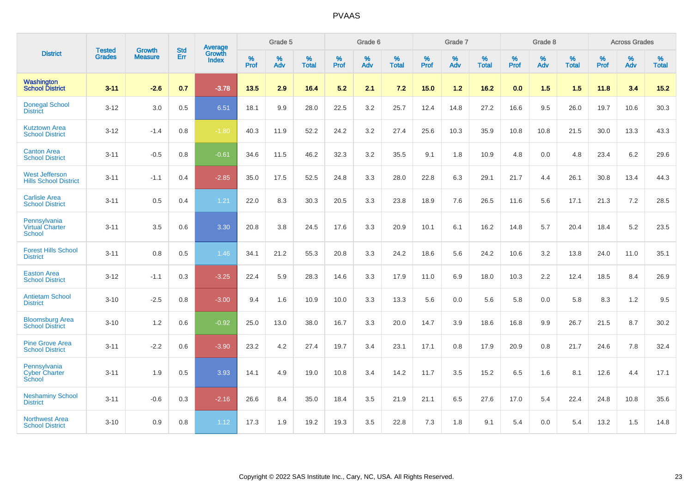|                                                       | <b>Tested</b> | <b>Growth</b>  | <b>Std</b> | <b>Average</b>         |           | Grade 5  |                   |           | Grade 6  |                   |           | Grade 7  |                   |           | Grade 8  |                   |                  | <b>Across Grades</b> |                   |
|-------------------------------------------------------|---------------|----------------|------------|------------------------|-----------|----------|-------------------|-----------|----------|-------------------|-----------|----------|-------------------|-----------|----------|-------------------|------------------|----------------------|-------------------|
| <b>District</b>                                       | <b>Grades</b> | <b>Measure</b> | Err        | Growth<br><b>Index</b> | %<br>Prof | %<br>Adv | %<br><b>Total</b> | %<br>Prof | %<br>Adv | %<br><b>Total</b> | %<br>Prof | %<br>Adv | %<br><b>Total</b> | %<br>Prof | %<br>Adv | %<br><b>Total</b> | %<br><b>Prof</b> | %<br>Adv             | %<br><b>Total</b> |
| Washington<br><b>School District</b>                  | $3 - 11$      | $-2.6$         | 0.7        | $-3.78$                | 13.5      | 2.9      | 16.4              | 5.2       | 2.1      | 7.2               | 15.0      | $1.2$    | 16.2              | 0.0       | 1.5      | 1.5               | 11.8             | 3.4                  | $15.2$            |
| <b>Donegal School</b><br><b>District</b>              | $3 - 12$      | 3.0            | 0.5        | 6.51                   | 18.1      | 9.9      | 28.0              | 22.5      | 3.2      | 25.7              | 12.4      | 14.8     | 27.2              | 16.6      | 9.5      | 26.0              | 19.7             | 10.6                 | 30.3              |
| <b>Kutztown Area</b><br><b>School District</b>        | $3 - 12$      | $-1.4$         | 0.8        | $-1.80$                | 40.3      | 11.9     | 52.2              | 24.2      | 3.2      | 27.4              | 25.6      | 10.3     | 35.9              | 10.8      | 10.8     | 21.5              | 30.0             | 13.3                 | 43.3              |
| <b>Canton Area</b><br><b>School District</b>          | $3 - 11$      | $-0.5$         | 0.8        | $-0.61$                | 34.6      | 11.5     | 46.2              | 32.3      | 3.2      | 35.5              | 9.1       | 1.8      | 10.9              | 4.8       | 0.0      | 4.8               | 23.4             | 6.2                  | 29.6              |
| <b>West Jefferson</b><br><b>Hills School District</b> | $3 - 11$      | $-1.1$         | 0.4        | $-2.85$                | 35.0      | 17.5     | 52.5              | 24.8      | 3.3      | 28.0              | 22.8      | 6.3      | 29.1              | 21.7      | 4.4      | 26.1              | 30.8             | 13.4                 | 44.3              |
| <b>Carlisle Area</b><br><b>School District</b>        | $3 - 11$      | 0.5            | 0.4        | 1.21                   | 22.0      | 8.3      | 30.3              | 20.5      | 3.3      | 23.8              | 18.9      | 7.6      | 26.5              | 11.6      | 5.6      | 17.1              | 21.3             | 7.2                  | 28.5              |
| Pennsylvania<br><b>Virtual Charter</b><br>School      | $3 - 11$      | 3.5            | 0.6        | 3.30                   | 20.8      | 3.8      | 24.5              | 17.6      | 3.3      | 20.9              | 10.1      | 6.1      | 16.2              | 14.8      | 5.7      | 20.4              | 18.4             | 5.2                  | 23.5              |
| <b>Forest Hills School</b><br><b>District</b>         | $3 - 11$      | 0.8            | 0.5        | 1.46                   | 34.1      | 21.2     | 55.3              | 20.8      | 3.3      | 24.2              | 18.6      | 5.6      | 24.2              | 10.6      | 3.2      | 13.8              | 24.0             | 11.0                 | 35.1              |
| <b>Easton Area</b><br><b>School District</b>          | $3 - 12$      | $-1.1$         | 0.3        | $-3.25$                | 22.4      | 5.9      | 28.3              | 14.6      | 3.3      | 17.9              | 11.0      | 6.9      | 18.0              | 10.3      | 2.2      | 12.4              | 18.5             | 8.4                  | 26.9              |
| <b>Antietam School</b><br><b>District</b>             | $3 - 10$      | $-2.5$         | 0.8        | $-3.00$                | 9.4       | 1.6      | 10.9              | 10.0      | 3.3      | 13.3              | 5.6       | 0.0      | 5.6               | 5.8       | 0.0      | 5.8               | 8.3              | 1.2                  | 9.5               |
| <b>Bloomsburg Area</b><br><b>School District</b>      | $3 - 10$      | 1.2            | 0.6        | $-0.92$                | 25.0      | 13.0     | 38.0              | 16.7      | 3.3      | 20.0              | 14.7      | 3.9      | 18.6              | 16.8      | 9.9      | 26.7              | 21.5             | 8.7                  | 30.2              |
| <b>Pine Grove Area</b><br><b>School District</b>      | $3 - 11$      | $-2.2$         | 0.6        | $-3.90$                | 23.2      | 4.2      | 27.4              | 19.7      | 3.4      | 23.1              | 17.1      | 0.8      | 17.9              | 20.9      | 0.8      | 21.7              | 24.6             | 7.8                  | 32.4              |
| Pennsylvania<br><b>Cyber Charter</b><br>School        | $3 - 11$      | 1.9            | 0.5        | 3.93                   | 14.1      | 4.9      | 19.0              | 10.8      | 3.4      | 14.2              | 11.7      | 3.5      | 15.2              | 6.5       | 1.6      | 8.1               | 12.6             | 4.4                  | 17.1              |
| <b>Neshaminy School</b><br><b>District</b>            | $3 - 11$      | $-0.6$         | 0.3        | $-2.16$                | 26.6      | 8.4      | 35.0              | 18.4      | 3.5      | 21.9              | 21.1      | 6.5      | 27.6              | 17.0      | 5.4      | 22.4              | 24.8             | 10.8                 | 35.6              |
| <b>Northwest Area</b><br><b>School District</b>       | $3 - 10$      | 0.9            | 0.8        | 1.12                   | 17.3      | 1.9      | 19.2              | 19.3      | 3.5      | 22.8              | 7.3       | 1.8      | 9.1               | 5.4       | 0.0      | 5.4               | 13.2             | 1.5                  | 14.8              |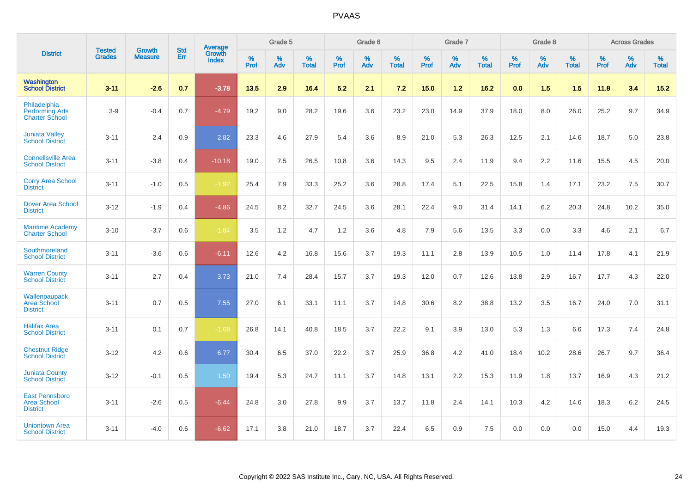|                                                                 | <b>Tested</b> | <b>Growth</b>  | <b>Std</b> | Average                       |           | Grade 5  |                   |           | Grade 6  |                   |           | Grade 7  |                   |           | Grade 8  |                   |           | <b>Across Grades</b> |                   |
|-----------------------------------------------------------------|---------------|----------------|------------|-------------------------------|-----------|----------|-------------------|-----------|----------|-------------------|-----------|----------|-------------------|-----------|----------|-------------------|-----------|----------------------|-------------------|
| <b>District</b>                                                 | <b>Grades</b> | <b>Measure</b> | Err        | <b>Growth</b><br><b>Index</b> | %<br>Prof | %<br>Adv | %<br><b>Total</b> | %<br>Prof | %<br>Adv | %<br><b>Total</b> | %<br>Prof | %<br>Adv | %<br><b>Total</b> | %<br>Prof | %<br>Adv | %<br><b>Total</b> | %<br>Prof | %<br>Adv             | %<br><b>Total</b> |
| <b>Washington</b><br><b>School District</b>                     | $3 - 11$      | $-2.6$         | 0.7        | $-3.78$                       | 13.5      | 2.9      | 16.4              | 5.2       | 2.1      | 7.2               | 15.0      | 1.2      | 16.2              | 0.0       | 1.5      | 1.5               | 11.8      | 3.4                  | $15.2$            |
| Philadelphia<br><b>Performing Arts</b><br><b>Charter School</b> | $3-9$         | $-0.4$         | 0.7        | $-4.79$                       | 19.2      | 9.0      | 28.2              | 19.6      | 3.6      | 23.2              | 23.0      | 14.9     | 37.9              | 18.0      | 8.0      | 26.0              | 25.2      | 9.7                  | 34.9              |
| <b>Juniata Valley</b><br><b>School District</b>                 | $3 - 11$      | 2.4            | 0.9        | 2.82                          | 23.3      | 4.6      | 27.9              | 5.4       | 3.6      | 8.9               | 21.0      | 5.3      | 26.3              | 12.5      | 2.1      | 14.6              | 18.7      | 5.0                  | 23.8              |
| <b>Connellsville Area</b><br><b>School District</b>             | $3 - 11$      | $-3.8$         | 0.4        | $-10.18$                      | 19.0      | 7.5      | 26.5              | 10.8      | 3.6      | 14.3              | 9.5       | 2.4      | 11.9              | 9.4       | 2.2      | 11.6              | 15.5      | 4.5                  | 20.0              |
| <b>Corry Area School</b><br><b>District</b>                     | $3 - 11$      | $-1.0$         | 0.5        | $-1.92$                       | 25.4      | 7.9      | 33.3              | 25.2      | 3.6      | 28.8              | 17.4      | 5.1      | 22.5              | 15.8      | 1.4      | 17.1              | 23.2      | 7.5                  | 30.7              |
| <b>Dover Area School</b><br><b>District</b>                     | $3 - 12$      | $-1.9$         | 0.4        | $-4.86$                       | 24.5      | 8.2      | 32.7              | 24.5      | 3.6      | 28.1              | 22.4      | 9.0      | 31.4              | 14.1      | 6.2      | 20.3              | 24.8      | 10.2                 | 35.0              |
| <b>Maritime Academy</b><br><b>Charter School</b>                | $3 - 10$      | $-3.7$         | 0.6        | $-1.84$                       | 3.5       | $1.2$    | 4.7               | 1.2       | 3.6      | 4.8               | 7.9       | 5.6      | 13.5              | 3.3       | 0.0      | 3.3               | 4.6       | 2.1                  | 6.7               |
| Southmoreland<br><b>School District</b>                         | $3 - 11$      | $-3.6$         | 0.6        | $-6.11$                       | 12.6      | 4.2      | 16.8              | 15.6      | 3.7      | 19.3              | 11.1      | 2.8      | 13.9              | 10.5      | 1.0      | 11.4              | 17.8      | 4.1                  | 21.9              |
| <b>Warren County</b><br><b>School District</b>                  | $3 - 11$      | 2.7            | 0.4        | 3.73                          | 21.0      | 7.4      | 28.4              | 15.7      | 3.7      | 19.3              | 12.0      | 0.7      | 12.6              | 13.8      | 2.9      | 16.7              | 17.7      | 4.3                  | 22.0              |
| Wallenpaupack<br>Area School<br><b>District</b>                 | $3 - 11$      | 0.7            | 0.5        | 7.55                          | 27.0      | 6.1      | 33.1              | 11.1      | 3.7      | 14.8              | 30.6      | 8.2      | 38.8              | 13.2      | 3.5      | 16.7              | 24.0      | 7.0                  | 31.1              |
| <b>Halifax Area</b><br><b>School District</b>                   | $3 - 11$      | 0.1            | 0.7        | $-1.68$                       | 26.8      | 14.1     | 40.8              | 18.5      | 3.7      | 22.2              | 9.1       | 3.9      | 13.0              | 5.3       | 1.3      | 6.6               | 17.3      | 7.4                  | 24.8              |
| <b>Chestnut Ridge</b><br><b>School District</b>                 | $3 - 12$      | 4.2            | 0.6        | 6.77                          | 30.4      | 6.5      | 37.0              | 22.2      | 3.7      | 25.9              | 36.8      | 4.2      | 41.0              | 18.4      | 10.2     | 28.6              | 26.7      | 9.7                  | 36.4              |
| <b>Juniata County</b><br><b>School District</b>                 | $3 - 12$      | $-0.1$         | 0.5        | 1.50                          | 19.4      | 5.3      | 24.7              | 11.1      | 3.7      | 14.8              | 13.1      | 2.2      | 15.3              | 11.9      | 1.8      | 13.7              | 16.9      | 4.3                  | 21.2              |
| <b>East Pennsboro</b><br><b>Area School</b><br><b>District</b>  | $3 - 11$      | $-2.6$         | 0.5        | $-6.44$                       | 24.8      | 3.0      | 27.8              | 9.9       | 3.7      | 13.7              | 11.8      | 2.4      | 14.1              | 10.3      | 4.2      | 14.6              | 18.3      | 6.2                  | 24.5              |
| <b>Uniontown Area</b><br><b>School District</b>                 | $3 - 11$      | $-4.0$         | 0.6        | $-6.62$                       | 17.1      | 3.8      | 21.0              | 18.7      | 3.7      | 22.4              | 6.5       | 0.9      | 7.5               | 0.0       | 0.0      | 0.0               | 15.0      | 4.4                  | 19.3              |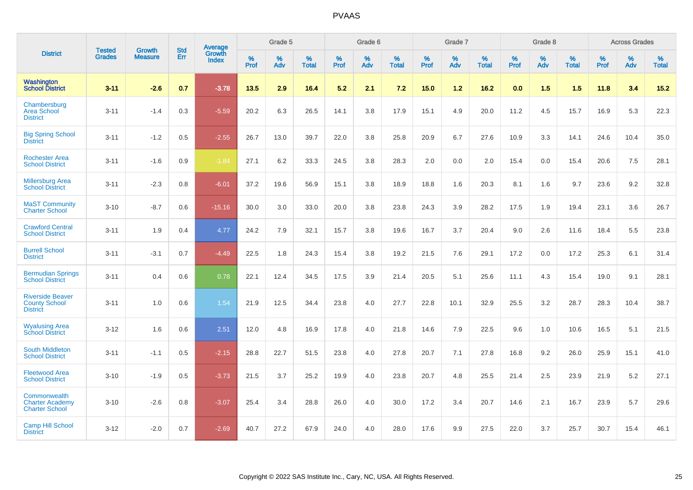|                                                                    | <b>Tested</b> | <b>Growth</b>  | <b>Std</b> | Average                       |           | Grade 5  |                   |           | Grade 6  |                   |           | Grade 7  |                   |           | Grade 8  |                   |           | <b>Across Grades</b> |                   |
|--------------------------------------------------------------------|---------------|----------------|------------|-------------------------------|-----------|----------|-------------------|-----------|----------|-------------------|-----------|----------|-------------------|-----------|----------|-------------------|-----------|----------------------|-------------------|
| <b>District</b>                                                    | <b>Grades</b> | <b>Measure</b> | Err        | <b>Growth</b><br><b>Index</b> | %<br>Prof | %<br>Adv | %<br><b>Total</b> | %<br>Prof | %<br>Adv | %<br><b>Total</b> | %<br>Prof | %<br>Adv | %<br><b>Total</b> | %<br>Prof | %<br>Adv | %<br><b>Total</b> | %<br>Prof | %<br>Adv             | %<br><b>Total</b> |
| <b>Washington</b><br><b>School District</b>                        | $3 - 11$      | $-2.6$         | 0.7        | $-3.78$                       | 13.5      | 2.9      | 16.4              | 5.2       | 2.1      | 7.2               | 15.0      | $1.2$    | 16.2              | 0.0       | 1.5      | 1.5               | 11.8      | 3.4                  | $15.2$            |
| Chambersburg<br><b>Area School</b><br><b>District</b>              | $3 - 11$      | $-1.4$         | 0.3        | $-5.59$                       | 20.2      | 6.3      | 26.5              | 14.1      | 3.8      | 17.9              | 15.1      | 4.9      | 20.0              | 11.2      | 4.5      | 15.7              | 16.9      | 5.3                  | 22.3              |
| <b>Big Spring School</b><br><b>District</b>                        | $3 - 11$      | $-1.2$         | 0.5        | $-2.55$                       | 26.7      | 13.0     | 39.7              | 22.0      | 3.8      | 25.8              | 20.9      | 6.7      | 27.6              | 10.9      | 3.3      | 14.1              | 24.6      | 10.4                 | 35.0              |
| <b>Rochester Area</b><br><b>School District</b>                    | $3 - 11$      | $-1.6$         | 0.9        | $-1.84$                       | 27.1      | 6.2      | 33.3              | 24.5      | 3.8      | 28.3              | 2.0       | 0.0      | 2.0               | 15.4      | 0.0      | 15.4              | 20.6      | 7.5                  | 28.1              |
| <b>Millersburg Area</b><br><b>School District</b>                  | $3 - 11$      | $-2.3$         | 0.8        | $-6.01$                       | 37.2      | 19.6     | 56.9              | 15.1      | 3.8      | 18.9              | 18.8      | 1.6      | 20.3              | 8.1       | 1.6      | 9.7               | 23.6      | 9.2                  | 32.8              |
| <b>MaST Community</b><br><b>Charter School</b>                     | $3 - 10$      | $-8.7$         | 0.6        | $-15.16$                      | 30.0      | 3.0      | 33.0              | 20.0      | 3.8      | 23.8              | 24.3      | 3.9      | 28.2              | 17.5      | 1.9      | 19.4              | 23.1      | 3.6                  | 26.7              |
| <b>Crawford Central</b><br><b>School District</b>                  | $3 - 11$      | 1.9            | 0.4        | 4.77                          | 24.2      | 7.9      | 32.1              | 15.7      | 3.8      | 19.6              | 16.7      | 3.7      | 20.4              | 9.0       | 2.6      | 11.6              | 18.4      | 5.5                  | 23.8              |
| <b>Burrell School</b><br><b>District</b>                           | $3 - 11$      | $-3.1$         | 0.7        | $-4.49$                       | 22.5      | 1.8      | 24.3              | 15.4      | 3.8      | 19.2              | 21.5      | 7.6      | 29.1              | 17.2      | 0.0      | 17.2              | 25.3      | 6.1                  | 31.4              |
| <b>Bermudian Springs</b><br><b>School District</b>                 | $3 - 11$      | 0.4            | 0.6        | 0.78                          | 22.1      | 12.4     | 34.5              | 17.5      | 3.9      | 21.4              | 20.5      | 5.1      | 25.6              | 11.1      | 4.3      | 15.4              | 19.0      | 9.1                  | 28.1              |
| <b>Riverside Beaver</b><br><b>County School</b><br><b>District</b> | $3 - 11$      | 1.0            | 0.6        | 1.54                          | 21.9      | 12.5     | 34.4              | 23.8      | 4.0      | 27.7              | 22.8      | 10.1     | 32.9              | 25.5      | 3.2      | 28.7              | 28.3      | 10.4                 | 38.7              |
| <b>Wyalusing Area</b><br><b>School District</b>                    | $3 - 12$      | 1.6            | 0.6        | 2.51                          | 12.0      | 4.8      | 16.9              | 17.8      | 4.0      | 21.8              | 14.6      | 7.9      | 22.5              | 9.6       | 1.0      | 10.6              | 16.5      | 5.1                  | 21.5              |
| <b>South Middleton</b><br><b>School District</b>                   | $3 - 11$      | $-1.1$         | 0.5        | $-2.15$                       | 28.8      | 22.7     | 51.5              | 23.8      | 4.0      | 27.8              | 20.7      | 7.1      | 27.8              | 16.8      | 9.2      | 26.0              | 25.9      | 15.1                 | 41.0              |
| <b>Fleetwood Area</b><br><b>School District</b>                    | $3 - 10$      | $-1.9$         | 0.5        | $-3.73$                       | 21.5      | 3.7      | 25.2              | 19.9      | 4.0      | 23.8              | 20.7      | 4.8      | 25.5              | 21.4      | 2.5      | 23.9              | 21.9      | 5.2                  | 27.1              |
| Commonwealth<br><b>Charter Academy</b><br><b>Charter School</b>    | $3 - 10$      | $-2.6$         | 0.8        | $-3.07$                       | 25.4      | 3.4      | 28.8              | 26.0      | 4.0      | 30.0              | 17.2      | 3.4      | 20.7              | 14.6      | 2.1      | 16.7              | 23.9      | 5.7                  | 29.6              |
| <b>Camp Hill School</b><br><b>District</b>                         | $3 - 12$      | $-2.0$         | 0.7        | $-2.69$                       | 40.7      | 27.2     | 67.9              | 24.0      | 4.0      | 28.0              | 17.6      | 9.9      | 27.5              | 22.0      | 3.7      | 25.7              | 30.7      | 15.4                 | 46.1              |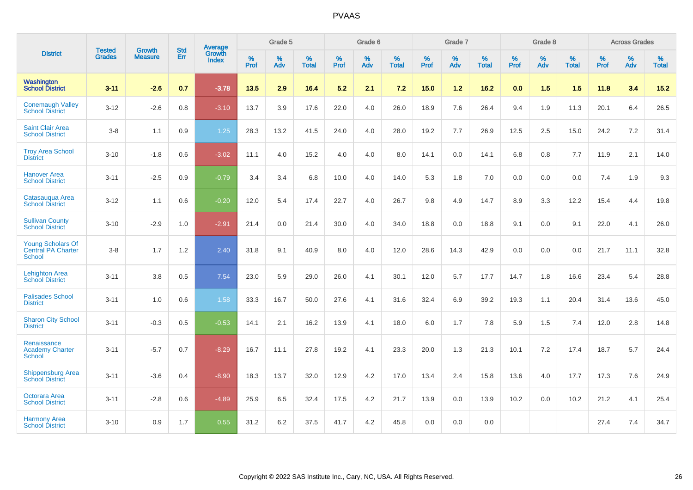|                                                                 | <b>Tested</b> | <b>Growth</b>  | <b>Std</b> | <b>Average</b>         |           | Grade 5  |                   |           | Grade 6  |                   |           | Grade 7  |                   |           | Grade 8  |                   |           | <b>Across Grades</b> |                   |
|-----------------------------------------------------------------|---------------|----------------|------------|------------------------|-----------|----------|-------------------|-----------|----------|-------------------|-----------|----------|-------------------|-----------|----------|-------------------|-----------|----------------------|-------------------|
| <b>District</b>                                                 | <b>Grades</b> | <b>Measure</b> | Err        | Growth<br><b>Index</b> | %<br>Prof | %<br>Adv | %<br><b>Total</b> | %<br>Prof | %<br>Adv | %<br><b>Total</b> | %<br>Prof | %<br>Adv | %<br><b>Total</b> | %<br>Prof | %<br>Adv | %<br><b>Total</b> | %<br>Prof | %<br>Adv             | %<br><b>Total</b> |
| Washington<br><b>School District</b>                            | $3 - 11$      | $-2.6$         | 0.7        | $-3.78$                | 13.5      | 2.9      | 16.4              | 5.2       | 2.1      | 7.2               | 15.0      | $1.2$    | 16.2              | 0.0       | 1.5      | 1.5               | 11.8      | 3.4                  | $15.2$            |
| <b>Conemaugh Valley</b><br><b>School District</b>               | $3 - 12$      | $-2.6$         | 0.8        | $-3.10$                | 13.7      | 3.9      | 17.6              | 22.0      | 4.0      | 26.0              | 18.9      | 7.6      | 26.4              | 9.4       | 1.9      | 11.3              | 20.1      | 6.4                  | 26.5              |
| <b>Saint Clair Area</b><br><b>School District</b>               | $3 - 8$       | 1.1            | 0.9        | 1.25                   | 28.3      | 13.2     | 41.5              | 24.0      | 4.0      | 28.0              | 19.2      | 7.7      | 26.9              | 12.5      | 2.5      | 15.0              | 24.2      | 7.2                  | 31.4              |
| <b>Troy Area School</b><br><b>District</b>                      | $3 - 10$      | $-1.8$         | 0.6        | $-3.02$                | 11.1      | 4.0      | 15.2              | 4.0       | 4.0      | 8.0               | 14.1      | 0.0      | 14.1              | 6.8       | 0.8      | 7.7               | 11.9      | 2.1                  | 14.0              |
| <b>Hanover Area</b><br><b>School District</b>                   | $3 - 11$      | $-2.5$         | 0.9        | $-0.79$                | 3.4       | 3.4      | 6.8               | 10.0      | 4.0      | 14.0              | 5.3       | 1.8      | 7.0               | 0.0       | 0.0      | 0.0               | 7.4       | 1.9                  | 9.3               |
| Catasaugua Area<br><b>School District</b>                       | $3 - 12$      | 1.1            | 0.6        | $-0.20$                | 12.0      | 5.4      | 17.4              | 22.7      | 4.0      | 26.7              | 9.8       | 4.9      | 14.7              | 8.9       | 3.3      | 12.2              | 15.4      | 4.4                  | 19.8              |
| <b>Sullivan County</b><br>School District                       | $3 - 10$      | $-2.9$         | 1.0        | $-2.91$                | 21.4      | 0.0      | 21.4              | 30.0      | 4.0      | 34.0              | 18.8      | 0.0      | 18.8              | 9.1       | 0.0      | 9.1               | 22.0      | 4.1                  | 26.0              |
| <b>Young Scholars Of</b><br>Central PA Charter<br><b>School</b> | $3 - 8$       | 1.7            | 1.2        | 2.40                   | 31.8      | 9.1      | 40.9              | 8.0       | 4.0      | 12.0              | 28.6      | 14.3     | 42.9              | 0.0       | 0.0      | 0.0               | 21.7      | 11.1                 | 32.8              |
| <b>Lehighton Area</b><br><b>School District</b>                 | $3 - 11$      | 3.8            | 0.5        | 7.54                   | 23.0      | 5.9      | 29.0              | 26.0      | 4.1      | 30.1              | 12.0      | 5.7      | 17.7              | 14.7      | 1.8      | 16.6              | 23.4      | 5.4                  | 28.8              |
| <b>Palisades School</b><br><b>District</b>                      | $3 - 11$      | 1.0            | 0.6        | 1.58                   | 33.3      | 16.7     | 50.0              | 27.6      | 4.1      | 31.6              | 32.4      | 6.9      | 39.2              | 19.3      | 1.1      | 20.4              | 31.4      | 13.6                 | 45.0              |
| <b>Sharon City School</b><br><b>District</b>                    | $3 - 11$      | $-0.3$         | 0.5        | $-0.53$                | 14.1      | 2.1      | 16.2              | 13.9      | 4.1      | 18.0              | 6.0       | 1.7      | 7.8               | 5.9       | 1.5      | 7.4               | 12.0      | 2.8                  | 14.8              |
| Renaissance<br><b>Academy Charter</b><br><b>School</b>          | $3 - 11$      | $-5.7$         | 0.7        | $-8.29$                | 16.7      | 11.1     | 27.8              | 19.2      | 4.1      | 23.3              | 20.0      | 1.3      | 21.3              | 10.1      | 7.2      | 17.4              | 18.7      | 5.7                  | 24.4              |
| <b>Shippensburg Area</b><br><b>School District</b>              | $3 - 11$      | $-3.6$         | 0.4        | $-8.90$                | 18.3      | 13.7     | 32.0              | 12.9      | 4.2      | 17.0              | 13.4      | 2.4      | 15.8              | 13.6      | 4.0      | 17.7              | 17.3      | 7.6                  | 24.9              |
| Octorara Area<br><b>School District</b>                         | $3 - 11$      | $-2.8$         | 0.6        | $-4.89$                | 25.9      | 6.5      | 32.4              | 17.5      | 4.2      | 21.7              | 13.9      | 0.0      | 13.9              | 10.2      | 0.0      | 10.2              | 21.2      | 4.1                  | 25.4              |
| <b>Harmony Area</b><br><b>School District</b>                   | $3 - 10$      | 0.9            | 1.7        | 0.55                   | 31.2      | 6.2      | 37.5              | 41.7      | 4.2      | 45.8              | 0.0       | 0.0      | 0.0               |           |          |                   | 27.4      | 7.4                  | 34.7              |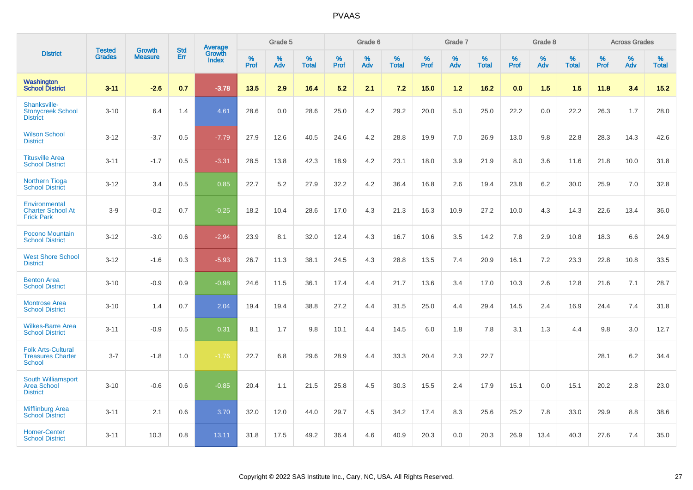|                                                                        |                                | <b>Growth</b>  | <b>Std</b> | <b>Average</b>  |              | Grade 5  |                   |           | Grade 6  |                   |           | Grade 7  |                   |           | Grade 8  |                   |              | <b>Across Grades</b> |                   |
|------------------------------------------------------------------------|--------------------------------|----------------|------------|-----------------|--------------|----------|-------------------|-----------|----------|-------------------|-----------|----------|-------------------|-----------|----------|-------------------|--------------|----------------------|-------------------|
| <b>District</b>                                                        | <b>Tested</b><br><b>Grades</b> | <b>Measure</b> | <b>Err</b> | Growth<br>Index | $\%$<br>Prof | %<br>Adv | %<br><b>Total</b> | %<br>Prof | %<br>Adv | %<br><b>Total</b> | %<br>Prof | %<br>Adv | %<br><b>Total</b> | %<br>Prof | %<br>Adv | %<br><b>Total</b> | $\%$<br>Prof | %<br>Adv             | %<br><b>Total</b> |
| Washington<br><b>School District</b>                                   | $3 - 11$                       | $-2.6$         | 0.7        | $-3.78$         | 13.5         | 2.9      | 16.4              | 5.2       | 2.1      | 7.2               | 15.0      | 1.2      | 16.2              | 0.0       | 1.5      | 1.5               | 11.8         | 3.4                  | 15.2              |
| Shanksville-<br><b>Stonycreek School</b><br><b>District</b>            | $3 - 10$                       | 6.4            | 1.4        | 4.61            | 28.6         | 0.0      | 28.6              | 25.0      | 4.2      | 29.2              | 20.0      | 5.0      | 25.0              | 22.2      | 0.0      | 22.2              | 26.3         | 1.7                  | 28.0              |
| <b>Wilson School</b><br><b>District</b>                                | $3 - 12$                       | $-3.7$         | 0.5        | $-7.79$         | 27.9         | 12.6     | 40.5              | 24.6      | 4.2      | 28.8              | 19.9      | 7.0      | 26.9              | 13.0      | 9.8      | 22.8              | 28.3         | 14.3                 | 42.6              |
| <b>Titusville Area</b><br><b>School District</b>                       | $3 - 11$                       | $-1.7$         | 0.5        | $-3.31$         | 28.5         | 13.8     | 42.3              | 18.9      | 4.2      | 23.1              | 18.0      | 3.9      | 21.9              | 8.0       | 3.6      | 11.6              | 21.8         | 10.0                 | 31.8              |
| <b>Northern Tioga</b><br><b>School District</b>                        | $3 - 12$                       | 3.4            | 0.5        | 0.85            | 22.7         | 5.2      | 27.9              | 32.2      | 4.2      | 36.4              | 16.8      | 2.6      | 19.4              | 23.8      | 6.2      | 30.0              | 25.9         | 7.0                  | 32.8              |
| Environmental<br><b>Charter School At</b><br><b>Frick Park</b>         | $3-9$                          | $-0.2$         | 0.7        | $-0.25$         | 18.2         | 10.4     | 28.6              | 17.0      | 4.3      | 21.3              | 16.3      | 10.9     | 27.2              | 10.0      | 4.3      | 14.3              | 22.6         | 13.4                 | 36.0              |
| <b>Pocono Mountain</b><br><b>School District</b>                       | $3 - 12$                       | $-3.0$         | 0.6        | $-2.94$         | 23.9         | 8.1      | 32.0              | 12.4      | 4.3      | 16.7              | 10.6      | 3.5      | 14.2              | 7.8       | 2.9      | 10.8              | 18.3         | 6.6                  | 24.9              |
| <b>West Shore School</b><br><b>District</b>                            | $3 - 12$                       | $-1.6$         | 0.3        | $-5.93$         | 26.7         | 11.3     | 38.1              | 24.5      | 4.3      | 28.8              | 13.5      | 7.4      | 20.9              | 16.1      | 7.2      | 23.3              | 22.8         | 10.8                 | 33.5              |
| <b>Benton Area</b><br><b>School District</b>                           | $3 - 10$                       | $-0.9$         | 0.9        | $-0.98$         | 24.6         | 11.5     | 36.1              | 17.4      | 4.4      | 21.7              | 13.6      | 3.4      | 17.0              | 10.3      | 2.6      | 12.8              | 21.6         | 7.1                  | 28.7              |
| <b>Montrose Area</b><br><b>School District</b>                         | $3 - 10$                       | 1.4            | 0.7        | 2.04            | 19.4         | 19.4     | 38.8              | 27.2      | 4.4      | 31.5              | 25.0      | 4.4      | 29.4              | 14.5      | 2.4      | 16.9              | 24.4         | 7.4                  | 31.8              |
| <b>Wilkes-Barre Area</b><br><b>School District</b>                     | $3 - 11$                       | $-0.9$         | 0.5        | 0.31            | 8.1          | 1.7      | 9.8               | 10.1      | 4.4      | 14.5              | 6.0       | 1.8      | 7.8               | 3.1       | 1.3      | 4.4               | 9.8          | 3.0                  | 12.7              |
| <b>Folk Arts-Cultural</b><br><b>Treasures Charter</b><br><b>School</b> | $3 - 7$                        | $-1.8$         | 1.0        | $-1.76$         | 22.7         | 6.8      | 29.6              | 28.9      | 4.4      | 33.3              | 20.4      | 2.3      | 22.7              |           |          |                   | 28.1         | 6.2                  | 34.4              |
| South Williamsport<br><b>Area School</b><br><b>District</b>            | $3 - 10$                       | $-0.6$         | 0.6        | $-0.85$         | 20.4         | 1.1      | 21.5              | 25.8      | 4.5      | 30.3              | 15.5      | 2.4      | 17.9              | 15.1      | 0.0      | 15.1              | 20.2         | 2.8                  | 23.0              |
| <b>Mifflinburg Area</b><br><b>School District</b>                      | $3 - 11$                       | 2.1            | 0.6        | 3.70            | 32.0         | 12.0     | 44.0              | 29.7      | 4.5      | 34.2              | 17.4      | 8.3      | 25.6              | 25.2      | 7.8      | 33.0              | 29.9         | 8.8                  | 38.6              |
| <b>Homer-Center</b><br><b>School District</b>                          | $3 - 11$                       | 10.3           | 0.8        | 13.11           | 31.8         | 17.5     | 49.2              | 36.4      | 4.6      | 40.9              | 20.3      | 0.0      | 20.3              | 26.9      | 13.4     | 40.3              | 27.6         | 7.4                  | 35.0              |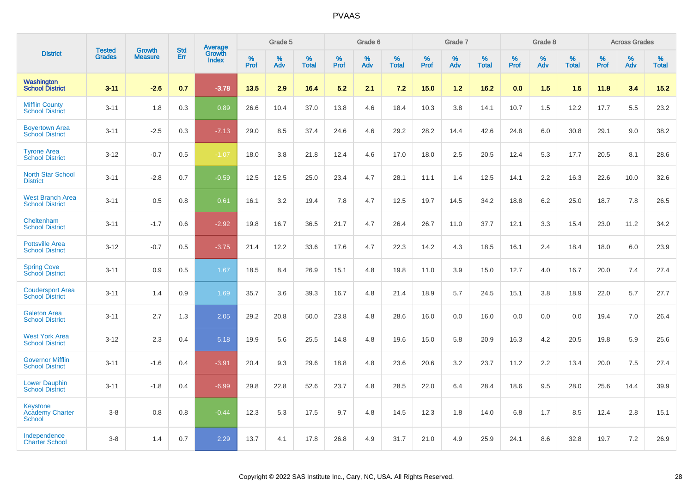|                                                            | <b>Tested</b> | <b>Growth</b>  | <b>Std</b> | Average         |              | Grade 5     |                      |                     | Grade 6     |                      |              | Grade 7     |                      |              | Grade 8     |                   |                     | <b>Across Grades</b> |                      |
|------------------------------------------------------------|---------------|----------------|------------|-----------------|--------------|-------------|----------------------|---------------------|-------------|----------------------|--------------|-------------|----------------------|--------------|-------------|-------------------|---------------------|----------------------|----------------------|
| <b>District</b>                                            | <b>Grades</b> | <b>Measure</b> | Err        | Growth<br>Index | $\%$<br>Prof | $\%$<br>Adv | $\%$<br><b>Total</b> | $\%$<br><b>Prof</b> | $\%$<br>Adv | $\%$<br><b>Total</b> | $\%$<br>Prof | $\%$<br>Adv | $\%$<br><b>Total</b> | $\%$<br>Prof | $\%$<br>Adv | %<br><b>Total</b> | $\%$<br><b>Prof</b> | $\%$<br>Adv          | $\%$<br><b>Total</b> |
| <b>Washington</b><br><b>School District</b>                | $3 - 11$      | $-2.6$         | 0.7        | $-3.78$         | 13.5         | 2.9         | 16.4                 | 5.2                 | 2.1         | 7.2                  | 15.0         | 1.2         | 16.2                 | 0.0          | 1.5         | 1.5               | 11.8                | 3.4                  | 15.2                 |
| <b>Mifflin County</b><br><b>School District</b>            | $3 - 11$      | 1.8            | 0.3        | 0.89            | 26.6         | 10.4        | 37.0                 | 13.8                | 4.6         | 18.4                 | 10.3         | 3.8         | 14.1                 | 10.7         | 1.5         | 12.2              | 17.7                | 5.5                  | 23.2                 |
| <b>Boyertown Area</b><br><b>School District</b>            | $3 - 11$      | $-2.5$         | 0.3        | $-7.13$         | 29.0         | 8.5         | 37.4                 | 24.6                | 4.6         | 29.2                 | 28.2         | 14.4        | 42.6                 | 24.8         | 6.0         | 30.8              | 29.1                | 9.0                  | 38.2                 |
| <b>Tyrone Area</b><br><b>School District</b>               | $3 - 12$      | $-0.7$         | 0.5        | $-1.07$         | 18.0         | 3.8         | 21.8                 | 12.4                | 4.6         | 17.0                 | 18.0         | 2.5         | 20.5                 | 12.4         | 5.3         | 17.7              | 20.5                | 8.1                  | 28.6                 |
| <b>North Star School</b><br><b>District</b>                | $3 - 11$      | $-2.8$         | 0.7        | $-0.59$         | 12.5         | 12.5        | 25.0                 | 23.4                | 4.7         | 28.1                 | 11.1         | 1.4         | 12.5                 | 14.1         | 2.2         | 16.3              | 22.6                | 10.0                 | 32.6                 |
| <b>West Branch Area</b><br><b>School District</b>          | $3 - 11$      | 0.5            | 0.8        | 0.61            | 16.1         | 3.2         | 19.4                 | 7.8                 | 4.7         | 12.5                 | 19.7         | 14.5        | 34.2                 | 18.8         | 6.2         | 25.0              | 18.7                | 7.8                  | 26.5                 |
| Cheltenham<br><b>School District</b>                       | $3 - 11$      | $-1.7$         | 0.6        | $-2.92$         | 19.8         | 16.7        | 36.5                 | 21.7                | 4.7         | 26.4                 | 26.7         | 11.0        | 37.7                 | 12.1         | 3.3         | 15.4              | 23.0                | 11.2                 | 34.2                 |
| <b>Pottsville Area</b><br><b>School District</b>           | $3 - 12$      | $-0.7$         | 0.5        | $-3.75$         | 21.4         | 12.2        | 33.6                 | 17.6                | 4.7         | 22.3                 | 14.2         | 4.3         | 18.5                 | 16.1         | 2.4         | 18.4              | 18.0                | 6.0                  | 23.9                 |
| <b>Spring Cove</b><br><b>School District</b>               | $3 - 11$      | 0.9            | 0.5        | 1.67            | 18.5         | 8.4         | 26.9                 | 15.1                | 4.8         | 19.8                 | 11.0         | 3.9         | 15.0                 | 12.7         | 4.0         | 16.7              | 20.0                | 7.4                  | 27.4                 |
| <b>Coudersport Area</b><br><b>School District</b>          | $3 - 11$      | 1.4            | 0.9        | 1.69            | 35.7         | 3.6         | 39.3                 | 16.7                | 4.8         | 21.4                 | 18.9         | 5.7         | 24.5                 | 15.1         | 3.8         | 18.9              | 22.0                | 5.7                  | 27.7                 |
| <b>Galeton Area</b><br><b>School District</b>              | $3 - 11$      | 2.7            | 1.3        | 2.05            | 29.2         | 20.8        | 50.0                 | 23.8                | 4.8         | 28.6                 | 16.0         | 0.0         | 16.0                 | 0.0          | 0.0         | 0.0               | 19.4                | 7.0                  | 26.4                 |
| <b>West York Area</b><br><b>School District</b>            | $3 - 12$      | 2.3            | 0.4        | 5.18            | 19.9         | 5.6         | 25.5                 | 14.8                | 4.8         | 19.6                 | 15.0         | 5.8         | 20.9                 | 16.3         | 4.2         | 20.5              | 19.8                | 5.9                  | 25.6                 |
| <b>Governor Mifflin</b><br><b>School District</b>          | $3 - 11$      | $-1.6$         | 0.4        | $-3.91$         | 20.4         | 9.3         | 29.6                 | 18.8                | 4.8         | 23.6                 | 20.6         | 3.2         | 23.7                 | 11.2         | 2.2         | 13.4              | 20.0                | 7.5                  | 27.4                 |
| <b>Lower Dauphin</b><br><b>School District</b>             | $3 - 11$      | $-1.8$         | 0.4        | $-6.99$         | 29.8         | 22.8        | 52.6                 | 23.7                | 4.8         | 28.5                 | 22.0         | 6.4         | 28.4                 | 18.6         | 9.5         | 28.0              | 25.6                | 14.4                 | 39.9                 |
| <b>Keystone</b><br><b>Academy Charter</b><br><b>School</b> | $3 - 8$       | 0.8            | 0.8        | $-0.44$         | 12.3         | 5.3         | 17.5                 | 9.7                 | 4.8         | 14.5                 | 12.3         | 1.8         | 14.0                 | 6.8          | 1.7         | 8.5               | 12.4                | 2.8                  | 15.1                 |
| Independence<br><b>Charter School</b>                      | $3-8$         | 1.4            | 0.7        | 2.29            | 13.7         | 4.1         | 17.8                 | 26.8                | 4.9         | 31.7                 | 21.0         | 4.9         | 25.9                 | 24.1         | 8.6         | 32.8              | 19.7                | 7.2                  | 26.9                 |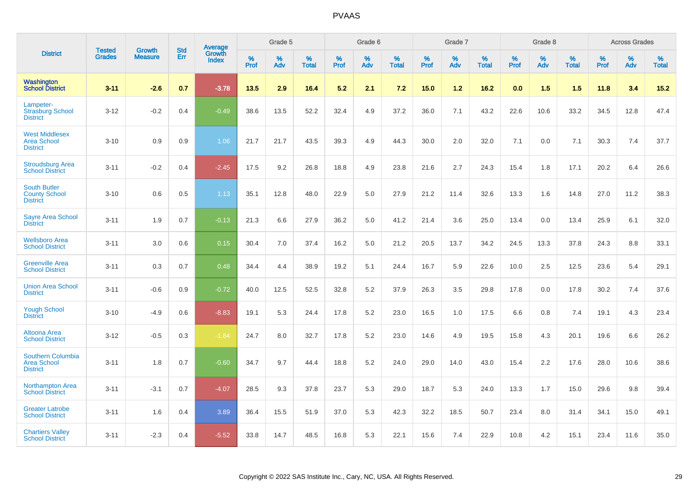|                                                                   | <b>Tested</b> | <b>Growth</b>  | <b>Std</b> | Average<br>Growth |              | Grade 5  |                   |              | Grade 6  |                   |              | Grade 7  |                   |              | Grade 8  |                   |              | <b>Across Grades</b> |                   |
|-------------------------------------------------------------------|---------------|----------------|------------|-------------------|--------------|----------|-------------------|--------------|----------|-------------------|--------------|----------|-------------------|--------------|----------|-------------------|--------------|----------------------|-------------------|
| <b>District</b>                                                   | <b>Grades</b> | <b>Measure</b> | <b>Err</b> | Index             | $\%$<br>Prof | %<br>Adv | %<br><b>Total</b> | $\%$<br>Prof | %<br>Adv | %<br><b>Total</b> | $\%$<br>Prof | %<br>Adv | %<br><b>Total</b> | $\%$<br>Prof | %<br>Adv | %<br><b>Total</b> | $\%$<br>Prof | %<br>Adv             | %<br><b>Total</b> |
| Washington<br><b>School District</b>                              | $3 - 11$      | $-2.6$         | 0.7        | $-3.78$           | 13.5         | 2.9      | 16.4              | 5.2          | 2.1      | 7.2               | 15.0         | 1.2      | 16.2              | 0.0          | 1.5      | 1.5               | 11.8         | 3.4                  | 15.2              |
| Lampeter-<br><b>Strasburg School</b><br><b>District</b>           | $3 - 12$      | $-0.2$         | 0.4        | $-0.49$           | 38.6         | 13.5     | 52.2              | 32.4         | 4.9      | 37.2              | 36.0         | 7.1      | 43.2              | 22.6         | 10.6     | 33.2              | 34.5         | 12.8                 | 47.4              |
| <b>West Middlesex</b><br><b>Area School</b><br><b>District</b>    | $3 - 10$      | 0.9            | 0.9        | 1.06              | 21.7         | 21.7     | 43.5              | 39.3         | 4.9      | 44.3              | 30.0         | 2.0      | 32.0              | 7.1          | 0.0      | 7.1               | 30.3         | 7.4                  | 37.7              |
| <b>Stroudsburg Area</b><br><b>School District</b>                 | $3 - 11$      | $-0.2$         | 0.4        | $-2.45$           | 17.5         | 9.2      | 26.8              | 18.8         | 4.9      | 23.8              | 21.6         | 2.7      | 24.3              | 15.4         | 1.8      | 17.1              | 20.2         | 6.4                  | 26.6              |
| <b>South Butler</b><br><b>County School</b><br><b>District</b>    | $3 - 10$      | 0.6            | 0.5        | 1.13              | 35.1         | 12.8     | 48.0              | 22.9         | 5.0      | 27.9              | 21.2         | 11.4     | 32.6              | 13.3         | 1.6      | 14.8              | 27.0         | 11.2                 | 38.3              |
| <b>Sayre Area School</b><br><b>District</b>                       | $3 - 11$      | 1.9            | 0.7        | $-0.13$           | 21.3         | 6.6      | 27.9              | 36.2         | 5.0      | 41.2              | 21.4         | 3.6      | 25.0              | 13.4         | 0.0      | 13.4              | 25.9         | 6.1                  | 32.0              |
| <b>Wellsboro Area</b><br><b>School District</b>                   | $3 - 11$      | 3.0            | 0.6        | 0.15              | 30.4         | 7.0      | 37.4              | 16.2         | 5.0      | 21.2              | 20.5         | 13.7     | 34.2              | 24.5         | 13.3     | 37.8              | 24.3         | 8.8                  | 33.1              |
| <b>Greenville Area</b><br><b>School District</b>                  | $3 - 11$      | 0.3            | 0.7        | 0.48              | 34.4         | 4.4      | 38.9              | 19.2         | 5.1      | 24.4              | 16.7         | 5.9      | 22.6              | 10.0         | 2.5      | 12.5              | 23.6         | 5.4                  | 29.1              |
| <b>Union Area School</b><br><b>District</b>                       | $3 - 11$      | $-0.6$         | 0.9        | $-0.72$           | 40.0         | 12.5     | 52.5              | 32.8         | 5.2      | 37.9              | 26.3         | 3.5      | 29.8              | 17.8         | 0.0      | 17.8              | 30.2         | 7.4                  | 37.6              |
| <b>Yough School</b><br><b>District</b>                            | $3 - 10$      | $-4.9$         | 0.6        | $-8.83$           | 19.1         | 5.3      | 24.4              | 17.8         | 5.2      | 23.0              | 16.5         | 1.0      | 17.5              | 6.6          | 0.8      | 7.4               | 19.1         | 4.3                  | 23.4              |
| Altoona Area<br><b>School District</b>                            | $3 - 12$      | $-0.5$         | 0.3        | $-1.84$           | 24.7         | 8.0      | 32.7              | 17.8         | 5.2      | 23.0              | 14.6         | 4.9      | 19.5              | 15.8         | 4.3      | 20.1              | 19.6         | 6.6                  | 26.2              |
| <b>Southern Columbia</b><br><b>Area School</b><br><b>District</b> | $3 - 11$      | 1.8            | 0.7        | $-0.60$           | 34.7         | 9.7      | 44.4              | 18.8         | 5.2      | 24.0              | 29.0         | 14.0     | 43.0              | 15.4         | 2.2      | 17.6              | 28.0         | 10.6                 | 38.6              |
| <b>Northampton Area</b><br><b>School District</b>                 | $3 - 11$      | $-3.1$         | 0.7        | $-4.07$           | 28.5         | 9.3      | 37.8              | 23.7         | 5.3      | 29.0              | 18.7         | 5.3      | 24.0              | 13.3         | 1.7      | 15.0              | 29.6         | 9.8                  | 39.4              |
| <b>Greater Latrobe</b><br><b>School District</b>                  | $3 - 11$      | 1.6            | 0.4        | 3.89              | 36.4         | 15.5     | 51.9              | 37.0         | 5.3      | 42.3              | 32.2         | 18.5     | 50.7              | 23.4         | 8.0      | 31.4              | 34.1         | 15.0                 | 49.1              |
| <b>Chartiers Valley</b><br><b>School District</b>                 | $3 - 11$      | $-2.3$         | 0.4        | $-5.52$           | 33.8         | 14.7     | 48.5              | 16.8         | 5.3      | 22.1              | 15.6         | 7.4      | 22.9              | 10.8         | 4.2      | 15.1              | 23.4         | 11.6                 | 35.0              |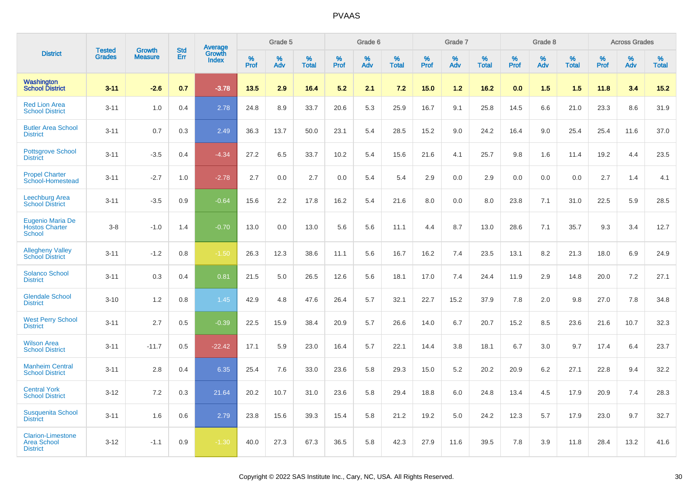|                                                                   | <b>Tested</b> | <b>Growth</b>  | <b>Std</b> |                                   |                     | Grade 5  |                   |              | Grade 6  |                   |              | Grade 7  |                   |              | Grade 8  |                   |              | <b>Across Grades</b> |                   |
|-------------------------------------------------------------------|---------------|----------------|------------|-----------------------------------|---------------------|----------|-------------------|--------------|----------|-------------------|--------------|----------|-------------------|--------------|----------|-------------------|--------------|----------------------|-------------------|
| <b>District</b>                                                   | <b>Grades</b> | <b>Measure</b> | Err        | Average<br>Growth<br><b>Index</b> | $\%$<br><b>Prof</b> | %<br>Adv | %<br><b>Total</b> | $\%$<br>Prof | %<br>Adv | %<br><b>Total</b> | $\%$<br>Prof | %<br>Adv | %<br><b>Total</b> | $\%$<br>Prof | %<br>Adv | %<br><b>Total</b> | $\%$<br>Prof | %<br>Adv             | %<br><b>Total</b> |
| Washington<br><b>School District</b>                              | $3 - 11$      | $-2.6$         | 0.7        | $-3.78$                           | 13.5                | 2.9      | 16.4              | 5.2          | 2.1      | 7.2               | 15.0         | 1.2      | 16.2              | 0.0          | 1.5      | 1.5               | 11.8         | 3.4                  | 15.2              |
| <b>Red Lion Area</b><br><b>School District</b>                    | $3 - 11$      | 1.0            | 0.4        | 2.78                              | 24.8                | 8.9      | 33.7              | 20.6         | 5.3      | 25.9              | 16.7         | 9.1      | 25.8              | 14.5         | 6.6      | 21.0              | 23.3         | 8.6                  | 31.9              |
| <b>Butler Area School</b><br><b>District</b>                      | $3 - 11$      | 0.7            | 0.3        | 2.49                              | 36.3                | 13.7     | 50.0              | 23.1         | 5.4      | 28.5              | 15.2         | 9.0      | 24.2              | 16.4         | 9.0      | 25.4              | 25.4         | 11.6                 | 37.0              |
| <b>Pottsgrove School</b><br><b>District</b>                       | $3 - 11$      | $-3.5$         | 0.4        | $-4.34$                           | 27.2                | 6.5      | 33.7              | 10.2         | 5.4      | 15.6              | 21.6         | 4.1      | 25.7              | 9.8          | 1.6      | 11.4              | 19.2         | 4.4                  | 23.5              |
| <b>Propel Charter</b><br>School-Homestead                         | $3 - 11$      | $-2.7$         | 1.0        | $-2.78$                           | 2.7                 | 0.0      | 2.7               | 0.0          | 5.4      | 5.4               | 2.9          | 0.0      | 2.9               | 0.0          | 0.0      | 0.0               | 2.7          | 1.4                  | 4.1               |
| Leechburg Area<br><b>School District</b>                          | $3 - 11$      | $-3.5$         | 0.9        | $-0.64$                           | 15.6                | 2.2      | 17.8              | 16.2         | 5.4      | 21.6              | 8.0          | 0.0      | 8.0               | 23.8         | 7.1      | 31.0              | 22.5         | 5.9                  | 28.5              |
| Eugenio Maria De<br><b>Hostos Charter</b><br><b>School</b>        | $3-8$         | $-1.0$         | 1.4        | $-0.70$                           | 13.0                | 0.0      | 13.0              | 5.6          | 5.6      | 11.1              | 4.4          | 8.7      | 13.0              | 28.6         | 7.1      | 35.7              | 9.3          | 3.4                  | 12.7              |
| <b>Allegheny Valley</b><br><b>School District</b>                 | $3 - 11$      | $-1.2$         | 0.8        | $-1.50$                           | 26.3                | 12.3     | 38.6              | 11.1         | 5.6      | 16.7              | 16.2         | 7.4      | 23.5              | 13.1         | 8.2      | 21.3              | 18.0         | 6.9                  | 24.9              |
| <b>Solanco School</b><br><b>District</b>                          | $3 - 11$      | 0.3            | 0.4        | 0.81                              | 21.5                | 5.0      | 26.5              | 12.6         | 5.6      | 18.1              | 17.0         | 7.4      | 24.4              | 11.9         | 2.9      | 14.8              | 20.0         | 7.2                  | 27.1              |
| <b>Glendale School</b><br><b>District</b>                         | $3 - 10$      | 1.2            | 0.8        | 1.45                              | 42.9                | 4.8      | 47.6              | 26.4         | 5.7      | 32.1              | 22.7         | 15.2     | 37.9              | 7.8          | 2.0      | 9.8               | 27.0         | 7.8                  | 34.8              |
| <b>West Perry School</b><br><b>District</b>                       | $3 - 11$      | 2.7            | 0.5        | $-0.39$                           | 22.5                | 15.9     | 38.4              | 20.9         | 5.7      | 26.6              | 14.0         | 6.7      | 20.7              | 15.2         | 8.5      | 23.6              | 21.6         | 10.7                 | 32.3              |
| <b>Wilson Area</b><br><b>School District</b>                      | $3 - 11$      | $-11.7$        | 0.5        | $-22.42$                          | 17.1                | 5.9      | 23.0              | 16.4         | 5.7      | 22.1              | 14.4         | 3.8      | 18.1              | 6.7          | 3.0      | 9.7               | 17.4         | 6.4                  | 23.7              |
| <b>Manheim Central</b><br><b>School District</b>                  | $3 - 11$      | 2.8            | 0.4        | 6.35                              | 25.4                | 7.6      | 33.0              | 23.6         | 5.8      | 29.3              | 15.0         | 5.2      | 20.2              | 20.9         | 6.2      | 27.1              | 22.8         | 9.4                  | 32.2              |
| <b>Central York</b><br><b>School District</b>                     | $3 - 12$      | 7.2            | 0.3        | 21.64                             | 20.2                | 10.7     | 31.0              | 23.6         | 5.8      | 29.4              | 18.8         | 6.0      | 24.8              | 13.4         | 4.5      | 17.9              | 20.9         | 7.4                  | 28.3              |
| <b>Susquenita School</b><br><b>District</b>                       | $3 - 11$      | 1.6            | 0.6        | 2.79                              | 23.8                | 15.6     | 39.3              | 15.4         | 5.8      | 21.2              | 19.2         | 5.0      | 24.2              | 12.3         | 5.7      | 17.9              | 23.0         | 9.7                  | 32.7              |
| <b>Clarion-Limestone</b><br><b>Area School</b><br><b>District</b> | $3 - 12$      | $-1.1$         | 0.9        | $-1.30$                           | 40.0                | 27.3     | 67.3              | 36.5         | 5.8      | 42.3              | 27.9         | 11.6     | 39.5              | 7.8          | 3.9      | 11.8              | 28.4         | 13.2                 | 41.6              |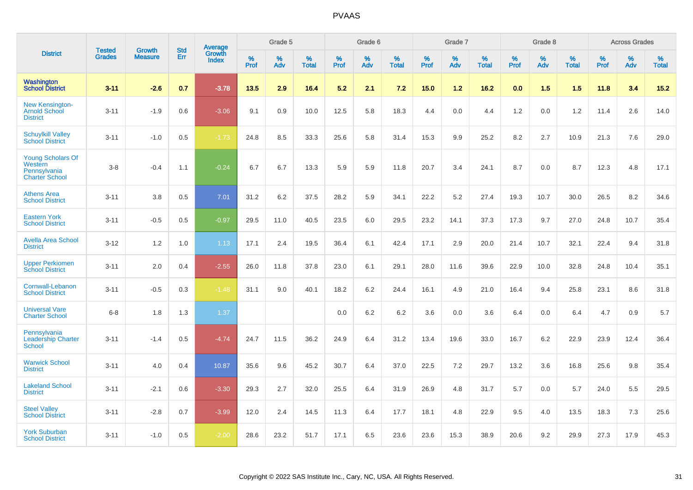|                                                                              |                                | <b>Growth</b>  | <b>Std</b> | Average<br>Growth |              | Grade 5  |                   |              | Grade 6  |                   |              | Grade 7  |                   |              | Grade 8  |                   |              | <b>Across Grades</b> |                   |
|------------------------------------------------------------------------------|--------------------------------|----------------|------------|-------------------|--------------|----------|-------------------|--------------|----------|-------------------|--------------|----------|-------------------|--------------|----------|-------------------|--------------|----------------------|-------------------|
| <b>District</b>                                                              | <b>Tested</b><br><b>Grades</b> | <b>Measure</b> | <b>Err</b> | Index             | $\%$<br>Prof | %<br>Adv | %<br><b>Total</b> | $\%$<br>Prof | %<br>Adv | %<br><b>Total</b> | $\%$<br>Prof | %<br>Adv | %<br><b>Total</b> | $\%$<br>Prof | %<br>Adv | %<br><b>Total</b> | $\%$<br>Prof | %<br>Adv             | %<br><b>Total</b> |
| Washington<br><b>School District</b>                                         | $3 - 11$                       | $-2.6$         | 0.7        | $-3.78$           | 13.5         | 2.9      | 16.4              | 5.2          | 2.1      | 7.2               | 15.0         | 1.2      | 16.2              | 0.0          | 1.5      | 1.5               | 11.8         | 3.4                  | 15.2              |
| <b>New Kensington-</b><br><b>Arnold School</b><br><b>District</b>            | $3 - 11$                       | $-1.9$         | 0.6        | $-3.06$           | 9.1          | 0.9      | 10.0              | 12.5         | 5.8      | 18.3              | 4.4          | 0.0      | 4.4               | 1.2          | 0.0      | 1.2               | 11.4         | 2.6                  | 14.0              |
| <b>Schuylkill Valley</b><br><b>School District</b>                           | $3 - 11$                       | $-1.0$         | 0.5        | $-1.73$           | 24.8         | 8.5      | 33.3              | 25.6         | 5.8      | 31.4              | 15.3         | 9.9      | 25.2              | 8.2          | 2.7      | 10.9              | 21.3         | 7.6                  | 29.0              |
| <b>Young Scholars Of</b><br>Western<br>Pennsylvania<br><b>Charter School</b> | $3 - 8$                        | $-0.4$         | 1.1        | $-0.24$           | 6.7          | 6.7      | 13.3              | 5.9          | 5.9      | 11.8              | 20.7         | 3.4      | 24.1              | 8.7          | 0.0      | 8.7               | 12.3         | 4.8                  | 17.1              |
| <b>Athens Area</b><br><b>School District</b>                                 | $3 - 11$                       | 3.8            | 0.5        | 7.01              | 31.2         | 6.2      | 37.5              | 28.2         | 5.9      | 34.1              | 22.2         | 5.2      | 27.4              | 19.3         | 10.7     | 30.0              | 26.5         | 8.2                  | 34.6              |
| <b>Eastern York</b><br><b>School District</b>                                | $3 - 11$                       | $-0.5$         | 0.5        | $-0.97$           | 29.5         | 11.0     | 40.5              | 23.5         | 6.0      | 29.5              | 23.2         | 14.1     | 37.3              | 17.3         | 9.7      | 27.0              | 24.8         | 10.7                 | 35.4              |
| <b>Avella Area School</b><br><b>District</b>                                 | $3 - 12$                       | 1.2            | 1.0        | 1.13              | 17.1         | 2.4      | 19.5              | 36.4         | 6.1      | 42.4              | 17.1         | 2.9      | 20.0              | 21.4         | 10.7     | 32.1              | 22.4         | 9.4                  | 31.8              |
| <b>Upper Perkiomen</b><br><b>School District</b>                             | $3 - 11$                       | 2.0            | 0.4        | $-2.55$           | 26.0         | 11.8     | 37.8              | 23.0         | 6.1      | 29.1              | 28.0         | 11.6     | 39.6              | 22.9         | 10.0     | 32.8              | 24.8         | 10.4                 | 35.1              |
| Cornwall-Lebanon<br><b>School District</b>                                   | $3 - 11$                       | $-0.5$         | 0.3        | $-1.48$           | 31.1         | 9.0      | 40.1              | 18.2         | 6.2      | 24.4              | 16.1         | 4.9      | 21.0              | 16.4         | 9.4      | 25.8              | 23.1         | 8.6                  | 31.8              |
| <b>Universal Vare</b><br><b>Charter School</b>                               | $6 - 8$                        | 1.8            | 1.3        | 1.37              |              |          |                   | 0.0          | 6.2      | 6.2               | 3.6          | 0.0      | 3.6               | 6.4          | 0.0      | 6.4               | 4.7          | 0.9                  | 5.7               |
| Pennsylvania<br><b>Leadership Charter</b><br><b>School</b>                   | $3 - 11$                       | $-1.4$         | 0.5        | $-4.74$           | 24.7         | 11.5     | 36.2              | 24.9         | 6.4      | 31.2              | 13.4         | 19.6     | 33.0              | 16.7         | 6.2      | 22.9              | 23.9         | 12.4                 | 36.4              |
| <b>Warwick School</b><br><b>District</b>                                     | $3 - 11$                       | 4.0            | 0.4        | 10.87             | 35.6         | 9.6      | 45.2              | 30.7         | 6.4      | 37.0              | 22.5         | 7.2      | 29.7              | 13.2         | 3.6      | 16.8              | 25.6         | 9.8                  | 35.4              |
| <b>Lakeland School</b><br><b>District</b>                                    | $3 - 11$                       | $-2.1$         | 0.6        | $-3.30$           | 29.3         | 2.7      | 32.0              | 25.5         | 6.4      | 31.9              | 26.9         | 4.8      | 31.7              | 5.7          | 0.0      | 5.7               | 24.0         | 5.5                  | 29.5              |
| <b>Steel Valley</b><br><b>School District</b>                                | $3 - 11$                       | $-2.8$         | 0.7        | $-3.99$           | 12.0         | 2.4      | 14.5              | 11.3         | 6.4      | 17.7              | 18.1         | 4.8      | 22.9              | 9.5          | 4.0      | 13.5              | 18.3         | 7.3                  | 25.6              |
| <b>York Suburban</b><br><b>School District</b>                               | $3 - 11$                       | $-1.0$         | 0.5        | $-2.00$           | 28.6         | 23.2     | 51.7              | 17.1         | 6.5      | 23.6              | 23.6         | 15.3     | 38.9              | 20.6         | 9.2      | 29.9              | 27.3         | 17.9                 | 45.3              |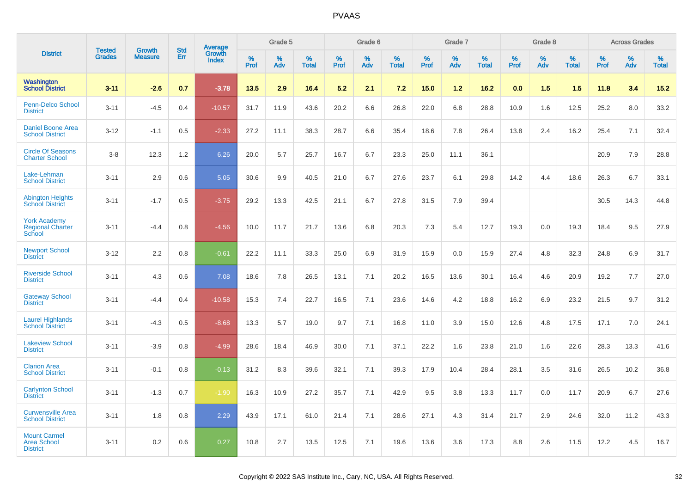|                                                              | <b>Tested</b> | <b>Growth</b>  | <b>Std</b> |                                   |                     | Grade 5  |                   |              | Grade 6  |                   |              | Grade 7  |                   |              | Grade 8  |                   |              | <b>Across Grades</b> |                   |
|--------------------------------------------------------------|---------------|----------------|------------|-----------------------------------|---------------------|----------|-------------------|--------------|----------|-------------------|--------------|----------|-------------------|--------------|----------|-------------------|--------------|----------------------|-------------------|
| <b>District</b>                                              | <b>Grades</b> | <b>Measure</b> | Err        | Average<br>Growth<br><b>Index</b> | $\%$<br><b>Prof</b> | %<br>Adv | %<br><b>Total</b> | $\%$<br>Prof | %<br>Adv | %<br><b>Total</b> | $\%$<br>Prof | %<br>Adv | %<br><b>Total</b> | $\%$<br>Prof | %<br>Adv | %<br><b>Total</b> | $\%$<br>Prof | %<br>Adv             | %<br><b>Total</b> |
| Washington<br><b>School District</b>                         | $3 - 11$      | $-2.6$         | 0.7        | $-3.78$                           | 13.5                | 2.9      | 16.4              | 5.2          | 2.1      | 7.2               | 15.0         | 1.2      | 16.2              | 0.0          | 1.5      | 1.5               | 11.8         | 3.4                  | 15.2              |
| <b>Penn-Delco School</b><br><b>District</b>                  | $3 - 11$      | $-4.5$         | 0.4        | $-10.57$                          | 31.7                | 11.9     | 43.6              | 20.2         | 6.6      | 26.8              | 22.0         | 6.8      | 28.8              | 10.9         | 1.6      | 12.5              | 25.2         | 8.0                  | 33.2              |
| <b>Daniel Boone Area</b><br><b>School District</b>           | $3 - 12$      | $-1.1$         | 0.5        | $-2.33$                           | 27.2                | 11.1     | 38.3              | 28.7         | 6.6      | 35.4              | 18.6         | 7.8      | 26.4              | 13.8         | 2.4      | 16.2              | 25.4         | 7.1                  | 32.4              |
| <b>Circle Of Seasons</b><br><b>Charter School</b>            | $3-8$         | 12.3           | 1.2        | 6.26                              | 20.0                | 5.7      | 25.7              | 16.7         | 6.7      | 23.3              | 25.0         | 11.1     | 36.1              |              |          |                   | 20.9         | 7.9                  | 28.8              |
| Lake-Lehman<br><b>School District</b>                        | $3 - 11$      | 2.9            | 0.6        | 5.05                              | 30.6                | 9.9      | 40.5              | 21.0         | 6.7      | 27.6              | 23.7         | 6.1      | 29.8              | 14.2         | 4.4      | 18.6              | 26.3         | 6.7                  | 33.1              |
| <b>Abington Heights</b><br><b>School District</b>            | $3 - 11$      | $-1.7$         | 0.5        | $-3.75$                           | 29.2                | 13.3     | 42.5              | 21.1         | 6.7      | 27.8              | 31.5         | 7.9      | 39.4              |              |          |                   | 30.5         | 14.3                 | 44.8              |
| <b>York Academy</b><br><b>Regional Charter</b><br>School     | $3 - 11$      | $-4.4$         | 0.8        | $-4.56$                           | 10.0                | 11.7     | 21.7              | 13.6         | 6.8      | 20.3              | 7.3          | 5.4      | 12.7              | 19.3         | 0.0      | 19.3              | 18.4         | 9.5                  | 27.9              |
| <b>Newport School</b><br><b>District</b>                     | $3 - 12$      | 2.2            | 0.8        | $-0.61$                           | 22.2                | 11.1     | 33.3              | 25.0         | 6.9      | 31.9              | 15.9         | 0.0      | 15.9              | 27.4         | 4.8      | 32.3              | 24.8         | 6.9                  | 31.7              |
| <b>Riverside School</b><br><b>District</b>                   | $3 - 11$      | 4.3            | 0.6        | 7.08                              | 18.6                | 7.8      | 26.5              | 13.1         | 7.1      | 20.2              | 16.5         | 13.6     | 30.1              | 16.4         | 4.6      | 20.9              | 19.2         | 7.7                  | 27.0              |
| <b>Gateway School</b><br><b>District</b>                     | $3 - 11$      | $-4.4$         | 0.4        | $-10.58$                          | 15.3                | 7.4      | 22.7              | 16.5         | 7.1      | 23.6              | 14.6         | 4.2      | 18.8              | 16.2         | 6.9      | 23.2              | 21.5         | 9.7                  | 31.2              |
| <b>Laurel Highlands</b><br><b>School District</b>            | $3 - 11$      | $-4.3$         | 0.5        | $-8.68$                           | 13.3                | 5.7      | 19.0              | 9.7          | 7.1      | 16.8              | 11.0         | 3.9      | 15.0              | 12.6         | 4.8      | 17.5              | 17.1         | 7.0                  | 24.1              |
| <b>Lakeview School</b><br><b>District</b>                    | $3 - 11$      | $-3.9$         | 0.8        | $-4.99$                           | 28.6                | 18.4     | 46.9              | 30.0         | 7.1      | 37.1              | 22.2         | 1.6      | 23.8              | 21.0         | 1.6      | 22.6              | 28.3         | 13.3                 | 41.6              |
| <b>Clarion Area</b><br><b>School District</b>                | $3 - 11$      | $-0.1$         | 0.8        | $-0.13$                           | 31.2                | 8.3      | 39.6              | 32.1         | 7.1      | 39.3              | 17.9         | 10.4     | 28.4              | 28.1         | 3.5      | 31.6              | 26.5         | 10.2                 | 36.8              |
| <b>Carlynton School</b><br><b>District</b>                   | $3 - 11$      | $-1.3$         | 0.7        | $-1.90$                           | 16.3                | 10.9     | 27.2              | 35.7         | 7.1      | 42.9              | 9.5          | 3.8      | 13.3              | 11.7         | 0.0      | 11.7              | 20.9         | 6.7                  | 27.6              |
| <b>Curwensville Area</b><br><b>School District</b>           | $3 - 11$      | 1.8            | 0.8        | 2.29                              | 43.9                | 17.1     | 61.0              | 21.4         | 7.1      | 28.6              | 27.1         | 4.3      | 31.4              | 21.7         | 2.9      | 24.6              | 32.0         | 11.2                 | 43.3              |
| <b>Mount Carmel</b><br><b>Area School</b><br><b>District</b> | $3 - 11$      | 0.2            | 0.6        | 0.27                              | 10.8                | 2.7      | 13.5              | 12.5         | 7.1      | 19.6              | 13.6         | 3.6      | 17.3              | 8.8          | 2.6      | 11.5              | 12.2         | 4.5                  | 16.7              |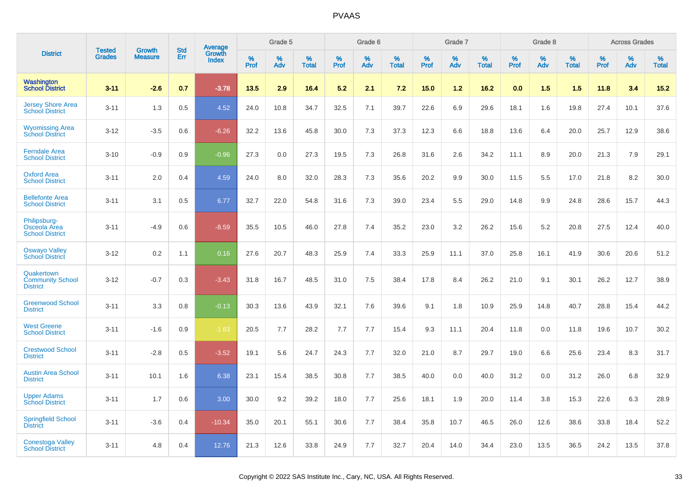|                                                               | <b>Tested</b> | <b>Growth</b>  | <b>Std</b> | Average                |              | Grade 5  |                   |              | Grade 6  |                   |              | Grade 7  |                   |              | Grade 8  |                   |           | <b>Across Grades</b> |                   |
|---------------------------------------------------------------|---------------|----------------|------------|------------------------|--------------|----------|-------------------|--------------|----------|-------------------|--------------|----------|-------------------|--------------|----------|-------------------|-----------|----------------------|-------------------|
| <b>District</b>                                               | <b>Grades</b> | <b>Measure</b> | Err        | Growth<br><b>Index</b> | $\%$<br>Prof | %<br>Adv | %<br><b>Total</b> | $\%$<br>Prof | %<br>Adv | %<br><b>Total</b> | $\%$<br>Prof | %<br>Adv | %<br><b>Total</b> | $\%$<br>Prof | %<br>Adv | %<br><b>Total</b> | %<br>Prof | $\%$<br>Adv          | %<br><b>Total</b> |
| Washington<br><b>School District</b>                          | $3 - 11$      | $-2.6$         | 0.7        | $-3.78$                | 13.5         | 2.9      | 16.4              | 5.2          | 2.1      | 7.2               | 15.0         | 1.2      | 16.2              | 0.0          | 1.5      | 1.5               | 11.8      | 3.4                  | 15.2              |
| <b>Jersey Shore Area</b><br><b>School District</b>            | $3 - 11$      | 1.3            | 0.5        | 4.52                   | 24.0         | 10.8     | 34.7              | 32.5         | 7.1      | 39.7              | 22.6         | 6.9      | 29.6              | 18.1         | 1.6      | 19.8              | 27.4      | 10.1                 | 37.6              |
| <b>Wyomissing Area</b><br><b>School District</b>              | $3 - 12$      | $-3.5$         | 0.6        | $-6.26$                | 32.2         | 13.6     | 45.8              | 30.0         | 7.3      | 37.3              | 12.3         | 6.6      | 18.8              | 13.6         | 6.4      | 20.0              | 25.7      | 12.9                 | 38.6              |
| <b>Ferndale Area</b><br><b>School District</b>                | $3 - 10$      | $-0.9$         | 0.9        | $-0.96$                | 27.3         | 0.0      | 27.3              | 19.5         | 7.3      | 26.8              | 31.6         | 2.6      | 34.2              | 11.1         | 8.9      | 20.0              | 21.3      | 7.9                  | 29.1              |
| <b>Oxford Area</b><br><b>School District</b>                  | $3 - 11$      | 2.0            | 0.4        | 4.59                   | 24.0         | 8.0      | 32.0              | 28.3         | 7.3      | 35.6              | 20.2         | 9.9      | 30.0              | 11.5         | 5.5      | 17.0              | 21.8      | 8.2                  | 30.0              |
| <b>Bellefonte Area</b><br><b>School District</b>              | $3 - 11$      | 3.1            | 0.5        | 6.77                   | 32.7         | 22.0     | 54.8              | 31.6         | 7.3      | 39.0              | 23.4         | 5.5      | 29.0              | 14.8         | 9.9      | 24.8              | 28.6      | 15.7                 | 44.3              |
| Philipsburg-<br><b>Osceola Area</b><br><b>School District</b> | $3 - 11$      | $-4.9$         | 0.6        | $-8.59$                | 35.5         | 10.5     | 46.0              | 27.8         | 7.4      | 35.2              | 23.0         | 3.2      | 26.2              | 15.6         | 5.2      | 20.8              | 27.5      | 12.4                 | 40.0              |
| <b>Oswayo Valley</b><br><b>School District</b>                | $3 - 12$      | 0.2            | 1.1        | 0.16                   | 27.6         | 20.7     | 48.3              | 25.9         | 7.4      | 33.3              | 25.9         | 11.1     | 37.0              | 25.8         | 16.1     | 41.9              | 30.6      | 20.6                 | 51.2              |
| Quakertown<br><b>Community School</b><br><b>District</b>      | $3 - 12$      | $-0.7$         | 0.3        | $-3.43$                | 31.8         | 16.7     | 48.5              | 31.0         | 7.5      | 38.4              | 17.8         | 8.4      | 26.2              | 21.0         | 9.1      | 30.1              | 26.2      | 12.7                 | 38.9              |
| <b>Greenwood School</b><br><b>District</b>                    | $3 - 11$      | 3.3            | 0.8        | $-0.13$                | 30.3         | 13.6     | 43.9              | 32.1         | 7.6      | 39.6              | 9.1          | 1.8      | 10.9              | 25.9         | 14.8     | 40.7              | 28.8      | 15.4                 | 44.2              |
| <b>West Greene</b><br><b>School District</b>                  | $3 - 11$      | $-1.6$         | 0.9        | $-1.63$                | 20.5         | 7.7      | 28.2              | 7.7          | 7.7      | 15.4              | 9.3          | 11.1     | 20.4              | 11.8         | 0.0      | 11.8              | 19.6      | 10.7                 | 30.2              |
| <b>Crestwood School</b><br><b>District</b>                    | $3 - 11$      | $-2.8$         | 0.5        | $-3.52$                | 19.1         | 5.6      | 24.7              | 24.3         | 7.7      | 32.0              | 21.0         | 8.7      | 29.7              | 19.0         | 6.6      | 25.6              | 23.4      | 8.3                  | 31.7              |
| <b>Austin Area School</b><br><b>District</b>                  | $3 - 11$      | 10.1           | 1.6        | 6.38                   | 23.1         | 15.4     | 38.5              | 30.8         | 7.7      | 38.5              | 40.0         | 0.0      | 40.0              | 31.2         | 0.0      | 31.2              | 26.0      | 6.8                  | 32.9              |
| <b>Upper Adams</b><br><b>School District</b>                  | $3 - 11$      | 1.7            | 0.6        | 3.00                   | 30.0         | 9.2      | 39.2              | 18.0         | 7.7      | 25.6              | 18.1         | 1.9      | 20.0              | 11.4         | 3.8      | 15.3              | 22.6      | 6.3                  | 28.9              |
| <b>Springfield School</b><br><b>District</b>                  | $3 - 11$      | $-3.6$         | 0.4        | $-10.34$               | 35.0         | 20.1     | 55.1              | 30.6         | 7.7      | 38.4              | 35.8         | 10.7     | 46.5              | 26.0         | 12.6     | 38.6              | 33.8      | 18.4                 | 52.2              |
| <b>Conestoga Valley</b><br><b>School District</b>             | $3 - 11$      | 4.8            | 0.4        | 12.76                  | 21.3         | 12.6     | 33.8              | 24.9         | 7.7      | 32.7              | 20.4         | 14.0     | 34.4              | 23.0         | 13.5     | 36.5              | 24.2      | 13.5                 | 37.8              |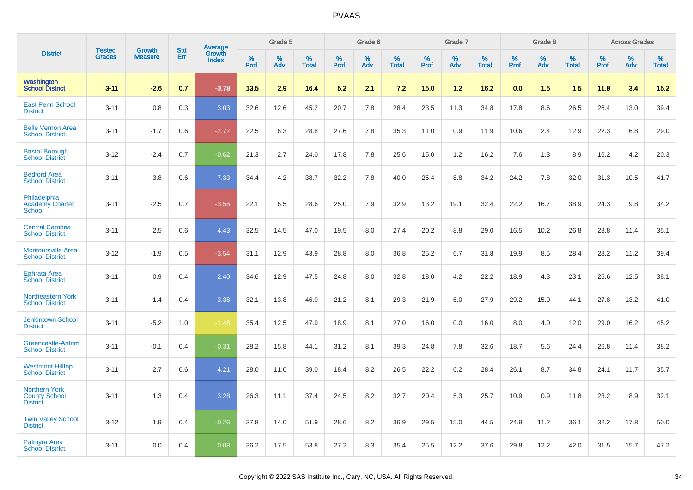|                                                                 | <b>Tested</b> | <b>Growth</b>  | <b>Std</b> | Average                |              | Grade 5  |                   |              | Grade 6  |                   |              | Grade 7  |                   |              | Grade 8  |                   |              | <b>Across Grades</b> |                   |
|-----------------------------------------------------------------|---------------|----------------|------------|------------------------|--------------|----------|-------------------|--------------|----------|-------------------|--------------|----------|-------------------|--------------|----------|-------------------|--------------|----------------------|-------------------|
| <b>District</b>                                                 | <b>Grades</b> | <b>Measure</b> | Err        | Growth<br><b>Index</b> | $\%$<br>Prof | %<br>Adv | %<br><b>Total</b> | $\%$<br>Prof | %<br>Adv | %<br><b>Total</b> | $\%$<br>Prof | %<br>Adv | %<br><b>Total</b> | $\%$<br>Prof | %<br>Adv | %<br><b>Total</b> | $\%$<br>Prof | %<br>Adv             | %<br><b>Total</b> |
| <b>Washington</b><br><b>School District</b>                     | $3 - 11$      | $-2.6$         | 0.7        | $-3.78$                | 13.5         | 2.9      | 16.4              | 5.2          | 2.1      | 7.2               | 15.0         | $1.2$    | 16.2              | 0.0          | 1.5      | 1.5               | 11.8         | 3.4                  | 15.2              |
| <b>East Penn School</b><br><b>District</b>                      | $3 - 11$      | 0.8            | 0.3        | 3.03                   | 32.6         | 12.6     | 45.2              | 20.7         | 7.8      | 28.4              | 23.5         | 11.3     | 34.8              | 17.8         | 8.6      | 26.5              | 26.4         | 13.0                 | 39.4              |
| <b>Belle Vernon Area</b><br><b>School District</b>              | $3 - 11$      | $-1.7$         | 0.6        | $-2.77$                | 22.5         | 6.3      | 28.8              | 27.6         | 7.8      | 35.3              | 11.0         | 0.9      | 11.9              | 10.6         | 2.4      | 12.9              | 22.3         | 6.8                  | 29.0              |
| <b>Bristol Borough</b><br><b>School District</b>                | $3 - 12$      | $-2.4$         | 0.7        | $-0.62$                | 21.3         | 2.7      | 24.0              | 17.8         | 7.8      | 25.6              | 15.0         | 1.2      | 16.2              | 7.6          | 1.3      | 8.9               | 16.2         | 4.2                  | 20.3              |
| <b>Bedford Area</b><br><b>School District</b>                   | $3 - 11$      | 3.8            | 0.6        | 7.33                   | 34.4         | 4.2      | 38.7              | 32.2         | 7.8      | 40.0              | 25.4         | 8.8      | 34.2              | 24.2         | 7.8      | 32.0              | 31.3         | 10.5                 | 41.7              |
| Philadelphia<br><b>Academy Charter</b><br><b>School</b>         | $3 - 11$      | $-2.5$         | 0.7        | $-3.55$                | 22.1         | 6.5      | 28.6              | 25.0         | 7.9      | 32.9              | 13.2         | 19.1     | 32.4              | 22.2         | 16.7     | 38.9              | 24.3         | 9.8                  | 34.2              |
| <b>Central Cambria</b><br><b>School District</b>                | $3 - 11$      | 2.5            | 0.6        | 4.43                   | 32.5         | 14.5     | 47.0              | 19.5         | 8.0      | 27.4              | 20.2         | 8.8      | 29.0              | 16.5         | 10.2     | 26.8              | 23.8         | 11.4                 | 35.1              |
| <b>Montoursville Area</b><br><b>School District</b>             | $3 - 12$      | $-1.9$         | 0.5        | $-3.54$                | 31.1         | 12.9     | 43.9              | 28.8         | 8.0      | 36.8              | 25.2         | 6.7      | 31.8              | 19.9         | 8.5      | 28.4              | 28.2         | 11.2                 | 39.4              |
| <b>Ephrata Area</b><br><b>School District</b>                   | $3 - 11$      | 0.9            | 0.4        | 2.40                   | 34.6         | 12.9     | 47.5              | 24.8         | 8.0      | 32.8              | 18.0         | 4.2      | 22.2              | 18.9         | 4.3      | 23.1              | 25.6         | 12.5                 | 38.1              |
| Northeastern York<br><b>School District</b>                     | $3 - 11$      | 1.4            | 0.4        | 3.38                   | 32.1         | 13.8     | 46.0              | 21.2         | 8.1      | 29.3              | 21.9         | 6.0      | 27.9              | 29.2         | 15.0     | 44.1              | 27.8         | 13.2                 | 41.0              |
| <b>Jenkintown School</b><br><b>District</b>                     | $3 - 11$      | $-5.2$         | 1.0        | $-1.48$                | 35.4         | 12.5     | 47.9              | 18.9         | 8.1      | 27.0              | 16.0         | 0.0      | 16.0              | 8.0          | 4.0      | 12.0              | 29.0         | 16.2                 | 45.2              |
| Greencastle-Antrim<br><b>School District</b>                    | $3 - 11$      | $-0.1$         | 0.4        | $-0.31$                | 28.2         | 15.8     | 44.1              | 31.2         | 8.1      | 39.3              | 24.8         | 7.8      | 32.6              | 18.7         | 5.6      | 24.4              | 26.8         | 11.4                 | 38.2              |
| <b>Westmont Hilltop</b><br><b>School District</b>               | $3 - 11$      | 2.7            | 0.6        | 4.21                   | 28.0         | 11.0     | 39.0              | 18.4         | 8.2      | 26.5              | 22.2         | 6.2      | 28.4              | 26.1         | 8.7      | 34.8              | 24.1         | 11.7                 | 35.7              |
| <b>Northern York</b><br><b>County School</b><br><b>District</b> | $3 - 11$      | 1.3            | 0.4        | 3.28                   | 26.3         | 11.1     | 37.4              | 24.5         | 8.2      | 32.7              | 20.4         | 5.3      | 25.7              | 10.9         | 0.9      | 11.8              | 23.2         | 8.9                  | 32.1              |
| <b>Twin Valley School</b><br><b>District</b>                    | $3 - 12$      | 1.9            | 0.4        | $-0.26$                | 37.8         | 14.0     | 51.9              | 28.6         | 8.2      | 36.9              | 29.5         | 15.0     | 44.5              | 24.9         | 11.2     | 36.1              | 32.2         | 17.8                 | 50.0              |
| <b>Palmyra Area</b><br><b>School District</b>                   | $3 - 11$      | 0.0            | 0.4        | 0.08                   | 36.2         | 17.5     | 53.8              | 27.2         | 8.3      | 35.4              | 25.5         | 12.2     | 37.6              | 29.8         | 12.2     | 42.0              | 31.5         | 15.7                 | 47.2              |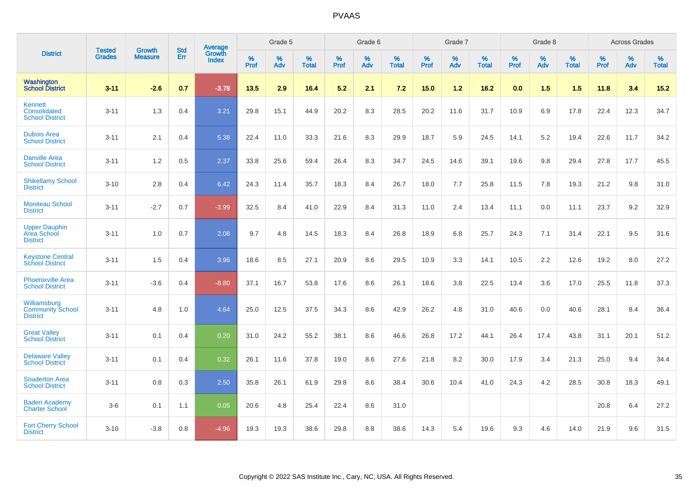|                                                            | <b>Tested</b> | <b>Growth</b>  | <b>Std</b> | Average                |              | Grade 5  |                   |           | Grade 6  |                   |           | Grade 7  |                   |           | Grade 8  |                   |           | <b>Across Grades</b> |                   |
|------------------------------------------------------------|---------------|----------------|------------|------------------------|--------------|----------|-------------------|-----------|----------|-------------------|-----------|----------|-------------------|-----------|----------|-------------------|-----------|----------------------|-------------------|
| <b>District</b>                                            | <b>Grades</b> | <b>Measure</b> | Err        | Growth<br><b>Index</b> | $\%$<br>Prof | %<br>Adv | %<br><b>Total</b> | %<br>Prof | %<br>Adv | %<br><b>Total</b> | %<br>Prof | %<br>Adv | %<br><b>Total</b> | %<br>Prof | %<br>Adv | %<br><b>Total</b> | %<br>Prof | %<br>Adv             | %<br><b>Total</b> |
| Washington<br><b>School District</b>                       | $3 - 11$      | $-2.6$         | 0.7        | $-3.78$                | 13.5         | 2.9      | 16.4              | 5.2       | 2.1      | 7.2               | 15.0      | $1.2$    | 16.2              | 0.0       | 1.5      | 1.5               | 11.8      | 3.4                  | $15.2$            |
| Kennett<br>Consolidated<br><b>School District</b>          | $3 - 11$      | 1.3            | 0.4        | 3.21                   | 29.8         | 15.1     | 44.9              | 20.2      | 8.3      | 28.5              | 20.2      | 11.6     | 31.7              | 10.9      | 6.9      | 17.8              | 22.4      | 12.3                 | 34.7              |
| <b>Dubois Area</b><br><b>School District</b>               | $3 - 11$      | 2.1            | 0.4        | 5.38                   | 22.4         | 11.0     | 33.3              | 21.6      | 8.3      | 29.9              | 18.7      | 5.9      | 24.5              | 14.1      | 5.2      | 19.4              | 22.6      | 11.7                 | 34.2              |
| <b>Danville Area</b><br><b>School District</b>             | $3 - 11$      | 1.2            | 0.5        | 2.37                   | 33.8         | 25.6     | 59.4              | 26.4      | 8.3      | 34.7              | 24.5      | 14.6     | 39.1              | 19.6      | 9.8      | 29.4              | 27.8      | 17.7                 | 45.5              |
| <b>Shikellamy School</b><br><b>District</b>                | $3 - 10$      | 2.8            | 0.4        | 6.42                   | 24.3         | 11.4     | 35.7              | 18.3      | 8.4      | 26.7              | 18.0      | 7.7      | 25.8              | 11.5      | 7.8      | 19.3              | 21.2      | 9.8                  | 31.0              |
| <b>Moniteau School</b><br><b>District</b>                  | $3 - 11$      | $-2.7$         | 0.7        | $-3.99$                | 32.5         | 8.4      | 41.0              | 22.9      | 8.4      | 31.3              | 11.0      | 2.4      | 13.4              | 11.1      | 0.0      | 11.1              | 23.7      | 9.2                  | 32.9              |
| <b>Upper Dauphin</b><br>Area School<br><b>District</b>     | $3 - 11$      | 1.0            | 0.7        | 2.08                   | 9.7          | 4.8      | 14.5              | 18.3      | 8.4      | 26.8              | 18.9      | 6.8      | 25.7              | 24.3      | 7.1      | 31.4              | 22.1      | 9.5                  | 31.6              |
| <b>Keystone Central</b><br><b>School District</b>          | $3 - 11$      | 1.5            | 0.4        | 3.96                   | 18.6         | 8.5      | 27.1              | 20.9      | 8.6      | 29.5              | 10.9      | 3.3      | 14.1              | 10.5      | 2.2      | 12.6              | 19.2      | 8.0                  | 27.2              |
| <b>Phoenixville Area</b><br><b>School District</b>         | $3 - 11$      | $-3.6$         | 0.4        | $-8.80$                | 37.1         | 16.7     | 53.8              | 17.6      | 8.6      | 26.1              | 18.6      | 3.8      | 22.5              | 13.4      | 3.6      | 17.0              | 25.5      | 11.8                 | 37.3              |
| Williamsburg<br><b>Community School</b><br><b>District</b> | $3 - 11$      | 4.8            | 1.0        | 4.64                   | 25.0         | 12.5     | 37.5              | 34.3      | 8.6      | 42.9              | 26.2      | 4.8      | 31.0              | 40.6      | 0.0      | 40.6              | 28.1      | 8.4                  | 36.4              |
| <b>Great Valley</b><br><b>School District</b>              | $3 - 11$      | 0.1            | 0.4        | 0.20                   | 31.0         | 24.2     | 55.2              | 38.1      | 8.6      | 46.6              | 26.8      | 17.2     | 44.1              | 26.4      | 17.4     | 43.8              | 31.1      | 20.1                 | 51.2              |
| <b>Delaware Valley</b><br><b>School District</b>           | $3 - 11$      | 0.1            | 0.4        | 0.32                   | 26.1         | 11.6     | 37.8              | 19.0      | 8.6      | 27.6              | 21.8      | 8.2      | 30.0              | 17.9      | 3.4      | 21.3              | 25.0      | 9.4                  | 34.4              |
| <b>Souderton Area</b><br><b>School District</b>            | $3 - 11$      | 0.8            | 0.3        | 2.50                   | 35.8         | 26.1     | 61.9              | 29.8      | 8.6      | 38.4              | 30.6      | 10.4     | 41.0              | 24.3      | 4.2      | 28.5              | 30.8      | 18.3                 | 49.1              |
| <b>Baden Academy</b><br><b>Charter School</b>              | $3-6$         | 0.1            | 1.1        | 0.05                   | 20.6         | 4.8      | 25.4              | 22.4      | 8.6      | 31.0              |           |          |                   |           |          |                   | 20.8      | 6.4                  | 27.2              |
| <b>Fort Cherry School</b><br><b>District</b>               | $3 - 10$      | $-3.8$         | 0.8        | $-4.96$                | 19.3         | 19.3     | 38.6              | 29.8      | 8.8      | 38.6              | 14.3      | 5.4      | 19.6              | 9.3       | 4.6      | 14.0              | 21.9      | 9.6                  | 31.5              |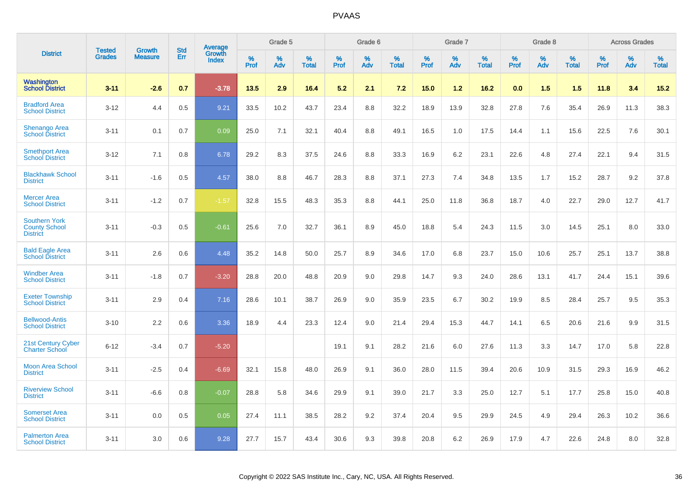|                                                                 | <b>Tested</b> | <b>Growth</b>  | <b>Std</b> |                                   |                     | Grade 5  |                      |                     | Grade 6     |                      |              | Grade 7     |                      |              | Grade 8     |                      |              | <b>Across Grades</b> |                   |
|-----------------------------------------------------------------|---------------|----------------|------------|-----------------------------------|---------------------|----------|----------------------|---------------------|-------------|----------------------|--------------|-------------|----------------------|--------------|-------------|----------------------|--------------|----------------------|-------------------|
| <b>District</b>                                                 | <b>Grades</b> | <b>Measure</b> | Err        | <b>Average</b><br>Growth<br>Index | $\%$<br><b>Prof</b> | %<br>Adv | $\%$<br><b>Total</b> | $\%$<br><b>Prof</b> | $\%$<br>Adv | $\%$<br><b>Total</b> | $\%$<br>Prof | $\%$<br>Adv | $\%$<br><b>Total</b> | $\%$<br>Prof | $\%$<br>Adv | $\%$<br><b>Total</b> | $\%$<br>Prof | $\%$<br>Adv          | %<br><b>Total</b> |
| Washington<br><b>School District</b>                            | $3 - 11$      | $-2.6$         | 0.7        | $-3.78$                           | 13.5                | 2.9      | 16.4                 | 5.2                 | 2.1         | 7.2                  | 15.0         | $1.2$       | 16.2                 | 0.0          | 1.5         | 1.5                  | 11.8         | 3.4                  | 15.2              |
| <b>Bradford Area</b><br><b>School District</b>                  | $3 - 12$      | 4.4            | 0.5        | 9.21                              | 33.5                | 10.2     | 43.7                 | 23.4                | 8.8         | 32.2                 | 18.9         | 13.9        | 32.8                 | 27.8         | 7.6         | 35.4                 | 26.9         | 11.3                 | 38.3              |
| <b>Shenango Area</b><br><b>School District</b>                  | $3 - 11$      | 0.1            | 0.7        | 0.09                              | 25.0                | 7.1      | 32.1                 | 40.4                | 8.8         | 49.1                 | 16.5         | 1.0         | 17.5                 | 14.4         | 1.1         | 15.6                 | 22.5         | 7.6                  | 30.1              |
| <b>Smethport Area</b><br><b>School District</b>                 | $3 - 12$      | 7.1            | 0.8        | 6.78                              | 29.2                | 8.3      | 37.5                 | 24.6                | 8.8         | 33.3                 | 16.9         | 6.2         | 23.1                 | 22.6         | 4.8         | 27.4                 | 22.1         | 9.4                  | 31.5              |
| <b>Blackhawk School</b><br><b>District</b>                      | $3 - 11$      | $-1.6$         | 0.5        | 4.57                              | 38.0                | 8.8      | 46.7                 | 28.3                | 8.8         | 37.1                 | 27.3         | 7.4         | 34.8                 | 13.5         | 1.7         | 15.2                 | 28.7         | 9.2                  | 37.8              |
| <b>Mercer Area</b><br><b>School District</b>                    | $3 - 11$      | $-1.2$         | 0.7        | $-1.57$                           | 32.8                | 15.5     | 48.3                 | 35.3                | 8.8         | 44.1                 | 25.0         | 11.8        | 36.8                 | 18.7         | 4.0         | 22.7                 | 29.0         | 12.7                 | 41.7              |
| <b>Southern York</b><br><b>County School</b><br><b>District</b> | $3 - 11$      | $-0.3$         | 0.5        | $-0.61$                           | 25.6                | 7.0      | 32.7                 | 36.1                | 8.9         | 45.0                 | 18.8         | 5.4         | 24.3                 | 11.5         | 3.0         | 14.5                 | 25.1         | 8.0                  | 33.0              |
| <b>Bald Eagle Area</b><br><b>School District</b>                | $3 - 11$      | 2.6            | 0.6        | 4.48                              | 35.2                | 14.8     | 50.0                 | 25.7                | 8.9         | 34.6                 | 17.0         | 6.8         | 23.7                 | 15.0         | 10.6        | 25.7                 | 25.1         | 13.7                 | 38.8              |
| <b>Windber Area</b><br><b>School District</b>                   | $3 - 11$      | $-1.8$         | 0.7        | $-3.20$                           | 28.8                | 20.0     | 48.8                 | 20.9                | 9.0         | 29.8                 | 14.7         | 9.3         | 24.0                 | 28.6         | 13.1        | 41.7                 | 24.4         | 15.1                 | 39.6              |
| <b>Exeter Township</b><br><b>School District</b>                | $3 - 11$      | 2.9            | 0.4        | 7.16                              | 28.6                | 10.1     | 38.7                 | 26.9                | 9.0         | 35.9                 | 23.5         | 6.7         | 30.2                 | 19.9         | 8.5         | 28.4                 | 25.7         | 9.5                  | 35.3              |
| <b>Bellwood-Antis</b><br><b>School District</b>                 | $3 - 10$      | 2.2            | 0.6        | 3.36                              | 18.9                | 4.4      | 23.3                 | 12.4                | 9.0         | 21.4                 | 29.4         | 15.3        | 44.7                 | 14.1         | 6.5         | 20.6                 | 21.6         | 9.9                  | 31.5              |
| 21st Century Cyber<br><b>Charter School</b>                     | $6 - 12$      | $-3.4$         | 0.7        | $-5.20$                           |                     |          |                      | 19.1                | 9.1         | 28.2                 | 21.6         | 6.0         | 27.6                 | 11.3         | 3.3         | 14.7                 | 17.0         | 5.8                  | 22.8              |
| <b>Moon Area School</b><br><b>District</b>                      | $3 - 11$      | $-2.5$         | 0.4        | $-6.69$                           | 32.1                | 15.8     | 48.0                 | 26.9                | 9.1         | 36.0                 | 28.0         | 11.5        | 39.4                 | 20.6         | 10.9        | 31.5                 | 29.3         | 16.9                 | 46.2              |
| <b>Riverview School</b><br><b>District</b>                      | $3 - 11$      | $-6.6$         | 0.8        | $-0.07$                           | 28.8                | 5.8      | 34.6                 | 29.9                | 9.1         | 39.0                 | 21.7         | 3.3         | 25.0                 | 12.7         | 5.1         | 17.7                 | 25.8         | 15.0                 | 40.8              |
| <b>Somerset Area</b><br><b>School District</b>                  | $3 - 11$      | 0.0            | 0.5        | 0.05                              | 27.4                | 11.1     | 38.5                 | 28.2                | 9.2         | 37.4                 | 20.4         | 9.5         | 29.9                 | 24.5         | 4.9         | 29.4                 | 26.3         | 10.2                 | 36.6              |
| <b>Palmerton Area</b><br><b>School District</b>                 | $3 - 11$      | 3.0            | 0.6        | 9.28                              | 27.7                | 15.7     | 43.4                 | 30.6                | 9.3         | 39.8                 | 20.8         | 6.2         | 26.9                 | 17.9         | 4.7         | 22.6                 | 24.8         | 8.0                  | 32.8              |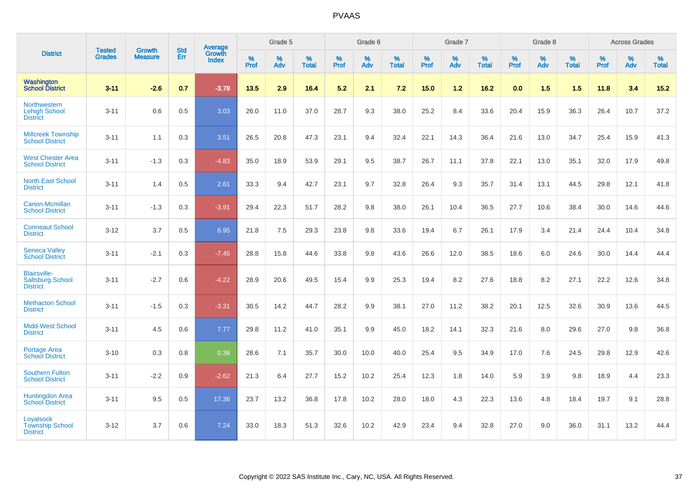|                                                                   |                                | <b>Growth</b>  | <b>Std</b> | Average                |           | Grade 5  |                   |           | Grade 6  |                   |           | Grade 7  |                   |           | Grade 8  |                   |           | <b>Across Grades</b> |                   |
|-------------------------------------------------------------------|--------------------------------|----------------|------------|------------------------|-----------|----------|-------------------|-----------|----------|-------------------|-----------|----------|-------------------|-----------|----------|-------------------|-----------|----------------------|-------------------|
| <b>District</b>                                                   | <b>Tested</b><br><b>Grades</b> | <b>Measure</b> | Err        | Growth<br><b>Index</b> | %<br>Prof | %<br>Adv | %<br><b>Total</b> | %<br>Prof | %<br>Adv | %<br><b>Total</b> | %<br>Prof | %<br>Adv | %<br><b>Total</b> | %<br>Prof | %<br>Adv | %<br><b>Total</b> | %<br>Prof | %<br>Adv             | %<br><b>Total</b> |
| <b>Washington</b><br><b>School District</b>                       | $3 - 11$                       | $-2.6$         | 0.7        | $-3.78$                | 13.5      | 2.9      | 16.4              | 5.2       | 2.1      | 7.2               | 15.0      | 1.2      | 16.2              | 0.0       | 1.5      | 1.5               | 11.8      | 3.4                  | $15.2$            |
| Northwestern<br><b>Lehigh School</b><br><b>District</b>           | $3 - 11$                       | 0.6            | 0.5        | 3.03                   | 26.0      | 11.0     | 37.0              | 28.7      | 9.3      | 38.0              | 25.2      | 8.4      | 33.6              | 20.4      | 15.9     | 36.3              | 26.4      | 10.7                 | 37.2              |
| <b>Millcreek Township</b><br><b>School District</b>               | $3 - 11$                       | 1.1            | 0.3        | 3.51                   | 26.5      | 20.8     | 47.3              | 23.1      | 9.4      | 32.4              | 22.1      | 14.3     | 36.4              | 21.6      | 13.0     | 34.7              | 25.4      | 15.9                 | 41.3              |
| <b>West Chester Area</b><br><b>School District</b>                | $3 - 11$                       | $-1.3$         | 0.3        | $-4.83$                | 35.0      | 18.9     | 53.9              | 29.1      | 9.5      | 38.7              | 26.7      | 11.1     | 37.8              | 22.1      | 13.0     | 35.1              | 32.0      | 17.9                 | 49.8              |
| <b>North East School</b><br><b>District</b>                       | $3 - 11$                       | 1.4            | 0.5        | 2.61                   | 33.3      | 9.4      | 42.7              | 23.1      | 9.7      | 32.8              | 26.4      | 9.3      | 35.7              | 31.4      | 13.1     | 44.5              | 29.8      | 12.1                 | 41.8              |
| Canon-Mcmillan<br><b>School District</b>                          | $3 - 11$                       | $-1.3$         | 0.3        | $-3.91$                | 29.4      | 22.3     | 51.7              | 28.2      | 9.8      | 38.0              | 26.1      | 10.4     | 36.5              | 27.7      | 10.6     | 38.4              | 30.0      | 14.6                 | 44.6              |
| <b>Conneaut School</b><br><b>District</b>                         | $3 - 12$                       | 3.7            | 0.5        | 6.95                   | 21.8      | 7.5      | 29.3              | 23.8      | 9.8      | 33.6              | 19.4      | 6.7      | 26.1              | 17.9      | 3.4      | 21.4              | 24.4      | 10.4                 | 34.8              |
| <b>Seneca Valley</b><br><b>School District</b>                    | $3 - 11$                       | $-2.1$         | 0.3        | $-7.45$                | 28.8      | 15.8     | 44.6              | 33.8      | 9.8      | 43.6              | 26.6      | 12.0     | 38.5              | 18.6      | 6.0      | 24.6              | 30.0      | 14.4                 | 44.4              |
| <b>Blairsville-</b><br><b>Saltsburg School</b><br><b>District</b> | $3 - 11$                       | $-2.7$         | 0.6        | $-4.22$                | 28.9      | 20.6     | 49.5              | 15.4      | 9.9      | 25.3              | 19.4      | 8.2      | 27.6              | 18.8      | 8.2      | 27.1              | 22.2      | 12.6                 | 34.8              |
| <b>Methacton School</b><br><b>District</b>                        | $3 - 11$                       | $-1.5$         | 0.3        | $-3.31$                | 30.5      | 14.2     | 44.7              | 28.2      | 9.9      | 38.1              | 27.0      | 11.2     | 38.2              | 20.1      | 12.5     | 32.6              | 30.9      | 13.6                 | 44.5              |
| <b>Midd-West School</b><br><b>District</b>                        | $3 - 11$                       | 4.5            | 0.6        | 7.77                   | 29.8      | 11.2     | 41.0              | 35.1      | 9.9      | 45.0              | 18.2      | 14.1     | 32.3              | 21.6      | 8.0      | 29.6              | 27.0      | 9.8                  | 36.8              |
| <b>Portage Area</b><br><b>School District</b>                     | $3 - 10$                       | 0.3            | 0.8        | 0.38                   | 28.6      | 7.1      | 35.7              | 30.0      | 10.0     | 40.0              | 25.4      | 9.5      | 34.9              | 17.0      | 7.6      | 24.5              | 29.8      | 12.9                 | 42.6              |
| <b>Southern Fulton</b><br><b>School District</b>                  | $3 - 11$                       | $-2.2$         | 0.9        | $-2.62$                | 21.3      | 6.4      | 27.7              | 15.2      | 10.2     | 25.4              | 12.3      | 1.8      | 14.0              | 5.9       | 3.9      | 9.8               | 18.9      | 4.4                  | 23.3              |
| <b>Huntingdon Area</b><br><b>School District</b>                  | $3 - 11$                       | 9.5            | 0.5        | 17.36                  | 23.7      | 13.2     | 36.8              | 17.8      | 10.2     | 28.0              | 18.0      | 4.3      | 22.3              | 13.6      | 4.8      | 18.4              | 19.7      | 9.1                  | 28.8              |
| Loyalsock<br><b>Township School</b><br><b>District</b>            | $3 - 12$                       | 3.7            | 0.6        | 7.24                   | 33.0      | 18.3     | 51.3              | 32.6      | 10.2     | 42.9              | 23.4      | 9.4      | 32.8              | 27.0      | 9.0      | 36.0              | 31.1      | 13.2                 | 44.4              |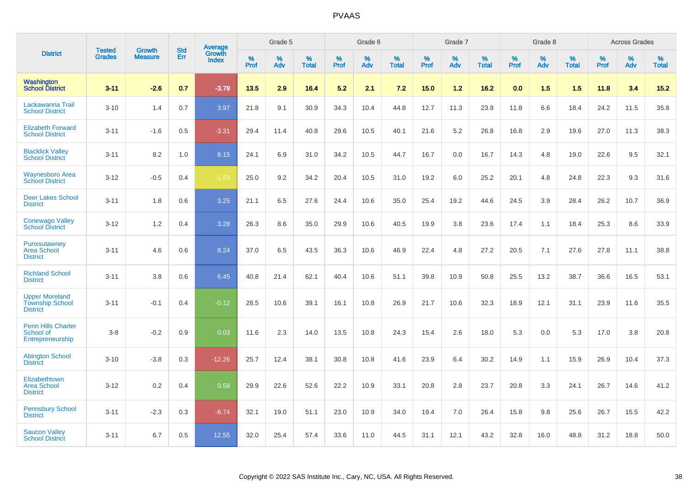|                                                                    |                                | <b>Growth</b>  | <b>Std</b> | Average                |              | Grade 5  |                   |           | Grade 6  |                   |           | Grade 7  |                   |           | Grade 8  |                   |              | <b>Across Grades</b> |                   |
|--------------------------------------------------------------------|--------------------------------|----------------|------------|------------------------|--------------|----------|-------------------|-----------|----------|-------------------|-----------|----------|-------------------|-----------|----------|-------------------|--------------|----------------------|-------------------|
| <b>District</b>                                                    | <b>Tested</b><br><b>Grades</b> | <b>Measure</b> | Err        | Growth<br><b>Index</b> | $\%$<br>Prof | %<br>Adv | %<br><b>Total</b> | %<br>Prof | %<br>Adv | %<br><b>Total</b> | %<br>Prof | %<br>Adv | %<br><b>Total</b> | %<br>Prof | %<br>Adv | %<br><b>Total</b> | $\%$<br>Prof | $\%$<br>Adv          | %<br><b>Total</b> |
| Washington<br><b>School District</b>                               | $3 - 11$                       | $-2.6$         | 0.7        | $-3.78$                | 13.5         | 2.9      | 16.4              | 5.2       | 2.1      | 7.2               | 15.0      | 1.2      | 16.2              | 0.0       | 1.5      | 1.5               | 11.8         | 3.4                  | 15.2              |
| Lackawanna Trail<br><b>School District</b>                         | $3 - 10$                       | 1.4            | 0.7        | 3.97                   | 21.8         | 9.1      | 30.9              | 34.3      | 10.4     | 44.8              | 12.7      | 11.3     | 23.9              | 11.8      | 6.6      | 18.4              | 24.2         | 11.5                 | 35.8              |
| <b>Elizabeth Forward</b><br><b>School District</b>                 | $3 - 11$                       | $-1.6$         | 0.5        | $-3.31$                | 29.4         | 11.4     | 40.8              | 29.6      | 10.5     | 40.1              | 21.6      | 5.2      | 26.8              | 16.8      | 2.9      | 19.6              | 27.0         | 11.3                 | 38.3              |
| <b>Blacklick Valley</b><br><b>School District</b>                  | $3 - 11$                       | 8.2            | 1.0        | 8.15                   | 24.1         | 6.9      | 31.0              | 34.2      | 10.5     | 44.7              | 16.7      | 0.0      | 16.7              | 14.3      | 4.8      | 19.0              | 22.6         | 9.5                  | 32.1              |
| <b>Waynesboro Area</b><br><b>School District</b>                   | $3 - 12$                       | $-0.5$         | 0.4        | $-1.53$                | 25.0         | 9.2      | 34.2              | 20.4      | 10.5     | 31.0              | 19.2      | 6.0      | 25.2              | 20.1      | 4.8      | 24.8              | 22.3         | 9.3                  | 31.6              |
| <b>Deer Lakes School</b><br><b>District</b>                        | $3 - 11$                       | 1.8            | 0.6        | 3.25                   | 21.1         | 6.5      | 27.6              | 24.4      | 10.6     | 35.0              | 25.4      | 19.2     | 44.6              | 24.5      | 3.9      | 28.4              | 26.2         | 10.7                 | 36.9              |
| <b>Conewago Valley</b><br><b>School District</b>                   | $3 - 12$                       | 1.2            | 0.4        | 3.28                   | 26.3         | 8.6      | 35.0              | 29.9      | 10.6     | 40.5              | 19.9      | 3.8      | 23.6              | 17.4      | 1.1      | 18.4              | 25.3         | 8.6                  | 33.9              |
| Punxsutawney<br><b>Area School</b><br><b>District</b>              | $3 - 11$                       | 4.6            | 0.6        | 8.24                   | 37.0         | 6.5      | 43.5              | 36.3      | 10.6     | 46.9              | 22.4      | 4.8      | 27.2              | 20.5      | 7.1      | 27.6              | 27.8         | 11.1                 | 38.8              |
| <b>Richland School</b><br><b>District</b>                          | $3 - 11$                       | 3.8            | 0.6        | 6.45                   | 40.8         | 21.4     | 62.1              | 40.4      | 10.6     | 51.1              | 39.8      | 10.9     | 50.8              | 25.5      | 13.2     | 38.7              | 36.6         | 16.5                 | 53.1              |
| <b>Upper Moreland</b><br><b>Township School</b><br><b>District</b> | $3 - 11$                       | $-0.1$         | 0.4        | $-0.12$                | 28.5         | 10.6     | 39.1              | 16.1      | 10.8     | 26.9              | 21.7      | 10.6     | 32.3              | 18.9      | 12.1     | 31.1              | 23.9         | 11.6                 | 35.5              |
| <b>Penn Hills Charter</b><br>School of<br>Entrepreneurship         | $3 - 8$                        | $-0.2$         | 0.9        | 0.03                   | 11.6         | 2.3      | 14.0              | 13.5      | 10.8     | 24.3              | 15.4      | 2.6      | 18.0              | 5.3       | 0.0      | 5.3               | 17.0         | 3.8                  | 20.8              |
| <b>Abington School</b><br><b>District</b>                          | $3 - 10$                       | $-3.8$         | 0.3        | $-12.26$               | 25.7         | 12.4     | 38.1              | 30.8      | 10.8     | 41.6              | 23.9      | 6.4      | 30.2              | 14.9      | 1.1      | 15.9              | 26.9         | 10.4                 | 37.3              |
| Elizabethtown<br><b>Area School</b><br><b>District</b>             | $3 - 12$                       | 0.2            | 0.4        | 0.58                   | 29.9         | 22.6     | 52.6              | 22.2      | 10.9     | 33.1              | 20.8      | 2.8      | 23.7              | 20.8      | 3.3      | 24.1              | 26.7         | 14.6                 | 41.2              |
| <b>Pennsbury School</b><br><b>District</b>                         | $3 - 11$                       | $-2.3$         | 0.3        | $-8.74$                | 32.1         | 19.0     | 51.1              | 23.0      | 10.9     | 34.0              | 19.4      | 7.0      | 26.4              | 15.8      | 9.8      | 25.6              | 26.7         | 15.5                 | 42.2              |
| <b>Saucon Valley</b><br><b>School District</b>                     | $3 - 11$                       | 6.7            | 0.5        | 12.55                  | 32.0         | 25.4     | 57.4              | 33.6      | 11.0     | 44.5              | 31.1      | 12.1     | 43.2              | 32.8      | 16.0     | 48.8              | 31.2         | 18.8                 | 50.0              |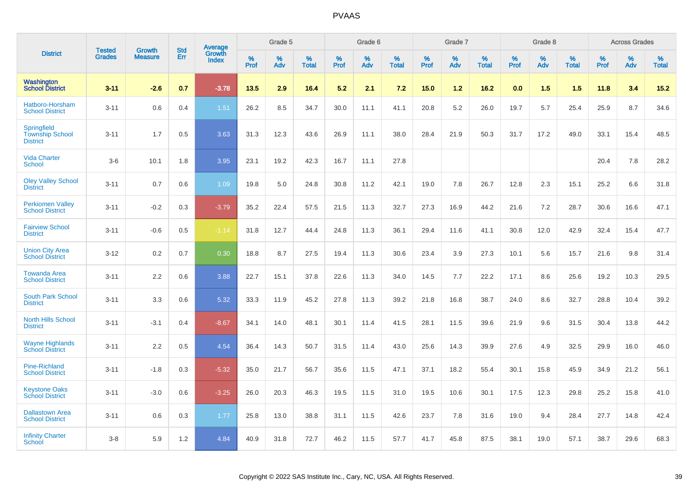|                                                                 |                                |                                 | <b>Std</b> | Average                |           | Grade 5  |                      |           | Grade 6  |                   |           | Grade 7  |                      |           | Grade 8  |                   |           | <b>Across Grades</b> |                   |
|-----------------------------------------------------------------|--------------------------------|---------------------------------|------------|------------------------|-----------|----------|----------------------|-----------|----------|-------------------|-----------|----------|----------------------|-----------|----------|-------------------|-----------|----------------------|-------------------|
| <b>District</b>                                                 | <b>Tested</b><br><b>Grades</b> | <b>Growth</b><br><b>Measure</b> | Err        | Growth<br><b>Index</b> | %<br>Prof | %<br>Adv | $\%$<br><b>Total</b> | %<br>Prof | %<br>Adv | %<br><b>Total</b> | %<br>Prof | %<br>Adv | $\%$<br><b>Total</b> | %<br>Prof | %<br>Adv | %<br><b>Total</b> | %<br>Prof | %<br>Adv             | %<br><b>Total</b> |
| <b>Washington</b><br><b>School District</b>                     | $3 - 11$                       | $-2.6$                          | 0.7        | $-3.78$                | 13.5      | 2.9      | 16.4                 | 5.2       | 2.1      | 7.2               | 15.0      | $1.2$    | 16.2                 | 0.0       | 1.5      | 1.5               | 11.8      | 3.4                  | 15.2              |
| Hatboro-Horsham<br><b>School District</b>                       | $3 - 11$                       | 0.6                             | 0.4        | 1.51                   | 26.2      | 8.5      | 34.7                 | 30.0      | 11.1     | 41.1              | 20.8      | 5.2      | 26.0                 | 19.7      | 5.7      | 25.4              | 25.9      | 8.7                  | 34.6              |
| <b>Springfield</b><br><b>Township School</b><br><b>District</b> | $3 - 11$                       | 1.7                             | 0.5        | 3.63                   | 31.3      | 12.3     | 43.6                 | 26.9      | 11.1     | 38.0              | 28.4      | 21.9     | 50.3                 | 31.7      | 17.2     | 49.0              | 33.1      | 15.4                 | 48.5              |
| <b>Vida Charter</b><br><b>School</b>                            | $3-6$                          | 10.1                            | 1.8        | 3.95                   | 23.1      | 19.2     | 42.3                 | 16.7      | 11.1     | 27.8              |           |          |                      |           |          |                   | 20.4      | 7.8                  | 28.2              |
| <b>Oley Valley School</b><br><b>District</b>                    | $3 - 11$                       | 0.7                             | 0.6        | 1.09                   | 19.8      | 5.0      | 24.8                 | 30.8      | 11.2     | 42.1              | 19.0      | 7.8      | 26.7                 | 12.8      | 2.3      | 15.1              | 25.2      | 6.6                  | 31.8              |
| <b>Perkiomen Valley</b><br><b>School District</b>               | $3 - 11$                       | $-0.2$                          | 0.3        | $-3.79$                | 35.2      | 22.4     | 57.5                 | 21.5      | 11.3     | 32.7              | 27.3      | 16.9     | 44.2                 | 21.6      | 7.2      | 28.7              | 30.6      | 16.6                 | 47.1              |
| <b>Fairview School</b><br><b>District</b>                       | $3 - 11$                       | $-0.6$                          | 0.5        | $-1.14$                | 31.8      | 12.7     | 44.4                 | 24.8      | 11.3     | 36.1              | 29.4      | 11.6     | 41.1                 | 30.8      | 12.0     | 42.9              | 32.4      | 15.4                 | 47.7              |
| <b>Union City Area</b><br><b>School District</b>                | $3 - 12$                       | 0.2                             | 0.7        | 0.30                   | 18.8      | 8.7      | 27.5                 | 19.4      | 11.3     | 30.6              | 23.4      | 3.9      | 27.3                 | 10.1      | 5.6      | 15.7              | 21.6      | 9.8                  | 31.4              |
| <b>Towanda Area</b><br><b>School District</b>                   | $3 - 11$                       | 2.2                             | 0.6        | 3.88                   | 22.7      | 15.1     | 37.8                 | 22.6      | 11.3     | 34.0              | 14.5      | 7.7      | 22.2                 | 17.1      | 8.6      | 25.6              | 19.2      | 10.3                 | 29.5              |
| <b>South Park School</b><br><b>District</b>                     | $3 - 11$                       | 3.3                             | 0.6        | 5.32                   | 33.3      | 11.9     | 45.2                 | 27.8      | 11.3     | 39.2              | 21.8      | 16.8     | 38.7                 | 24.0      | 8.6      | 32.7              | 28.8      | 10.4                 | 39.2              |
| <b>North Hills School</b><br><b>District</b>                    | $3 - 11$                       | $-3.1$                          | 0.4        | $-8.67$                | 34.1      | 14.0     | 48.1                 | 30.1      | 11.4     | 41.5              | 28.1      | 11.5     | 39.6                 | 21.9      | 9.6      | 31.5              | 30.4      | 13.8                 | 44.2              |
| <b>Wayne Highlands</b><br><b>School District</b>                | $3 - 11$                       | 2.2                             | 0.5        | 4.54                   | 36.4      | 14.3     | 50.7                 | 31.5      | 11.4     | 43.0              | 25.6      | 14.3     | 39.9                 | 27.6      | 4.9      | 32.5              | 29.9      | 16.0                 | 46.0              |
| Pine-Richland<br><b>School District</b>                         | $3 - 11$                       | $-1.8$                          | 0.3        | $-5.32$                | 35.0      | 21.7     | 56.7                 | 35.6      | 11.5     | 47.1              | 37.1      | 18.2     | 55.4                 | 30.1      | 15.8     | 45.9              | 34.9      | 21.2                 | 56.1              |
| <b>Keystone Oaks</b><br><b>School District</b>                  | $3 - 11$                       | $-3.0$                          | 0.6        | $-3.25$                | 26.0      | 20.3     | 46.3                 | 19.5      | 11.5     | 31.0              | 19.5      | 10.6     | 30.1                 | 17.5      | 12.3     | 29.8              | 25.2      | 15.8                 | 41.0              |
| <b>Dallastown Area</b><br><b>School District</b>                | $3 - 11$                       | 0.6                             | 0.3        | 1.77                   | 25.8      | 13.0     | 38.8                 | 31.1      | 11.5     | 42.6              | 23.7      | 7.8      | 31.6                 | 19.0      | 9.4      | 28.4              | 27.7      | 14.8                 | 42.4              |
| <b>Infinity Charter</b><br>School                               | $3 - 8$                        | 5.9                             | 1.2        | 4.84                   | 40.9      | 31.8     | 72.7                 | 46.2      | 11.5     | 57.7              | 41.7      | 45.8     | 87.5                 | 38.1      | 19.0     | 57.1              | 38.7      | 29.6                 | 68.3              |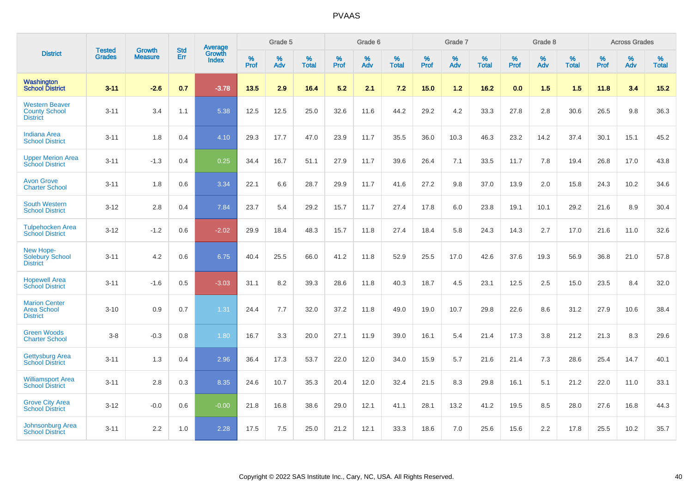|                                                                  | <b>Tested</b> | <b>Growth</b>  | <b>Std</b> | Average                       |           | Grade 5  |                   |           | Grade 6  |                   |           | Grade 7  |                   |           | Grade 8  |                   |           | <b>Across Grades</b> |                   |
|------------------------------------------------------------------|---------------|----------------|------------|-------------------------------|-----------|----------|-------------------|-----------|----------|-------------------|-----------|----------|-------------------|-----------|----------|-------------------|-----------|----------------------|-------------------|
| <b>District</b>                                                  | <b>Grades</b> | <b>Measure</b> | <b>Err</b> | <b>Growth</b><br><b>Index</b> | %<br>Prof | %<br>Adv | %<br><b>Total</b> | %<br>Prof | %<br>Adv | %<br><b>Total</b> | %<br>Prof | %<br>Adv | %<br><b>Total</b> | %<br>Prof | %<br>Adv | %<br><b>Total</b> | %<br>Prof | %<br>Adv             | %<br><b>Total</b> |
| Washington<br><b>School District</b>                             | $3 - 11$      | $-2.6$         | 0.7        | $-3.78$                       | $13.5$    | 2.9      | 16.4              | 5.2       | 2.1      | 7.2               | 15.0      | $1.2$    | 16.2              | 0.0       | 1.5      | 1.5               | 11.8      | 3.4                  | $15.2$            |
| <b>Western Beaver</b><br><b>County School</b><br><b>District</b> | $3 - 11$      | 3.4            | 1.1        | 5.38                          | 12.5      | 12.5     | 25.0              | 32.6      | 11.6     | 44.2              | 29.2      | 4.2      | 33.3              | 27.8      | 2.8      | 30.6              | 26.5      | $9.8\,$              | 36.3              |
| <b>Indiana Area</b><br><b>School District</b>                    | $3 - 11$      | 1.8            | 0.4        | 4.10                          | 29.3      | 17.7     | 47.0              | 23.9      | 11.7     | 35.5              | 36.0      | 10.3     | 46.3              | 23.2      | 14.2     | 37.4              | 30.1      | 15.1                 | 45.2              |
| <b>Upper Merion Area</b><br><b>School District</b>               | $3 - 11$      | $-1.3$         | 0.4        | 0.25                          | 34.4      | 16.7     | 51.1              | 27.9      | 11.7     | 39.6              | 26.4      | 7.1      | 33.5              | 11.7      | 7.8      | 19.4              | 26.8      | 17.0                 | 43.8              |
| <b>Avon Grove</b><br><b>Charter School</b>                       | $3 - 11$      | 1.8            | 0.6        | 3.34                          | 22.1      | 6.6      | 28.7              | 29.9      | 11.7     | 41.6              | 27.2      | 9.8      | 37.0              | 13.9      | 2.0      | 15.8              | 24.3      | 10.2                 | 34.6              |
| <b>South Western</b><br><b>School District</b>                   | $3 - 12$      | 2.8            | 0.4        | 7.84                          | 23.7      | 5.4      | 29.2              | 15.7      | 11.7     | 27.4              | 17.8      | 6.0      | 23.8              | 19.1      | 10.1     | 29.2              | 21.6      | 8.9                  | 30.4              |
| <b>Tulpehocken Area</b><br><b>School District</b>                | $3 - 12$      | $-1.2$         | 0.6        | $-2.02$                       | 29.9      | 18.4     | 48.3              | 15.7      | 11.8     | 27.4              | 18.4      | 5.8      | 24.3              | 14.3      | 2.7      | 17.0              | 21.6      | 11.0                 | 32.6              |
| New Hope-<br><b>Solebury School</b><br><b>District</b>           | $3 - 11$      | 4.2            | 0.6        | 6.75                          | 40.4      | 25.5     | 66.0              | 41.2      | 11.8     | 52.9              | 25.5      | 17.0     | 42.6              | 37.6      | 19.3     | 56.9              | 36.8      | 21.0                 | 57.8              |
| <b>Hopewell Area</b><br><b>School District</b>                   | $3 - 11$      | $-1.6$         | 0.5        | $-3.03$                       | 31.1      | 8.2      | 39.3              | 28.6      | 11.8     | 40.3              | 18.7      | 4.5      | 23.1              | 12.5      | 2.5      | 15.0              | 23.5      | 8.4                  | 32.0              |
| <b>Marion Center</b><br><b>Area School</b><br><b>District</b>    | $3 - 10$      | 0.9            | 0.7        | 1.31                          | 24.4      | 7.7      | 32.0              | 37.2      | 11.8     | 49.0              | 19.0      | 10.7     | 29.8              | 22.6      | 8.6      | 31.2              | 27.9      | 10.6                 | 38.4              |
| <b>Green Woods</b><br><b>Charter School</b>                      | $3 - 8$       | $-0.3$         | 0.8        | 1.80                          | 16.7      | 3.3      | 20.0              | 27.1      | 11.9     | 39.0              | 16.1      | 5.4      | 21.4              | 17.3      | 3.8      | 21.2              | 21.3      | 8.3                  | 29.6              |
| <b>Gettysburg Area</b><br><b>School District</b>                 | $3 - 11$      | 1.3            | 0.4        | 2.96                          | 36.4      | 17.3     | 53.7              | 22.0      | 12.0     | 34.0              | 15.9      | 5.7      | 21.6              | 21.4      | 7.3      | 28.6              | 25.4      | 14.7                 | 40.1              |
| <b>Williamsport Area</b><br><b>School District</b>               | $3 - 11$      | 2.8            | 0.3        | 8.35                          | 24.6      | 10.7     | 35.3              | 20.4      | 12.0     | 32.4              | 21.5      | 8.3      | 29.8              | 16.1      | 5.1      | 21.2              | 22.0      | 11.0                 | 33.1              |
| <b>Grove City Area</b><br><b>School District</b>                 | $3 - 12$      | $-0.0$         | 0.6        | $-0.00$                       | 21.8      | 16.8     | 38.6              | 29.0      | 12.1     | 41.1              | 28.1      | 13.2     | 41.2              | 19.5      | 8.5      | 28.0              | 27.6      | 16.8                 | 44.3              |
| <b>Johnsonburg Area</b><br><b>School District</b>                | $3 - 11$      | 2.2            | 1.0        | 2.28                          | 17.5      | 7.5      | 25.0              | 21.2      | 12.1     | 33.3              | 18.6      | 7.0      | 25.6              | 15.6      | 2.2      | 17.8              | 25.5      | 10.2                 | 35.7              |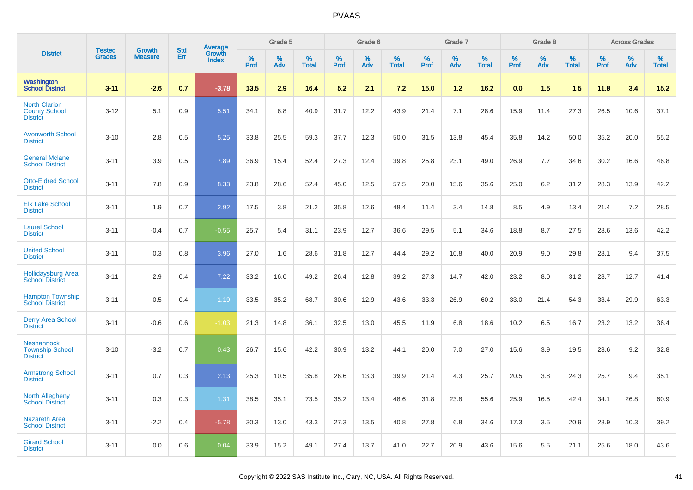|                                                                 | <b>Tested</b> |                                 | <b>Std</b> | Average                |              | Grade 5  |                   |           | Grade 6  |                   |              | Grade 7  |                   |              | Grade 8  |                   |              | <b>Across Grades</b> |                   |
|-----------------------------------------------------------------|---------------|---------------------------------|------------|------------------------|--------------|----------|-------------------|-----------|----------|-------------------|--------------|----------|-------------------|--------------|----------|-------------------|--------------|----------------------|-------------------|
| <b>District</b>                                                 | <b>Grades</b> | <b>Growth</b><br><b>Measure</b> | Err        | Growth<br><b>Index</b> | $\%$<br>Prof | %<br>Adv | %<br><b>Total</b> | %<br>Prof | %<br>Adv | %<br><b>Total</b> | $\%$<br>Prof | %<br>Adv | %<br><b>Total</b> | $\%$<br>Prof | %<br>Adv | %<br><b>Total</b> | $\%$<br>Prof | %<br>Adv             | %<br><b>Total</b> |
| <b>Washington</b><br><b>School District</b>                     | $3 - 11$      | $-2.6$                          | 0.7        | $-3.78$                | 13.5         | 2.9      | 16.4              | 5.2       | 2.1      | 7.2               | 15.0         | 1.2      | 16.2              | 0.0          | 1.5      | 1.5               | 11.8         | 3.4                  | 15.2              |
| <b>North Clarion</b><br><b>County School</b><br><b>District</b> | $3 - 12$      | 5.1                             | 0.9        | 5.51                   | 34.1         | 6.8      | 40.9              | 31.7      | 12.2     | 43.9              | 21.4         | 7.1      | 28.6              | 15.9         | 11.4     | 27.3              | 26.5         | 10.6                 | 37.1              |
| <b>Avonworth School</b><br><b>District</b>                      | $3 - 10$      | 2.8                             | 0.5        | 5.25                   | 33.8         | 25.5     | 59.3              | 37.7      | 12.3     | 50.0              | 31.5         | 13.8     | 45.4              | 35.8         | 14.2     | 50.0              | 35.2         | 20.0                 | 55.2              |
| <b>General Mclane</b><br><b>School District</b>                 | $3 - 11$      | 3.9                             | 0.5        | 7.89                   | 36.9         | 15.4     | 52.4              | 27.3      | 12.4     | 39.8              | 25.8         | 23.1     | 49.0              | 26.9         | 7.7      | 34.6              | 30.2         | 16.6                 | 46.8              |
| <b>Otto-Eldred School</b><br><b>District</b>                    | $3 - 11$      | 7.8                             | 0.9        | 8.33                   | 23.8         | 28.6     | 52.4              | 45.0      | 12.5     | 57.5              | 20.0         | 15.6     | 35.6              | 25.0         | 6.2      | 31.2              | 28.3         | 13.9                 | 42.2              |
| <b>Elk Lake School</b><br><b>District</b>                       | $3 - 11$      | 1.9                             | 0.7        | 2.92                   | 17.5         | 3.8      | 21.2              | 35.8      | 12.6     | 48.4              | 11.4         | 3.4      | 14.8              | 8.5          | 4.9      | 13.4              | 21.4         | 7.2                  | 28.5              |
| <b>Laurel School</b><br><b>District</b>                         | $3 - 11$      | $-0.4$                          | 0.7        | $-0.55$                | 25.7         | 5.4      | 31.1              | 23.9      | 12.7     | 36.6              | 29.5         | 5.1      | 34.6              | 18.8         | 8.7      | 27.5              | 28.6         | 13.6                 | 42.2              |
| <b>United School</b><br><b>District</b>                         | $3 - 11$      | 0.3                             | 0.8        | 3.96                   | 27.0         | 1.6      | 28.6              | 31.8      | 12.7     | 44.4              | 29.2         | 10.8     | 40.0              | 20.9         | 9.0      | 29.8              | 28.1         | 9.4                  | 37.5              |
| <b>Hollidaysburg Area</b><br><b>School District</b>             | $3 - 11$      | 2.9                             | 0.4        | 7.22                   | 33.2         | 16.0     | 49.2              | 26.4      | 12.8     | 39.2              | 27.3         | 14.7     | 42.0              | 23.2         | 8.0      | 31.2              | 28.7         | 12.7                 | 41.4              |
| <b>Hampton Township</b><br><b>School District</b>               | $3 - 11$      | 0.5                             | 0.4        | 1.19                   | 33.5         | 35.2     | 68.7              | 30.6      | 12.9     | 43.6              | 33.3         | 26.9     | 60.2              | 33.0         | 21.4     | 54.3              | 33.4         | 29.9                 | 63.3              |
| <b>Derry Area School</b><br><b>District</b>                     | $3 - 11$      | $-0.6$                          | 0.6        | $-1.03$                | 21.3         | 14.8     | 36.1              | 32.5      | 13.0     | 45.5              | 11.9         | 6.8      | 18.6              | 10.2         | 6.5      | 16.7              | 23.2         | 13.2                 | 36.4              |
| <b>Neshannock</b><br><b>Township School</b><br><b>District</b>  | $3 - 10$      | $-3.2$                          | 0.7        | 0.43                   | 26.7         | 15.6     | 42.2              | 30.9      | 13.2     | 44.1              | 20.0         | 7.0      | 27.0              | 15.6         | 3.9      | 19.5              | 23.6         | 9.2                  | 32.8              |
| <b>Armstrong School</b><br><b>District</b>                      | $3 - 11$      | 0.7                             | 0.3        | 2.13                   | 25.3         | 10.5     | 35.8              | 26.6      | 13.3     | 39.9              | 21.4         | 4.3      | 25.7              | 20.5         | 3.8      | 24.3              | 25.7         | 9.4                  | 35.1              |
| North Allegheny<br><b>School District</b>                       | $3 - 11$      | 0.3                             | 0.3        | 1.31                   | 38.5         | 35.1     | 73.5              | 35.2      | 13.4     | 48.6              | 31.8         | 23.8     | 55.6              | 25.9         | 16.5     | 42.4              | 34.1         | 26.8                 | 60.9              |
| <b>Nazareth Area</b><br><b>School District</b>                  | $3 - 11$      | $-2.2$                          | 0.4        | $-5.78$                | 30.3         | 13.0     | 43.3              | 27.3      | 13.5     | 40.8              | 27.8         | 6.8      | 34.6              | 17.3         | 3.5      | 20.9              | 28.9         | 10.3                 | 39.2              |
| <b>Girard School</b><br><b>District</b>                         | $3 - 11$      | 0.0                             | 0.6        | 0.04                   | 33.9         | 15.2     | 49.1              | 27.4      | 13.7     | 41.0              | 22.7         | 20.9     | 43.6              | 15.6         | 5.5      | 21.1              | 25.6         | 18.0                 | 43.6              |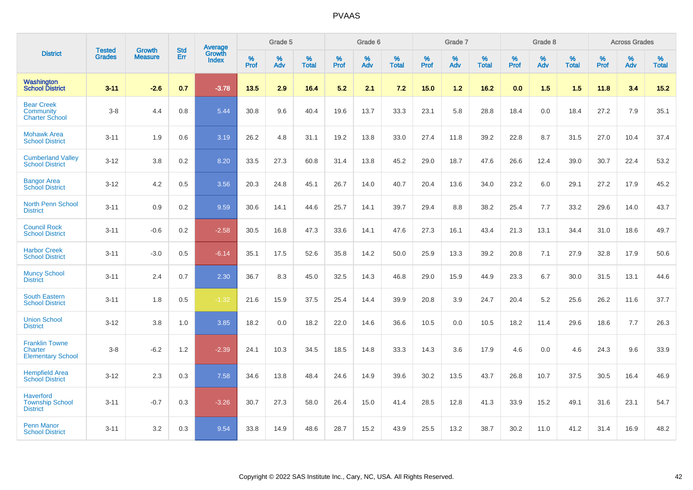|                                                               | <b>Tested</b> | <b>Growth</b>  | <b>Std</b> | Average                |           | Grade 5  |                   |           | Grade 6  |                   |           | Grade 7  |                   |           | Grade 8  |                   |           | <b>Across Grades</b> |                   |
|---------------------------------------------------------------|---------------|----------------|------------|------------------------|-----------|----------|-------------------|-----------|----------|-------------------|-----------|----------|-------------------|-----------|----------|-------------------|-----------|----------------------|-------------------|
| <b>District</b>                                               | <b>Grades</b> | <b>Measure</b> | Err        | Growth<br><b>Index</b> | %<br>Prof | %<br>Adv | %<br><b>Total</b> | %<br>Prof | %<br>Adv | %<br><b>Total</b> | %<br>Prof | %<br>Adv | %<br><b>Total</b> | %<br>Prof | %<br>Adv | %<br><b>Total</b> | %<br>Prof | %<br>Adv             | %<br><b>Total</b> |
| <b>Washington</b><br><b>School District</b>                   | $3 - 11$      | $-2.6$         | 0.7        | $-3.78$                | 13.5      | 2.9      | 16.4              | 5.2       | 2.1      | 7.2               | 15.0      | $1.2$    | 16.2              | 0.0       | 1.5      | 1.5               | 11.8      | 3.4                  | $15.2$            |
| <b>Bear Creek</b><br>Community<br><b>Charter School</b>       | $3 - 8$       | 4.4            | 0.8        | 5.44                   | 30.8      | 9.6      | 40.4              | 19.6      | 13.7     | 33.3              | 23.1      | 5.8      | 28.8              | 18.4      | 0.0      | 18.4              | 27.2      | 7.9                  | 35.1              |
| <b>Mohawk Area</b><br><b>School District</b>                  | $3 - 11$      | 1.9            | 0.6        | 3.19                   | 26.2      | 4.8      | 31.1              | 19.2      | 13.8     | 33.0              | 27.4      | 11.8     | 39.2              | 22.8      | 8.7      | 31.5              | 27.0      | 10.4                 | 37.4              |
| <b>Cumberland Valley</b><br><b>School District</b>            | $3 - 12$      | 3.8            | 0.2        | 8.20                   | 33.5      | 27.3     | 60.8              | 31.4      | 13.8     | 45.2              | 29.0      | 18.7     | 47.6              | 26.6      | 12.4     | 39.0              | 30.7      | 22.4                 | 53.2              |
| <b>Bangor Area</b><br><b>School District</b>                  | $3 - 12$      | 4.2            | 0.5        | 3.56                   | 20.3      | 24.8     | 45.1              | 26.7      | 14.0     | 40.7              | 20.4      | 13.6     | 34.0              | 23.2      | 6.0      | 29.1              | 27.2      | 17.9                 | 45.2              |
| <b>North Penn School</b><br><b>District</b>                   | $3 - 11$      | 0.9            | 0.2        | 9.59                   | 30.6      | 14.1     | 44.6              | 25.7      | 14.1     | 39.7              | 29.4      | 8.8      | 38.2              | 25.4      | 7.7      | 33.2              | 29.6      | 14.0                 | 43.7              |
| <b>Council Rock</b><br><b>School District</b>                 | $3 - 11$      | $-0.6$         | 0.2        | $-2.58$                | 30.5      | 16.8     | 47.3              | 33.6      | 14.1     | 47.6              | 27.3      | 16.1     | 43.4              | 21.3      | 13.1     | 34.4              | 31.0      | 18.6                 | 49.7              |
| <b>Harbor Creek</b><br><b>School District</b>                 | $3 - 11$      | $-3.0$         | 0.5        | $-6.14$                | 35.1      | 17.5     | 52.6              | 35.8      | 14.2     | 50.0              | 25.9      | 13.3     | 39.2              | 20.8      | 7.1      | 27.9              | 32.8      | 17.9                 | 50.6              |
| <b>Muncy School</b><br><b>District</b>                        | $3 - 11$      | 2.4            | 0.7        | 2.30                   | 36.7      | 8.3      | 45.0              | 32.5      | 14.3     | 46.8              | 29.0      | 15.9     | 44.9              | 23.3      | 6.7      | 30.0              | 31.5      | 13.1                 | 44.6              |
| <b>South Eastern</b><br><b>School District</b>                | $3 - 11$      | 1.8            | 0.5        | $-1.32$                | 21.6      | 15.9     | 37.5              | 25.4      | 14.4     | 39.9              | 20.8      | 3.9      | 24.7              | 20.4      | 5.2      | 25.6              | 26.2      | 11.6                 | 37.7              |
| <b>Union School</b><br><b>District</b>                        | $3 - 12$      | 3.8            | 1.0        | 3.85                   | 18.2      | 0.0      | 18.2              | 22.0      | 14.6     | 36.6              | 10.5      | 0.0      | 10.5              | 18.2      | 11.4     | 29.6              | 18.6      | 7.7                  | 26.3              |
| <b>Franklin Towne</b><br>Charter<br><b>Elementary School</b>  | $3 - 8$       | $-6.2$         | 1.2        | $-2.39$                | 24.1      | 10.3     | 34.5              | 18.5      | 14.8     | 33.3              | 14.3      | 3.6      | 17.9              | 4.6       | 0.0      | 4.6               | 24.3      | 9.6                  | 33.9              |
| <b>Hempfield Area</b><br><b>School District</b>               | $3 - 12$      | 2.3            | 0.3        | 7.58                   | 34.6      | 13.8     | 48.4              | 24.6      | 14.9     | 39.6              | 30.2      | 13.5     | 43.7              | 26.8      | 10.7     | 37.5              | 30.5      | 16.4                 | 46.9              |
| <b>Haverford</b><br><b>Township School</b><br><b>District</b> | $3 - 11$      | $-0.7$         | 0.3        | $-3.26$                | 30.7      | 27.3     | 58.0              | 26.4      | 15.0     | 41.4              | 28.5      | 12.8     | 41.3              | 33.9      | 15.2     | 49.1              | 31.6      | 23.1                 | 54.7              |
| <b>Penn Manor</b><br><b>School District</b>                   | $3 - 11$      | 3.2            | 0.3        | 9.54                   | 33.8      | 14.9     | 48.6              | 28.7      | 15.2     | 43.9              | 25.5      | 13.2     | 38.7              | 30.2      | 11.0     | 41.2              | 31.4      | 16.9                 | 48.2              |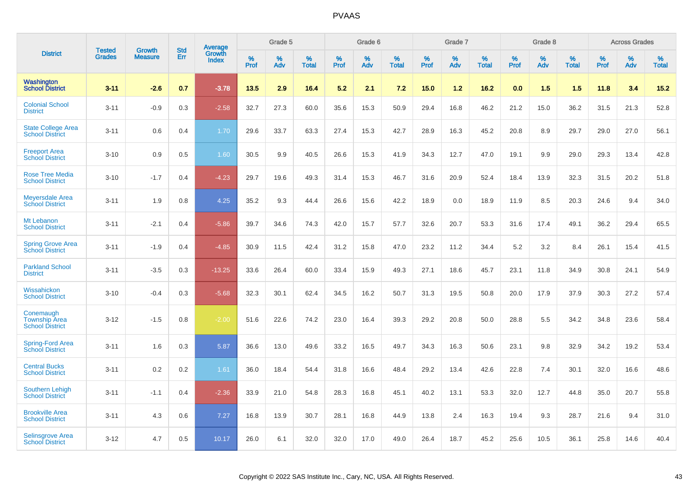|                                                             | <b>Tested</b> | <b>Growth</b>  | <b>Std</b> | Average                |                     | Grade 5  |                      |                     | Grade 6     |                   |              | Grade 7     |                   |              | Grade 8  |                   |                     | <b>Across Grades</b> |                   |
|-------------------------------------------------------------|---------------|----------------|------------|------------------------|---------------------|----------|----------------------|---------------------|-------------|-------------------|--------------|-------------|-------------------|--------------|----------|-------------------|---------------------|----------------------|-------------------|
| <b>District</b>                                             | <b>Grades</b> | <b>Measure</b> | Err        | Growth<br><b>Index</b> | $\%$<br><b>Prof</b> | %<br>Adv | $\%$<br><b>Total</b> | $\%$<br><b>Prof</b> | $\%$<br>Adv | %<br><b>Total</b> | $\%$<br>Prof | $\%$<br>Adv | %<br><b>Total</b> | $\%$<br>Prof | %<br>Adv | %<br><b>Total</b> | $\%$<br><b>Prof</b> | $\%$<br>Adv          | %<br><b>Total</b> |
| Washington<br><b>School District</b>                        | $3 - 11$      | $-2.6$         | 0.7        | $-3.78$                | 13.5                | 2.9      | 16.4                 | 5.2                 | 2.1         | 7.2               | 15.0         | 1.2         | 16.2              | 0.0          | 1.5      | 1.5               | 11.8                | 3.4                  | 15.2              |
| <b>Colonial School</b><br><b>District</b>                   | $3 - 11$      | $-0.9$         | 0.3        | $-2.58$                | 32.7                | 27.3     | 60.0                 | 35.6                | 15.3        | 50.9              | 29.4         | 16.8        | 46.2              | 21.2         | 15.0     | 36.2              | 31.5                | 21.3                 | 52.8              |
| <b>State College Area</b><br><b>School District</b>         | $3 - 11$      | 0.6            | 0.4        | 1.70                   | 29.6                | 33.7     | 63.3                 | 27.4                | 15.3        | 42.7              | 28.9         | 16.3        | 45.2              | 20.8         | 8.9      | 29.7              | 29.0                | 27.0                 | 56.1              |
| <b>Freeport Area</b><br><b>School District</b>              | $3 - 10$      | 0.9            | 0.5        | 1.60                   | 30.5                | 9.9      | 40.5                 | 26.6                | 15.3        | 41.9              | 34.3         | 12.7        | 47.0              | 19.1         | 9.9      | 29.0              | 29.3                | 13.4                 | 42.8              |
| <b>Rose Tree Media</b><br><b>School District</b>            | $3 - 10$      | $-1.7$         | 0.4        | $-4.23$                | 29.7                | 19.6     | 49.3                 | 31.4                | 15.3        | 46.7              | 31.6         | 20.9        | 52.4              | 18.4         | 13.9     | 32.3              | 31.5                | 20.2                 | 51.8              |
| Meyersdale Area<br><b>School District</b>                   | $3 - 11$      | 1.9            | 0.8        | 4.25                   | 35.2                | 9.3      | 44.4                 | 26.6                | 15.6        | 42.2              | 18.9         | 0.0         | 18.9              | 11.9         | 8.5      | 20.3              | 24.6                | 9.4                  | 34.0              |
| Mt Lebanon<br><b>School District</b>                        | $3 - 11$      | $-2.1$         | 0.4        | $-5.86$                | 39.7                | 34.6     | 74.3                 | 42.0                | 15.7        | 57.7              | 32.6         | 20.7        | 53.3              | 31.6         | 17.4     | 49.1              | 36.2                | 29.4                 | 65.5              |
| <b>Spring Grove Area</b><br><b>School District</b>          | $3 - 11$      | $-1.9$         | 0.4        | $-4.85$                | 30.9                | 11.5     | 42.4                 | 31.2                | 15.8        | 47.0              | 23.2         | 11.2        | 34.4              | 5.2          | 3.2      | 8.4               | 26.1                | 15.4                 | 41.5              |
| <b>Parkland School</b><br><b>District</b>                   | $3 - 11$      | $-3.5$         | 0.3        | $-13.25$               | 33.6                | 26.4     | 60.0                 | 33.4                | 15.9        | 49.3              | 27.1         | 18.6        | 45.7              | 23.1         | 11.8     | 34.9              | 30.8                | 24.1                 | 54.9              |
| Wissahickon<br><b>School District</b>                       | $3 - 10$      | $-0.4$         | 0.3        | $-5.68$                | 32.3                | 30.1     | 62.4                 | 34.5                | 16.2        | 50.7              | 31.3         | 19.5        | 50.8              | 20.0         | 17.9     | 37.9              | 30.3                | 27.2                 | 57.4              |
| Conemaugh<br><b>Township Area</b><br><b>School District</b> | $3 - 12$      | $-1.5$         | 0.8        | $-2.00$                | 51.6                | 22.6     | 74.2                 | 23.0                | 16.4        | 39.3              | 29.2         | 20.8        | 50.0              | 28.8         | 5.5      | 34.2              | 34.8                | 23.6                 | 58.4              |
| <b>Spring-Ford Area</b><br><b>School District</b>           | $3 - 11$      | 1.6            | 0.3        | 5.87                   | 36.6                | 13.0     | 49.6                 | 33.2                | 16.5        | 49.7              | 34.3         | 16.3        | 50.6              | 23.1         | 9.8      | 32.9              | 34.2                | 19.2                 | 53.4              |
| <b>Central Bucks</b><br><b>School District</b>              | $3 - 11$      | 0.2            | 0.2        | 1.61                   | 36.0                | 18.4     | 54.4                 | 31.8                | 16.6        | 48.4              | 29.2         | 13.4        | 42.6              | 22.8         | 7.4      | 30.1              | 32.0                | 16.6                 | 48.6              |
| <b>Southern Lehigh</b><br><b>School District</b>            | $3 - 11$      | $-1.1$         | 0.4        | $-2.36$                | 33.9                | 21.0     | 54.8                 | 28.3                | 16.8        | 45.1              | 40.2         | 13.1        | 53.3              | 32.0         | 12.7     | 44.8              | 35.0                | 20.7                 | 55.8              |
| <b>Brookville Area</b><br><b>School District</b>            | $3 - 11$      | 4.3            | 0.6        | 7.27                   | 16.8                | 13.9     | 30.7                 | 28.1                | 16.8        | 44.9              | 13.8         | 2.4         | 16.3              | 19.4         | 9.3      | 28.7              | 21.6                | 9.4                  | 31.0              |
| <b>Selinsgrove Area</b><br><b>School District</b>           | $3 - 12$      | 4.7            | 0.5        | 10.17                  | 26.0                | 6.1      | 32.0                 | 32.0                | 17.0        | 49.0              | 26.4         | 18.7        | 45.2              | 25.6         | 10.5     | 36.1              | 25.8                | 14.6                 | 40.4              |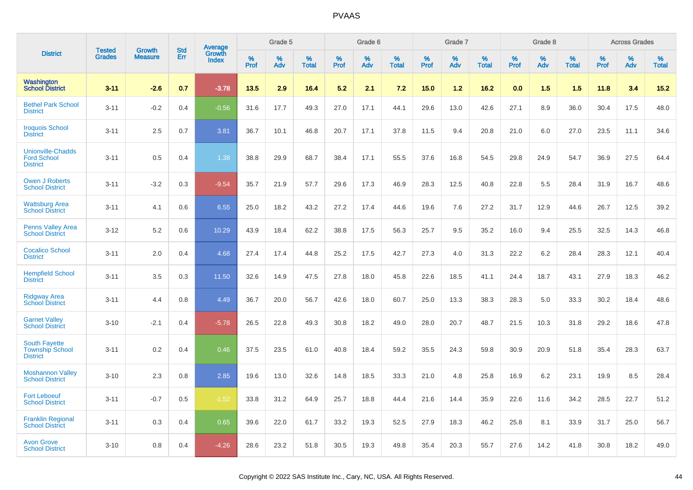|                                                                   | <b>Tested</b> | <b>Growth</b>  | <b>Std</b> | Average                |              | Grade 5  |                   |              | Grade 6  |                   |              | Grade 7  |                   |              | Grade 8  |                   |              | <b>Across Grades</b> |                   |
|-------------------------------------------------------------------|---------------|----------------|------------|------------------------|--------------|----------|-------------------|--------------|----------|-------------------|--------------|----------|-------------------|--------------|----------|-------------------|--------------|----------------------|-------------------|
| <b>District</b>                                                   | <b>Grades</b> | <b>Measure</b> | Err        | Growth<br><b>Index</b> | $\%$<br>Prof | %<br>Adv | %<br><b>Total</b> | $\%$<br>Prof | %<br>Adv | %<br><b>Total</b> | $\%$<br>Prof | %<br>Adv | %<br><b>Total</b> | $\%$<br>Prof | %<br>Adv | %<br><b>Total</b> | $\%$<br>Prof | %<br>Adv             | %<br><b>Total</b> |
| <b>Washington</b><br><b>School District</b>                       | $3 - 11$      | $-2.6$         | 0.7        | $-3.78$                | 13.5         | 2.9      | 16.4              | 5.2          | 2.1      | 7.2               | 15.0         | 1.2      | 16.2              | 0.0          | 1.5      | 1.5               | 11.8         | 3.4                  | $15.2$            |
| <b>Bethel Park School</b><br><b>District</b>                      | $3 - 11$      | $-0.2$         | 0.4        | $-0.56$                | 31.6         | 17.7     | 49.3              | 27.0         | 17.1     | 44.1              | 29.6         | 13.0     | 42.6              | 27.1         | 8.9      | 36.0              | 30.4         | 17.5                 | 48.0              |
| <b>Iroquois School</b><br><b>District</b>                         | $3 - 11$      | 2.5            | 0.7        | 3.81                   | 36.7         | 10.1     | 46.8              | 20.7         | 17.1     | 37.8              | 11.5         | 9.4      | 20.8              | 21.0         | 6.0      | 27.0              | 23.5         | 11.1                 | 34.6              |
| <b>Unionville-Chadds</b><br><b>Ford School</b><br><b>District</b> | $3 - 11$      | 0.5            | 0.4        | 1.38                   | 38.8         | 29.9     | 68.7              | 38.4         | 17.1     | 55.5              | 37.6         | 16.8     | 54.5              | 29.8         | 24.9     | 54.7              | 36.9         | 27.5                 | 64.4              |
| <b>Owen J Roberts</b><br><b>School District</b>                   | $3 - 11$      | $-3.2$         | 0.3        | $-9.54$                | 35.7         | 21.9     | 57.7              | 29.6         | 17.3     | 46.9              | 28.3         | 12.5     | 40.8              | 22.8         | 5.5      | 28.4              | 31.9         | 16.7                 | 48.6              |
| <b>Wattsburg Area</b><br><b>School District</b>                   | $3 - 11$      | 4.1            | 0.6        | 6.55                   | 25.0         | 18.2     | 43.2              | 27.2         | 17.4     | 44.6              | 19.6         | 7.6      | 27.2              | 31.7         | 12.9     | 44.6              | 26.7         | 12.5                 | 39.2              |
| <b>Penns Valley Area</b><br><b>School District</b>                | $3 - 12$      | 5.2            | 0.6        | 10.29                  | 43.9         | 18.4     | 62.2              | 38.8         | 17.5     | 56.3              | 25.7         | 9.5      | 35.2              | 16.0         | 9.4      | 25.5              | 32.5         | 14.3                 | 46.8              |
| <b>Cocalico School</b><br><b>District</b>                         | $3 - 11$      | 2.0            | 0.4        | 4.68                   | 27.4         | 17.4     | 44.8              | 25.2         | 17.5     | 42.7              | 27.3         | 4.0      | 31.3              | 22.2         | 6.2      | 28.4              | 28.3         | 12.1                 | 40.4              |
| <b>Hempfield School</b><br><b>District</b>                        | $3 - 11$      | 3.5            | 0.3        | 11.50                  | 32.6         | 14.9     | 47.5              | 27.8         | 18.0     | 45.8              | 22.6         | 18.5     | 41.1              | 24.4         | 18.7     | 43.1              | 27.9         | 18.3                 | 46.2              |
| <b>Ridgway Area</b><br><b>School District</b>                     | $3 - 11$      | 4.4            | 0.8        | 4.49                   | 36.7         | 20.0     | 56.7              | 42.6         | 18.0     | 60.7              | 25.0         | 13.3     | 38.3              | 28.3         | 5.0      | 33.3              | 30.2         | 18.4                 | 48.6              |
| <b>Garnet Valley</b><br><b>School District</b>                    | $3 - 10$      | $-2.1$         | 0.4        | $-5.78$                | 26.5         | 22.8     | 49.3              | 30.8         | 18.2     | 49.0              | 28.0         | 20.7     | 48.7              | 21.5         | 10.3     | 31.8              | 29.2         | 18.6                 | 47.8              |
| <b>South Fayette</b><br><b>Township School</b><br><b>District</b> | $3 - 11$      | 0.2            | 0.4        | 0.46                   | 37.5         | 23.5     | 61.0              | 40.8         | 18.4     | 59.2              | 35.5         | 24.3     | 59.8              | 30.9         | 20.9     | 51.8              | 35.4         | 28.3                 | 63.7              |
| <b>Moshannon Valley</b><br><b>School District</b>                 | $3 - 10$      | 2.3            | 0.8        | 2.85                   | 19.6         | 13.0     | 32.6              | 14.8         | 18.5     | 33.3              | 21.0         | 4.8      | 25.8              | 16.9         | 6.2      | 23.1              | 19.9         | 8.5                  | 28.4              |
| <b>Fort Leboeuf</b><br><b>School District</b>                     | $3 - 11$      | $-0.7$         | 0.5        | $-1.52$                | 33.8         | 31.2     | 64.9              | 25.7         | 18.8     | 44.4              | 21.6         | 14.4     | 35.9              | 22.6         | 11.6     | 34.2              | 28.5         | 22.7                 | 51.2              |
| <b>Franklin Regional</b><br><b>School District</b>                | $3 - 11$      | 0.3            | 0.4        | 0.65                   | 39.6         | 22.0     | 61.7              | 33.2         | 19.3     | 52.5              | 27.9         | 18.3     | 46.2              | 25.8         | 8.1      | 33.9              | 31.7         | 25.0                 | 56.7              |
| <b>Avon Grove</b><br><b>School District</b>                       | $3 - 10$      | 0.8            | 0.4        | $-4.26$                | 28.6         | 23.2     | 51.8              | 30.5         | 19.3     | 49.8              | 35.4         | 20.3     | 55.7              | 27.6         | 14.2     | 41.8              | 30.8         | 18.2                 | 49.0              |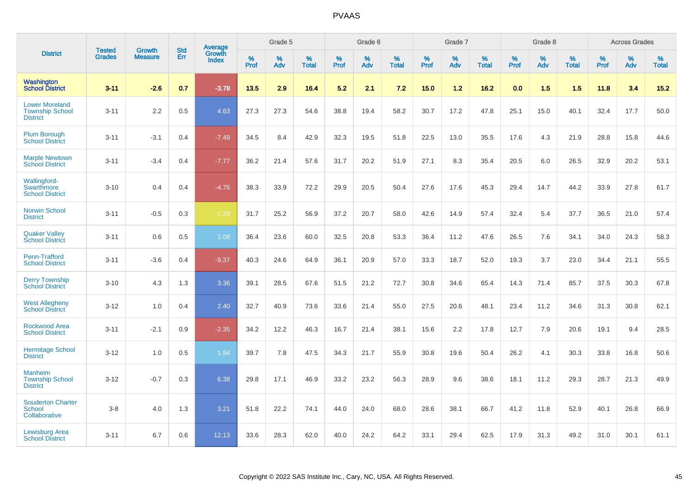|                                                                    | <b>Tested</b> | <b>Growth</b>  | <b>Std</b> |                                   |              | Grade 5  |                   |              | Grade 6  |                   |              | Grade 7  |                   |              | Grade 8  |                   |              | <b>Across Grades</b> |                   |
|--------------------------------------------------------------------|---------------|----------------|------------|-----------------------------------|--------------|----------|-------------------|--------------|----------|-------------------|--------------|----------|-------------------|--------------|----------|-------------------|--------------|----------------------|-------------------|
| <b>District</b>                                                    | <b>Grades</b> | <b>Measure</b> | <b>Err</b> | <b>Average</b><br>Growth<br>Index | $\%$<br>Prof | %<br>Adv | %<br><b>Total</b> | $\%$<br>Prof | %<br>Adv | %<br><b>Total</b> | $\%$<br>Prof | %<br>Adv | %<br><b>Total</b> | $\%$<br>Prof | %<br>Adv | %<br><b>Total</b> | $\%$<br>Prof | %<br>Adv             | %<br><b>Total</b> |
| Washington<br><b>School District</b>                               | $3 - 11$      | $-2.6$         | 0.7        | $-3.78$                           | 13.5         | 2.9      | 16.4              | 5.2          | 2.1      | 7.2               | 15.0         | 1.2      | 16.2              | 0.0          | 1.5      | 1.5               | 11.8         | 3.4                  | 15.2              |
| <b>Lower Moreland</b><br><b>Township School</b><br><b>District</b> | $3 - 11$      | 2.2            | 0.5        | 4.63                              | 27.3         | 27.3     | 54.6              | 38.8         | 19.4     | 58.2              | 30.7         | 17.2     | 47.8              | 25.1         | 15.0     | 40.1              | 32.4         | 17.7                 | 50.0              |
| <b>Plum Borough</b><br><b>School District</b>                      | $3 - 11$      | $-3.1$         | 0.4        | $-7.49$                           | 34.5         | 8.4      | 42.9              | 32.3         | 19.5     | 51.8              | 22.5         | 13.0     | 35.5              | 17.6         | 4.3      | 21.9              | 28.8         | 15.8                 | 44.6              |
| <b>Marple Newtown</b><br><b>School District</b>                    | $3 - 11$      | $-3.4$         | 0.4        | $-7.77$                           | 36.2         | 21.4     | 57.6              | 31.7         | 20.2     | 51.9              | 27.1         | 8.3      | 35.4              | 20.5         | 6.0      | 26.5              | 32.9         | 20.2                 | 53.1              |
| <b>Wallingford-</b><br><b>Swarthmore</b><br><b>School District</b> | $3 - 10$      | 0.4            | 0.4        | $-4.76$                           | 38.3         | 33.9     | 72.2              | 29.9         | 20.5     | 50.4              | 27.6         | 17.6     | 45.3              | 29.4         | 14.7     | 44.2              | 33.9         | 27.8                 | 61.7              |
| <b>Norwin School</b><br><b>District</b>                            | $3 - 11$      | $-0.5$         | 0.3        | $-1.39$                           | 31.7         | 25.2     | 56.9              | 37.2         | 20.7     | 58.0              | 42.6         | 14.9     | 57.4              | 32.4         | 5.4      | 37.7              | 36.5         | 21.0                 | 57.4              |
| <b>Quaker Valley</b><br><b>School District</b>                     | $3 - 11$      | 0.6            | 0.5        | 1.08                              | 36.4         | 23.6     | 60.0              | 32.5         | 20.8     | 53.3              | 36.4         | 11.2     | 47.6              | 26.5         | 7.6      | 34.1              | 34.0         | 24.3                 | 58.3              |
| <b>Penn-Trafford</b><br><b>School District</b>                     | $3 - 11$      | $-3.6$         | 0.4        | $-9.37$                           | 40.3         | 24.6     | 64.9              | 36.1         | 20.9     | 57.0              | 33.3         | 18.7     | 52.0              | 19.3         | 3.7      | 23.0              | 34.4         | 21.1                 | 55.5              |
| <b>Derry Township</b><br><b>School District</b>                    | $3 - 10$      | 4.3            | 1.3        | 3.36                              | 39.1         | 28.5     | 67.6              | 51.5         | 21.2     | 72.7              | 30.8         | 34.6     | 65.4              | 14.3         | 71.4     | 85.7              | 37.5         | 30.3                 | 67.8              |
| <b>West Allegheny</b><br><b>School District</b>                    | $3 - 12$      | 1.0            | 0.4        | 2.40                              | 32.7         | 40.9     | 73.6              | 33.6         | 21.4     | 55.0              | 27.5         | 20.6     | 48.1              | 23.4         | 11.2     | 34.6              | 31.3         | 30.8                 | 62.1              |
| <b>Rockwood Area</b><br><b>School District</b>                     | $3 - 11$      | $-2.1$         | 0.9        | $-2.35$                           | 34.2         | 12.2     | 46.3              | 16.7         | 21.4     | 38.1              | 15.6         | 2.2      | 17.8              | 12.7         | 7.9      | 20.6              | 19.1         | 9.4                  | 28.5              |
| <b>Hermitage School</b><br><b>District</b>                         | $3 - 12$      | 1.0            | 0.5        | 1.94                              | 39.7         | 7.8      | 47.5              | 34.3         | 21.7     | 55.9              | 30.8         | 19.6     | 50.4              | 26.2         | 4.1      | 30.3              | 33.8         | 16.8                 | 50.6              |
| <b>Manheim</b><br><b>Township School</b><br><b>District</b>        | $3 - 12$      | $-0.7$         | 0.3        | 6.38                              | 29.8         | 17.1     | 46.9              | 33.2         | 23.2     | 56.3              | 28.9         | 9.6      | 38.6              | 18.1         | 11.2     | 29.3              | 28.7         | 21.3                 | 49.9              |
| <b>Souderton Charter</b><br><b>School</b><br>Collaborative         | $3 - 8$       | 4.0            | 1.3        | 3.21                              | 51.8         | 22.2     | 74.1              | 44.0         | 24.0     | 68.0              | 28.6         | 38.1     | 66.7              | 41.2         | 11.8     | 52.9              | 40.1         | 26.8                 | 66.9              |
| <b>Lewisburg Area</b><br><b>School District</b>                    | $3 - 11$      | 6.7            | 0.6        | 12.13                             | 33.6         | 28.3     | 62.0              | 40.0         | 24.2     | 64.2              | 33.1         | 29.4     | 62.5              | 17.9         | 31.3     | 49.2              | 31.0         | 30.1                 | 61.1              |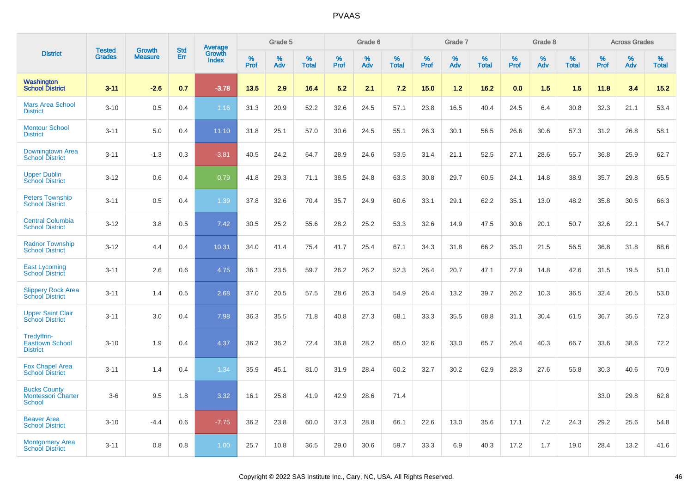|                                                                   | <b>Tested</b> | <b>Growth</b>  | <b>Std</b> | Average         |              | Grade 5  |                   |              | Grade 6  |                   |           | Grade 7  |                   |           | Grade 8  |                   |           | <b>Across Grades</b> |                   |
|-------------------------------------------------------------------|---------------|----------------|------------|-----------------|--------------|----------|-------------------|--------------|----------|-------------------|-----------|----------|-------------------|-----------|----------|-------------------|-----------|----------------------|-------------------|
| <b>District</b>                                                   | <b>Grades</b> | <b>Measure</b> | Err        | Growth<br>Index | $\%$<br>Prof | %<br>Adv | %<br><b>Total</b> | $\%$<br>Prof | %<br>Adv | %<br><b>Total</b> | %<br>Prof | %<br>Adv | %<br><b>Total</b> | %<br>Prof | %<br>Adv | %<br><b>Total</b> | %<br>Prof | %<br>Adv             | %<br><b>Total</b> |
| <b>Washington</b><br><b>School District</b>                       | $3 - 11$      | $-2.6$         | 0.7        | $-3.78$         | 13.5         | 2.9      | 16.4              | 5.2          | 2.1      | 7.2               | 15.0      | 1.2      | 16.2              | 0.0       | 1.5      | 1.5               | 11.8      | 3.4                  | 15.2              |
| <b>Mars Area School</b><br><b>District</b>                        | $3 - 10$      | 0.5            | 0.4        | 1.16            | 31.3         | 20.9     | 52.2              | 32.6         | 24.5     | 57.1              | 23.8      | 16.5     | 40.4              | 24.5      | 6.4      | 30.8              | 32.3      | 21.1                 | 53.4              |
| <b>Montour School</b><br><b>District</b>                          | $3 - 11$      | 5.0            | 0.4        | 11.10           | 31.8         | 25.1     | 57.0              | 30.6         | 24.5     | 55.1              | 26.3      | 30.1     | 56.5              | 26.6      | 30.6     | 57.3              | 31.2      | 26.8                 | 58.1              |
| Downingtown Area<br><b>School District</b>                        | $3 - 11$      | $-1.3$         | 0.3        | $-3.81$         | 40.5         | 24.2     | 64.7              | 28.9         | 24.6     | 53.5              | 31.4      | 21.1     | 52.5              | 27.1      | 28.6     | 55.7              | 36.8      | 25.9                 | 62.7              |
| <b>Upper Dublin</b><br><b>School District</b>                     | $3 - 12$      | 0.6            | 0.4        | 0.79            | 41.8         | 29.3     | 71.1              | 38.5         | 24.8     | 63.3              | 30.8      | 29.7     | 60.5              | 24.1      | 14.8     | 38.9              | 35.7      | 29.8                 | 65.5              |
| <b>Peters Township</b><br><b>School District</b>                  | $3 - 11$      | 0.5            | 0.4        | 1.39            | 37.8         | 32.6     | 70.4              | 35.7         | 24.9     | 60.6              | 33.1      | 29.1     | 62.2              | 35.1      | 13.0     | 48.2              | 35.8      | 30.6                 | 66.3              |
| <b>Central Columbia</b><br><b>School District</b>                 | $3 - 12$      | 3.8            | 0.5        | 7.42            | 30.5         | 25.2     | 55.6              | 28.2         | 25.2     | 53.3              | 32.6      | 14.9     | 47.5              | 30.6      | 20.1     | 50.7              | 32.6      | 22.1                 | 54.7              |
| <b>Radnor Township</b><br><b>School District</b>                  | $3 - 12$      | 4.4            | 0.4        | 10.31           | 34.0         | 41.4     | 75.4              | 41.7         | 25.4     | 67.1              | 34.3      | 31.8     | 66.2              | 35.0      | 21.5     | 56.5              | 36.8      | 31.8                 | 68.6              |
| <b>East Lycoming</b><br><b>School District</b>                    | $3 - 11$      | 2.6            | 0.6        | 4.75            | 36.1         | 23.5     | 59.7              | 26.2         | 26.2     | 52.3              | 26.4      | 20.7     | 47.1              | 27.9      | 14.8     | 42.6              | 31.5      | 19.5                 | 51.0              |
| <b>Slippery Rock Area</b><br><b>School District</b>               | $3 - 11$      | 1.4            | 0.5        | 2.68            | 37.0         | 20.5     | 57.5              | 28.6         | 26.3     | 54.9              | 26.4      | 13.2     | 39.7              | 26.2      | 10.3     | 36.5              | 32.4      | 20.5                 | 53.0              |
| <b>Upper Saint Clair</b><br><b>School District</b>                | $3 - 11$      | 3.0            | 0.4        | 7.98            | 36.3         | 35.5     | 71.8              | 40.8         | 27.3     | 68.1              | 33.3      | 35.5     | 68.8              | 31.1      | 30.4     | 61.5              | 36.7      | 35.6                 | 72.3              |
| Tredyffrin-<br><b>Easttown School</b><br><b>District</b>          | $3 - 10$      | 1.9            | 0.4        | 4.37            | 36.2         | 36.2     | 72.4              | 36.8         | 28.2     | 65.0              | 32.6      | 33.0     | 65.7              | 26.4      | 40.3     | 66.7              | 33.6      | 38.6                 | 72.2              |
| <b>Fox Chapel Area</b><br><b>School District</b>                  | $3 - 11$      | 1.4            | 0.4        | 1.34            | 35.9         | 45.1     | 81.0              | 31.9         | 28.4     | 60.2              | 32.7      | 30.2     | 62.9              | 28.3      | 27.6     | 55.8              | 30.3      | 40.6                 | 70.9              |
| <b>Bucks County</b><br><b>Montessori Charter</b><br><b>School</b> | $3-6$         | 9.5            | 1.8        | 3.32            | 16.1         | 25.8     | 41.9              | 42.9         | 28.6     | 71.4              |           |          |                   |           |          |                   | 33.0      | 29.8                 | 62.8              |
| <b>Beaver Area</b><br><b>School District</b>                      | $3 - 10$      | $-4.4$         | 0.6        | $-7.75$         | 36.2         | 23.8     | 60.0              | 37.3         | 28.8     | 66.1              | 22.6      | 13.0     | 35.6              | 17.1      | 7.2      | 24.3              | 29.2      | 25.6                 | 54.8              |
| <b>Montgomery Area</b><br><b>School District</b>                  | $3 - 11$      | 0.8            | 0.8        | 1.00            | 25.7         | 10.8     | 36.5              | 29.0         | 30.6     | 59.7              | 33.3      | 6.9      | 40.3              | 17.2      | 1.7      | 19.0              | 28.4      | 13.2                 | 41.6              |